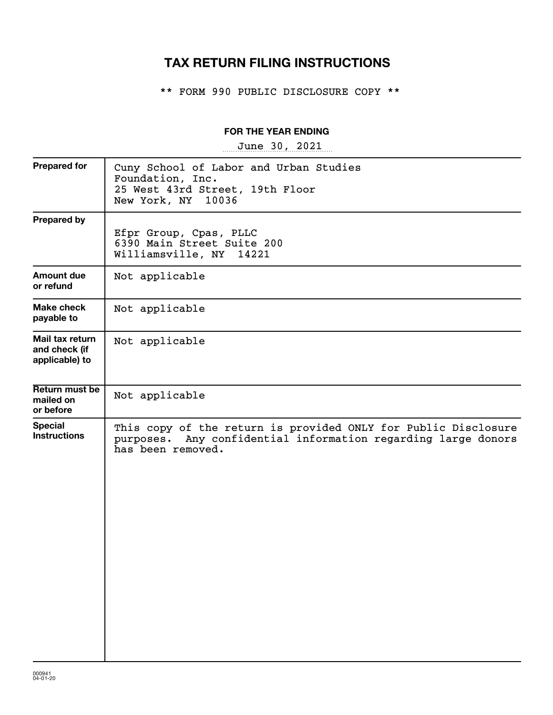# **TAX RETURN FILING INSTRUCTIONS**

\*\* FORM 990 PUBLIC DISCLOSURE COPY \*\*

### **FOR THE YEAR ENDING**

~~~~~~~~~~~~~~~~~ June 30, 2021

| <b>Prepared for</b>                                | Cuny School of Labor and Urban Studies<br>Foundation, Inc.<br>25 West 43rd Street, 19th Floor<br>New York, NY<br>10036                                  |
|----------------------------------------------------|---------------------------------------------------------------------------------------------------------------------------------------------------------|
| <b>Prepared by</b>                                 | Efpr Group, Cpas, PLLC<br>6390 Main Street Suite 200<br>Williamsville, NY 14221                                                                         |
| Amount due<br>or refund                            | Not applicable                                                                                                                                          |
| <b>Make check</b><br>payable to                    | Not applicable                                                                                                                                          |
| Mail tax return<br>and check (if<br>applicable) to | Not applicable                                                                                                                                          |
| Return must be<br>mailed on<br>or before           | Not applicable                                                                                                                                          |
| <b>Special</b><br><b>Instructions</b>              | This copy of the return is provided ONLY for Public Disclosure<br>Any confidential information regarding large donors<br>purposes.<br>has been removed. |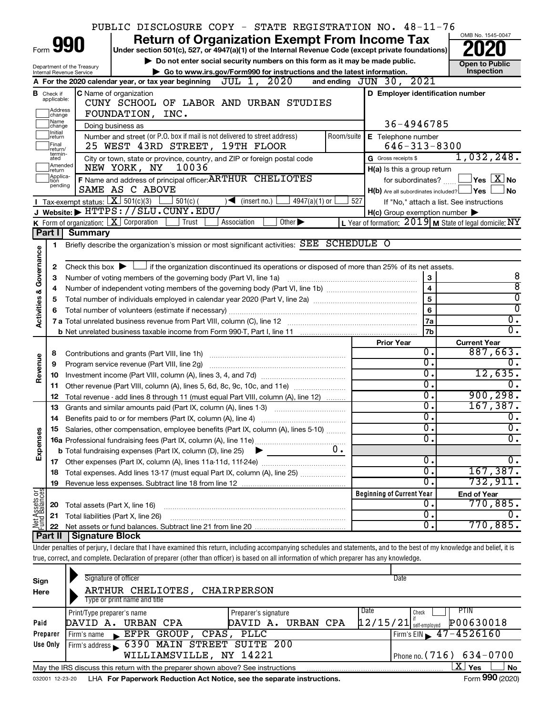|                                |                               | PUBLIC DISCLOSURE COPY - STATE REGISTRATION NO. 48-11-76                                                                                                                   |     |                                                     |                             | OMB No. 1545-0047                                         |
|--------------------------------|-------------------------------|----------------------------------------------------------------------------------------------------------------------------------------------------------------------------|-----|-----------------------------------------------------|-----------------------------|-----------------------------------------------------------|
|                                |                               | <b>Return of Organization Exempt From Income Tax</b><br>Form 990                                                                                                           |     |                                                     |                             |                                                           |
|                                |                               | Under section 501(c), 527, or 4947(a)(1) of the Internal Revenue Code (except private foundations)                                                                         |     |                                                     |                             |                                                           |
|                                |                               | Do not enter social security numbers on this form as it may be made public.<br>Department of the Treasury                                                                  |     |                                                     |                             | <b>Open to Public</b>                                     |
|                                |                               | Go to www.irs.gov/Form990 for instructions and the latest information.<br>Internal Revenue Service<br>JUL 1, 2020<br>A For the 2020 calendar year, or tax year beginning   |     | 2021<br>and ending $JUN$ 30,                        |                             | Inspection                                                |
|                                |                               | C Name of organization                                                                                                                                                     |     | D Employer identification number                    |                             |                                                           |
|                                | <b>B</b> Check if applicable: | CUNY SCHOOL OF LABOR AND URBAN STUDIES                                                                                                                                     |     |                                                     |                             |                                                           |
|                                | Address<br>change             | FOUNDATION, INC.                                                                                                                                                           |     |                                                     |                             |                                                           |
|                                | Name<br>change                | Doing business as                                                                                                                                                          |     | 36-4946785                                          |                             |                                                           |
|                                | Initial<br>∣return            | E Telephone number                                                                                                                                                         |     |                                                     |                             |                                                           |
|                                | Final<br>return/              | 25 WEST 43RD STREET, 19TH FLOOR                                                                                                                                            |     | $646 - 313 - 8300$                                  |                             |                                                           |
|                                | termin-<br>ated               | City or town, state or province, country, and ZIP or foreign postal code                                                                                                   |     | G Gross receipts \$                                 |                             | 1,032,248.                                                |
|                                | Amended<br>Ireturn            | 10036<br>NEW YORK, NY                                                                                                                                                      |     | H(a) Is this a group return                         |                             |                                                           |
|                                | Applica-<br>Ition<br>pending  | F Name and address of principal officer: ARTHUR CHELIOTES                                                                                                                  |     | for subordinates?                                   |                             | $\sqrt{\ }$ Yes $\sqrt{\ \text{X}}$ No                    |
|                                |                               | SAME AS C ABOVE                                                                                                                                                            |     | $H(b)$ Are all subordinates included? $\Box$ Yes    |                             | No.                                                       |
|                                |                               | Tax-exempt status: $X \overline{X}$ 501(c)(3) $501(c)$ (<br>$\sqrt{\bullet}$ (insert no.)<br>$4947(a)(1)$ or                                                               | 527 |                                                     |                             | If "No," attach a list. See instructions                  |
|                                |                               | J Website: FHTTPS://SLU.CUNY.EDU/                                                                                                                                          |     | $H(c)$ Group exemption number $\blacktriangleright$ |                             |                                                           |
|                                | Part I                        | <b>K</b> Form of organization: $\boxed{\textbf{X}}$ Corporation<br>Other $\blacktriangleright$<br>Trust<br>Association<br><b>Summary</b>                                   |     |                                                     |                             | L Year of formation: $2019$ M State of legal domicile: NY |
|                                |                               |                                                                                                                                                                            |     |                                                     |                             |                                                           |
|                                | 1                             | Briefly describe the organization's mission or most significant activities: SEE SCHEDULE O                                                                                 |     |                                                     |                             |                                                           |
| Governance                     | 2                             | Check this box $\blacktriangleright$ $\Box$ if the organization discontinued its operations or disposed of more than 25% of its net assets.                                |     |                                                     |                             |                                                           |
|                                | з                             | Number of voting members of the governing body (Part VI, line 1a)                                                                                                          |     |                                                     | 3                           | 8                                                         |
|                                | 4                             |                                                                                                                                                                            |     |                                                     | $\overline{\mathbf{4}}$     | $\overline{8}$                                            |
| <b>Activities &amp;</b>        | 5                             |                                                                                                                                                                            |     |                                                     | 5                           | $\overline{0}$                                            |
|                                | 6                             | Total number of volunteers (estimate if necessary)                                                                                                                         |     |                                                     | 6                           | $\overline{0}$                                            |
|                                |                               |                                                                                                                                                                            |     |                                                     | 7a                          | $\overline{0}$ .                                          |
|                                |                               | b Net unrelated business taxable income from Form 990-T, Part I, line 11 [1] [1] [1] [1] Net unrelated business taxable income from Form 990-T, Part I, line 11            |     |                                                     | 7b                          | $\overline{0}$ .                                          |
|                                |                               |                                                                                                                                                                            |     | <b>Prior Year</b>                                   |                             | <b>Current Year</b>                                       |
|                                | 8                             |                                                                                                                                                                            |     |                                                     | 0.                          | 887,663.                                                  |
| Revenue                        | 9                             | Program service revenue (Part VIII, line 2g)                                                                                                                               |     |                                                     | $\overline{0}$ .            | $\overline{0}$ .                                          |
|                                | 10                            |                                                                                                                                                                            |     |                                                     | 0.<br>σ.                    | 12,635.                                                   |
|                                |                               | 11 Other revenue (Part VIII, column (A), lines 5, 6d, 8c, 9c, 10c, and 11e)                                                                                                |     |                                                     | 0.                          | 0.<br>900, 298.                                           |
|                                | 12                            | Total revenue - add lines 8 through 11 (must equal Part VIII, column (A), line 12)                                                                                         |     |                                                     | $\overline{0}$ .            | 167, 387.                                                 |
|                                | 13                            | Grants and similar amounts paid (Part IX, column (A), lines 1-3)                                                                                                           |     |                                                     | Ο.                          | $\overline{0}$ .                                          |
|                                |                               | 15 Salaries, other compensation, employee benefits (Part IX, column (A), lines 5-10)                                                                                       |     |                                                     | $\overline{\mathfrak{o}}$ . | $\overline{0}$ .                                          |
| Expenses                       |                               |                                                                                                                                                                            |     |                                                     | σ.                          | $\overline{\mathfrak{o}}$ .                               |
|                                |                               | <b>b</b> Total fundraising expenses (Part IX, column (D), line 25)                                                                                                         | 0.  |                                                     |                             |                                                           |
|                                |                               |                                                                                                                                                                            |     |                                                     | $\overline{0}$ .            | $\overline{0}$ .                                          |
|                                | 18                            | Total expenses. Add lines 13-17 (must equal Part IX, column (A), line 25)                                                                                                  |     |                                                     | 0.                          | 167, 387.                                                 |
|                                | 19                            |                                                                                                                                                                            |     |                                                     | Ο.                          | 732,911.                                                  |
|                                |                               |                                                                                                                                                                            |     | <b>Beginning of Current Year</b>                    |                             | <b>End of Year</b>                                        |
| Net Assets or<br>Fund Balances | 20                            | Total assets (Part X, line 16)                                                                                                                                             |     |                                                     | О.                          | 770,885.                                                  |
|                                | 21                            | Total liabilities (Part X, line 26)                                                                                                                                        |     |                                                     | $\overline{0}$ .            | Ο.                                                        |
|                                | 22                            |                                                                                                                                                                            |     |                                                     | о.                          | 770,885.                                                  |
|                                |                               | Part II   Signature Block                                                                                                                                                  |     |                                                     |                             |                                                           |
|                                |                               | Under penalties of perjury, I declare that I have examined this return, including accompanying schedules and statements, and to the best of my knowledge and belief, it is |     |                                                     |                             |                                                           |
|                                |                               | true, correct, and complete. Declaration of preparer (other than officer) is based on all information of which preparer has any knowledge.                                 |     |                                                     |                             |                                                           |
|                                |                               | Signature of officer                                                                                                                                                       |     | Date                                                |                             |                                                           |
| Sign<br>Here                   |                               | ARTHUR CHELIOTES, CHAIRPERSON                                                                                                                                              |     |                                                     |                             |                                                           |
|                                |                               | Type or print name and title                                                                                                                                               |     |                                                     |                             |                                                           |
|                                |                               | Print/Type preparer's name<br>Preparer's signature                                                                                                                         |     | Date<br>Check                                       |                             | PTIN                                                      |
| Paid                           |                               | DAVID A. URBAN CPA<br>URBAN CPA<br>DAVID A.                                                                                                                                |     | $12/15/21$ self-employed                            |                             | P00630018                                                 |
|                                | Preparer                      | EFPR GROUP, CPAS, PLLC<br>Firm's name                                                                                                                                      |     |                                                     |                             | Firm's EIN $\sqrt{47-4526160}$                            |
|                                | Use Only                      | Firm's address 6390 MAIN STREET SUITE 200                                                                                                                                  |     |                                                     |                             |                                                           |
|                                |                               | WILLIAMSVILLE, NY 14221                                                                                                                                                    |     | Phone no. (716)                                     |                             | $634 - 0700$                                              |
|                                |                               | May the IRS discuss this return with the preparer shown above? See instructions                                                                                            |     |                                                     |                             | $\overline{\mathrm{X}}$ Yes<br>No                         |

032001 12-23-20 LHA **For Paperwork Reduction Act Notice, see the separate instructions.** Form 990 (2020)

**<sup>990</sup>**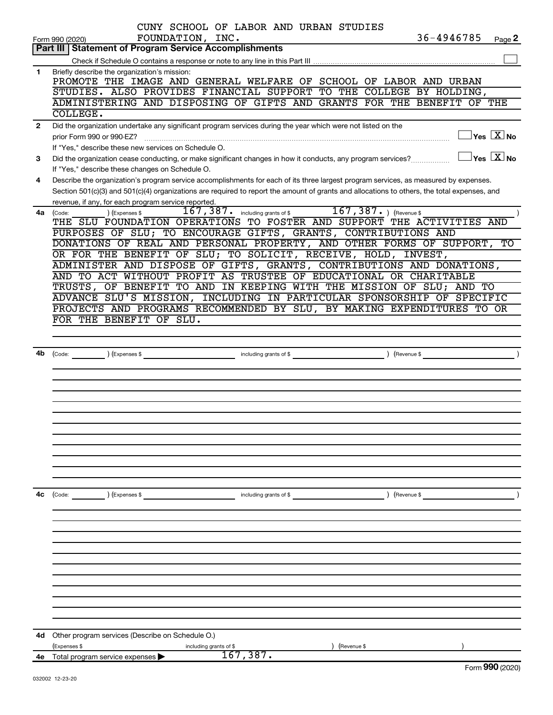|              | CUNY SCHOOL OF LABOR AND URBAN STUDIES<br>36-4946785<br>FOUNDATION, INC.<br>Page 2<br>Form 990 (2020)                                                          |
|--------------|----------------------------------------------------------------------------------------------------------------------------------------------------------------|
|              | <b>Part III   Statement of Program Service Accomplishments</b>                                                                                                 |
|              |                                                                                                                                                                |
| 1            | Briefly describe the organization's mission:<br>PROMOTE THE IMAGE AND GENERAL WELFARE OF SCHOOL OF LABOR AND URBAN                                             |
|              | STUDIES. ALSO PROVIDES FINANCIAL SUPPORT TO THE COLLEGE BY HOLDING,                                                                                            |
|              | ADMINISTERING AND DISPOSING OF GIFTS AND GRANTS FOR THE BENEFIT<br>OF THE                                                                                      |
|              | COLLEGE.                                                                                                                                                       |
| $\mathbf{2}$ | Did the organization undertake any significant program services during the year which were not listed on the                                                   |
|              | $ {\mathsf Y}{\mathsf e}{\mathsf s} \ \overline{{\mathsf X}}$ No<br>prior Form 990 or 990-EZ?                                                                  |
|              | If "Yes," describe these new services on Schedule O.                                                                                                           |
| 3            | $\vert$ Yes $\vert$ $\mathrm{X}$ $\vert$ No<br>Did the organization cease conducting, or make significant changes in how it conducts, any program services?    |
|              | If "Yes," describe these changes on Schedule O.                                                                                                                |
| 4            | Describe the organization's program service accomplishments for each of its three largest program services, as measured by expenses.                           |
|              | Section 501(c)(3) and 501(c)(4) organizations are required to report the amount of grants and allocations to others, the total expenses, and                   |
|              | revenue, if any, for each program service reported.                                                                                                            |
|              | 167, 387. including grants of \$167, 387. ) (Revenue \$<br>4a (Code:<br>(Expenses \$<br>THE SLU FOUNDATION OPERATIONS TO FOSTER AND SUPPORT THE ACTIVITIES AND |
|              | PURPOSES OF SLU; TO ENCOURAGE GIFTS, GRANTS, CONTRIBUTIONS AND                                                                                                 |
|              | DONATIONS OF REAL AND PERSONAL PROPERTY, AND OTHER FORMS OF SUPPORT, TO                                                                                        |
|              | OR FOR THE BENEFIT OF SLU; TO SOLICIT, RECEIVE, HOLD, INVEST,                                                                                                  |
|              | ADMINISTER AND DISPOSE OF GIFTS, GRANTS, CONTRIBUTIONS AND DONATIONS,                                                                                          |
|              | AND TO ACT WITHOUT PROFIT AS TRUSTEE OF EDUCATIONAL OR CHARITABLE                                                                                              |
|              | TRUSTS, OF BENEFIT TO AND IN KEEPING WITH THE MISSION OF SLU; AND TO                                                                                           |
|              | ADVANCE SLU'S MISSION, INCLUDING IN PARTICULAR SPONSORSHIP OF SPECIFIC                                                                                         |
|              | PROJECTS AND PROGRAMS RECOMMENDED BY SLU, BY MAKING EXPENDITURES TO OR                                                                                         |
|              | FOR THE BENEFIT OF SLU.                                                                                                                                        |
|              |                                                                                                                                                                |
|              |                                                                                                                                                                |
| 4b           | ) (Revenue \$<br>(Expenses \$<br>including grants of \$<br>(Code:                                                                                              |
|              |                                                                                                                                                                |
|              |                                                                                                                                                                |
|              |                                                                                                                                                                |
|              |                                                                                                                                                                |
|              |                                                                                                                                                                |
|              |                                                                                                                                                                |
|              |                                                                                                                                                                |
|              |                                                                                                                                                                |
|              |                                                                                                                                                                |
|              |                                                                                                                                                                |
|              |                                                                                                                                                                |
| 4с           | $\left(\text{Code:}\right)$ $\left(\text{Expenses $}\right)$<br>$\angle$ (Revenue \$<br>including grants of \$                                                 |
|              |                                                                                                                                                                |
|              |                                                                                                                                                                |
|              |                                                                                                                                                                |
|              |                                                                                                                                                                |
|              |                                                                                                                                                                |
|              |                                                                                                                                                                |
|              |                                                                                                                                                                |
|              |                                                                                                                                                                |
|              |                                                                                                                                                                |
|              |                                                                                                                                                                |
|              |                                                                                                                                                                |
| 4d           | Other program services (Describe on Schedule O.)                                                                                                               |
|              | (Expenses \$<br>including grants of \$<br>(Revenue \$                                                                                                          |
| 4е           | 167, 387.<br>Total program service expenses<br>$000 \times 000$                                                                                                |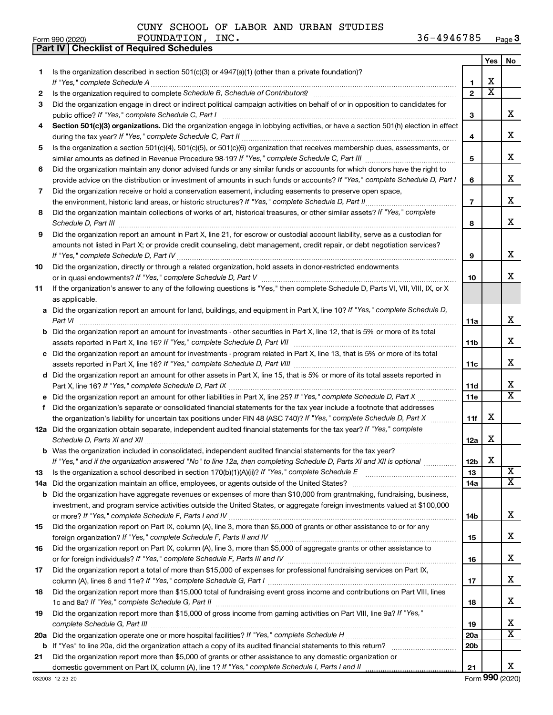**Part IV Checklist of Required Schedules**

|     |                                                                                                                                                    |                 | Yes                     | No                      |
|-----|----------------------------------------------------------------------------------------------------------------------------------------------------|-----------------|-------------------------|-------------------------|
| 1.  | Is the organization described in section $501(c)(3)$ or $4947(a)(1)$ (other than a private foundation)?                                            |                 |                         |                         |
|     | If "Yes," complete Schedule A                                                                                                                      | 1               | х                       |                         |
| 2   |                                                                                                                                                    | $\mathbf{2}$    | $\overline{\textbf{x}}$ |                         |
| 3   | Did the organization engage in direct or indirect political campaign activities on behalf of or in opposition to candidates for                    |                 |                         | X.                      |
|     | public office? If "Yes," complete Schedule C, Part I                                                                                               | 3               |                         |                         |
| 4   | Section 501(c)(3) organizations. Did the organization engage in lobbying activities, or have a section 501(h) election in effect                   |                 |                         | x                       |
| 5   | Is the organization a section 501(c)(4), 501(c)(5), or 501(c)(6) organization that receives membership dues, assessments, or                       | 4               |                         |                         |
|     |                                                                                                                                                    | 5               |                         | х                       |
| 6   | Did the organization maintain any donor advised funds or any similar funds or accounts for which donors have the right to                          |                 |                         |                         |
|     | provide advice on the distribution or investment of amounts in such funds or accounts? If "Yes," complete Schedule D, Part I                       | 6               |                         | х                       |
| 7   | Did the organization receive or hold a conservation easement, including easements to preserve open space,                                          |                 |                         |                         |
|     | the environment, historic land areas, or historic structures? If "Yes," complete Schedule D, Part II                                               | $\overline{7}$  |                         | х                       |
| 8   | Did the organization maintain collections of works of art, historical treasures, or other similar assets? If "Yes," complete                       |                 |                         |                         |
|     | Schedule D, Part III                                                                                                                               | 8               |                         | x                       |
| 9   | Did the organization report an amount in Part X, line 21, for escrow or custodial account liability, serve as a custodian for                      |                 |                         |                         |
|     | amounts not listed in Part X; or provide credit counseling, debt management, credit repair, or debt negotiation services?                          |                 |                         |                         |
|     |                                                                                                                                                    | 9               |                         | x                       |
| 10  | Did the organization, directly or through a related organization, hold assets in donor-restricted endowments                                       |                 |                         |                         |
|     |                                                                                                                                                    | 10              |                         | x.                      |
| 11  | If the organization's answer to any of the following questions is "Yes," then complete Schedule D, Parts VI, VII, VIII, IX, or X                   |                 |                         |                         |
|     | as applicable.                                                                                                                                     |                 |                         |                         |
|     | a Did the organization report an amount for land, buildings, and equipment in Part X, line 10? If "Yes," complete Schedule D,<br>Part VI           | 11a             |                         | x                       |
|     | <b>b</b> Did the organization report an amount for investments - other securities in Part X, line 12, that is 5% or more of its total              |                 |                         |                         |
|     |                                                                                                                                                    | 11b             |                         | x                       |
|     | c Did the organization report an amount for investments - program related in Part X, line 13, that is 5% or more of its total                      |                 |                         |                         |
|     |                                                                                                                                                    | 11c             |                         | х                       |
|     | d Did the organization report an amount for other assets in Part X, line 15, that is 5% or more of its total assets reported in                    |                 |                         |                         |
|     |                                                                                                                                                    | 11d             |                         | x                       |
|     | e Did the organization report an amount for other liabilities in Part X, line 25? If "Yes," complete Schedule D, Part X                            | <b>11e</b>      |                         | $\overline{\mathbf{x}}$ |
| f.  | Did the organization's separate or consolidated financial statements for the tax year include a footnote that addresses                            |                 |                         |                         |
|     | the organization's liability for uncertain tax positions under FIN 48 (ASC 740)? If "Yes," complete Schedule D, Part X                             | 11f             | x                       |                         |
|     | 12a Did the organization obtain separate, independent audited financial statements for the tax year? If "Yes," complete                            |                 | x                       |                         |
|     | Schedule D, Parts XI and XII<br><b>b</b> Was the organization included in consolidated, independent audited financial statements for the tax year? | 12a             |                         |                         |
|     | If "Yes," and if the organization answered "No" to line 12a, then completing Schedule D, Parts XI and XII is optional                              | 12 <sub>b</sub> | х                       |                         |
| 13  |                                                                                                                                                    | 13              |                         | $\overline{\textbf{x}}$ |
| 14a | Did the organization maintain an office, employees, or agents outside of the United States?                                                        | 14a             |                         | $\overline{\mathbf{X}}$ |
|     | <b>b</b> Did the organization have aggregate revenues or expenses of more than \$10,000 from grantmaking, fundraising, business,                   |                 |                         |                         |
|     | investment, and program service activities outside the United States, or aggregate foreign investments valued at \$100,000                         |                 |                         |                         |
|     |                                                                                                                                                    | 14b             |                         | x                       |
| 15  | Did the organization report on Part IX, column (A), line 3, more than \$5,000 of grants or other assistance to or for any                          |                 |                         |                         |
|     |                                                                                                                                                    | 15              |                         | х                       |
| 16  | Did the organization report on Part IX, column (A), line 3, more than \$5,000 of aggregate grants or other assistance to                           |                 |                         |                         |
|     |                                                                                                                                                    | 16              |                         | х                       |
| 17  | Did the organization report a total of more than \$15,000 of expenses for professional fundraising services on Part IX,                            |                 |                         | x                       |
| 18  | Did the organization report more than \$15,000 total of fundraising event gross income and contributions on Part VIII, lines                       | 17              |                         |                         |
|     |                                                                                                                                                    | 18              |                         | x                       |
| 19  | Did the organization report more than \$15,000 of gross income from gaming activities on Part VIII, line 9a? If "Yes,"                             |                 |                         |                         |
|     |                                                                                                                                                    | 19              |                         | x                       |
|     |                                                                                                                                                    | 20a             |                         | X                       |
|     |                                                                                                                                                    | 20b             |                         |                         |
| 21  | Did the organization report more than \$5,000 of grants or other assistance to any domestic organization or                                        |                 |                         |                         |
|     |                                                                                                                                                    | 21              |                         | X.                      |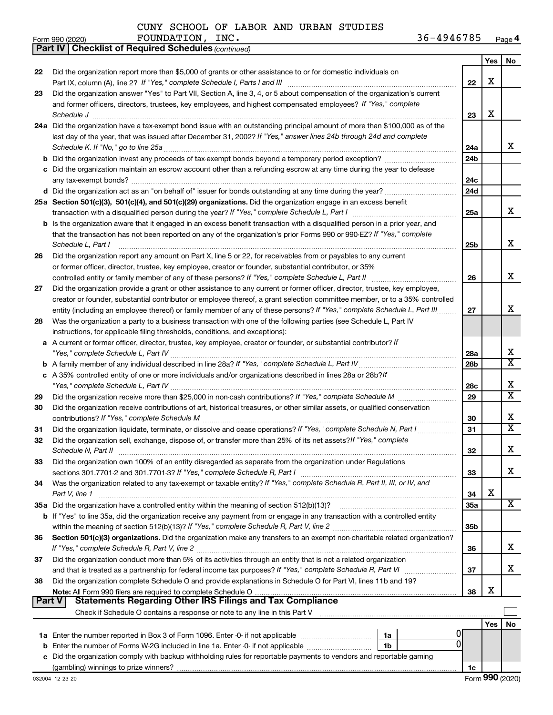*(continued)* **Part IV Checklist of Required Schedules**

|               |                                                                                                                                                                                                                                    |                 | Yes | No                      |
|---------------|------------------------------------------------------------------------------------------------------------------------------------------------------------------------------------------------------------------------------------|-----------------|-----|-------------------------|
| 22            | Did the organization report more than \$5,000 of grants or other assistance to or for domestic individuals on                                                                                                                      |                 |     |                         |
|               |                                                                                                                                                                                                                                    | 22              | x   |                         |
| 23            | Did the organization answer "Yes" to Part VII, Section A, line 3, 4, or 5 about compensation of the organization's current                                                                                                         |                 |     |                         |
|               | and former officers, directors, trustees, key employees, and highest compensated employees? If "Yes," complete                                                                                                                     |                 |     |                         |
|               | Schedule J <b>Execute J Execute Contract Contract Contract Contract Contract Contract Contract Contract Contract Contract Contract Contract Contract Contract Contract Contract Contract Contract Contract Contract Contract C</b> | 23              | х   |                         |
|               | 24a Did the organization have a tax-exempt bond issue with an outstanding principal amount of more than \$100,000 as of the                                                                                                        |                 |     |                         |
|               | last day of the year, that was issued after December 31, 2002? If "Yes," answer lines 24b through 24d and complete                                                                                                                 |                 |     |                         |
|               |                                                                                                                                                                                                                                    | 24a             |     | X                       |
|               | <b>b</b> Did the organization invest any proceeds of tax-exempt bonds beyond a temporary period exception?                                                                                                                         | 24b             |     |                         |
|               | c Did the organization maintain an escrow account other than a refunding escrow at any time during the year to defease                                                                                                             |                 |     |                         |
|               |                                                                                                                                                                                                                                    | 24c             |     |                         |
|               |                                                                                                                                                                                                                                    | 24d             |     |                         |
|               | 25a Section 501(c)(3), 501(c)(4), and 501(c)(29) organizations. Did the organization engage in an excess benefit                                                                                                                   |                 |     |                         |
|               |                                                                                                                                                                                                                                    | 25a             |     | x                       |
|               | b Is the organization aware that it engaged in an excess benefit transaction with a disqualified person in a prior year, and                                                                                                       |                 |     |                         |
|               | that the transaction has not been reported on any of the organization's prior Forms 990 or 990-EZ? If "Yes," complete                                                                                                              |                 |     |                         |
|               | Schedule L, Part I                                                                                                                                                                                                                 | 25 <sub>b</sub> |     | x                       |
| 26            | Did the organization report any amount on Part X, line 5 or 22, for receivables from or payables to any current                                                                                                                    |                 |     |                         |
|               | or former officer, director, trustee, key employee, creator or founder, substantial contributor, or 35%                                                                                                                            |                 |     | x                       |
|               | controlled entity or family member of any of these persons? If "Yes," complete Schedule L, Part II<br>Did the organization provide a grant or other assistance to any current or former officer, director, trustee, key employee,  | 26              |     |                         |
| 27            | creator or founder, substantial contributor or employee thereof, a grant selection committee member, or to a 35% controlled                                                                                                        |                 |     |                         |
|               | entity (including an employee thereof) or family member of any of these persons? If "Yes," complete Schedule L, Part III                                                                                                           | 27              |     | X                       |
| 28            | Was the organization a party to a business transaction with one of the following parties (see Schedule L, Part IV                                                                                                                  |                 |     |                         |
|               | instructions, for applicable filing thresholds, conditions, and exceptions):                                                                                                                                                       |                 |     |                         |
|               | a A current or former officer, director, trustee, key employee, creator or founder, or substantial contributor? If                                                                                                                 |                 |     |                         |
|               |                                                                                                                                                                                                                                    | 28a             |     | х                       |
|               |                                                                                                                                                                                                                                    | 28 <sub>b</sub> |     | $\overline{\mathtt{x}}$ |
|               | c A 35% controlled entity of one or more individuals and/or organizations described in lines 28a or 28b?/f                                                                                                                         |                 |     |                         |
|               |                                                                                                                                                                                                                                    | 28c             |     | X                       |
| 29            |                                                                                                                                                                                                                                    | 29              |     | $\overline{\mathtt{x}}$ |
| 30            | Did the organization receive contributions of art, historical treasures, or other similar assets, or qualified conservation                                                                                                        |                 |     |                         |
|               |                                                                                                                                                                                                                                    | 30              |     | x                       |
| 31            | Did the organization liquidate, terminate, or dissolve and cease operations? If "Yes," complete Schedule N, Part I                                                                                                                 | 31              |     | $\overline{\mathtt{x}}$ |
| 32            | Did the organization sell, exchange, dispose of, or transfer more than 25% of its net assets? If "Yes," complete                                                                                                                   |                 |     |                         |
|               |                                                                                                                                                                                                                                    | 32              |     | х                       |
| 33            | Did the organization own 100% of an entity disregarded as separate from the organization under Regulations                                                                                                                         |                 |     |                         |
|               | sections 301.7701-2 and 301.7701-3? If "Yes," complete Schedule R, Part I                                                                                                                                                          | 33              |     | x                       |
| 34            | Was the organization related to any tax-exempt or taxable entity? If "Yes," complete Schedule R, Part II, III, or IV, and                                                                                                          |                 |     |                         |
|               | Part V, line 1                                                                                                                                                                                                                     | 34              | х   | X                       |
|               | 35a Did the organization have a controlled entity within the meaning of section 512(b)(13)?                                                                                                                                        | 35a             |     |                         |
|               | b If "Yes" to line 35a, did the organization receive any payment from or engage in any transaction with a controlled entity                                                                                                        |                 |     |                         |
| 36            | Section 501(c)(3) organizations. Did the organization make any transfers to an exempt non-charitable related organization?                                                                                                         | 35b             |     |                         |
|               |                                                                                                                                                                                                                                    | 36              |     | x                       |
| 37            | Did the organization conduct more than 5% of its activities through an entity that is not a related organization                                                                                                                   |                 |     |                         |
|               |                                                                                                                                                                                                                                    | 37              |     | x                       |
| 38            | Did the organization complete Schedule O and provide explanations in Schedule O for Part VI, lines 11b and 19?                                                                                                                     |                 |     |                         |
|               |                                                                                                                                                                                                                                    | 38              | х   |                         |
| <b>Part V</b> | <b>Statements Regarding Other IRS Filings and Tax Compliance</b>                                                                                                                                                                   |                 |     |                         |
|               |                                                                                                                                                                                                                                    |                 |     |                         |
|               |                                                                                                                                                                                                                                    |                 | Yes | No                      |
|               | 0<br>1a                                                                                                                                                                                                                            |                 |     |                         |
|               | 0<br><b>b</b> Enter the number of Forms W-2G included in line 1a. Enter -0- if not applicable<br>1 <sub>b</sub>                                                                                                                    |                 |     |                         |
|               | c Did the organization comply with backup withholding rules for reportable payments to vendors and reportable gaming                                                                                                               |                 |     |                         |
|               |                                                                                                                                                                                                                                    | 1c              |     | Form 990 (2020)         |
|               | 032004 12-23-20                                                                                                                                                                                                                    |                 |     |                         |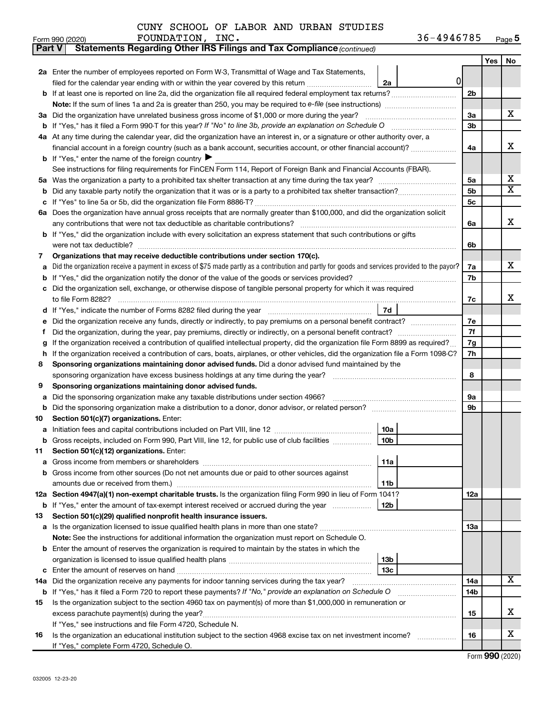|  |  |  |  |  | CUNY SCHOOL OF LABOR AND URBAN STUDIES |
|--|--|--|--|--|----------------------------------------|
|--|--|--|--|--|----------------------------------------|

| Part V | <b>Statements Regarding Other IRS Filings and Tax Compliance (continued)</b>                                                                    |                |     |                       |  |  |  |  |
|--------|-------------------------------------------------------------------------------------------------------------------------------------------------|----------------|-----|-----------------------|--|--|--|--|
|        |                                                                                                                                                 |                | Yes | No                    |  |  |  |  |
|        | 2a Enter the number of employees reported on Form W-3, Transmittal of Wage and Tax Statements,                                                  |                |     |                       |  |  |  |  |
|        | 01<br>filed for the calendar year ending with or within the year covered by this return<br>2a                                                   |                |     |                       |  |  |  |  |
| b      |                                                                                                                                                 | 2 <sub>b</sub> |     |                       |  |  |  |  |
|        |                                                                                                                                                 |                |     |                       |  |  |  |  |
|        | 3a Did the organization have unrelated business gross income of \$1,000 or more during the year?                                                | 3a             |     | x                     |  |  |  |  |
| b      |                                                                                                                                                 | 3b             |     |                       |  |  |  |  |
|        | 4a At any time during the calendar year, did the organization have an interest in, or a signature or other authority over, a                    |                |     |                       |  |  |  |  |
|        | financial account in a foreign country (such as a bank account, securities account, or other financial account)?                                | 4a             |     | X                     |  |  |  |  |
|        | <b>b</b> If "Yes," enter the name of the foreign country $\blacktriangleright$                                                                  |                |     |                       |  |  |  |  |
|        | See instructions for filing requirements for FinCEN Form 114, Report of Foreign Bank and Financial Accounts (FBAR).                             |                |     |                       |  |  |  |  |
| 5a     |                                                                                                                                                 | 5a             |     | х                     |  |  |  |  |
| b      |                                                                                                                                                 | 5 <sub>b</sub> |     | $\overline{\text{X}}$ |  |  |  |  |
| с      |                                                                                                                                                 | 5c             |     |                       |  |  |  |  |
|        | 6a Does the organization have annual gross receipts that are normally greater than \$100,000, and did the organization solicit                  |                |     |                       |  |  |  |  |
|        |                                                                                                                                                 | 6a             |     | X                     |  |  |  |  |
| b      | If "Yes," did the organization include with every solicitation an express statement that such contributions or gifts                            |                |     |                       |  |  |  |  |
|        | were not tax deductible?                                                                                                                        | 6b             |     |                       |  |  |  |  |
| 7      | Organizations that may receive deductible contributions under section 170(c).                                                                   |                |     |                       |  |  |  |  |
| a      | Did the organization receive a payment in excess of \$75 made partly as a contribution and partly for goods and services provided to the payor? | 7a             |     | x                     |  |  |  |  |
| b      |                                                                                                                                                 | 7b             |     |                       |  |  |  |  |
| с      | Did the organization sell, exchange, or otherwise dispose of tangible personal property for which it was required                               |                |     |                       |  |  |  |  |
|        |                                                                                                                                                 | 7c             |     | x                     |  |  |  |  |
| d      | 7d                                                                                                                                              | 7е             |     |                       |  |  |  |  |
|        | Did the organization receive any funds, directly or indirectly, to pay premiums on a personal benefit contract?<br>е                            |                |     |                       |  |  |  |  |
| f      |                                                                                                                                                 | 7f<br>7g       |     |                       |  |  |  |  |
|        | If the organization received a contribution of qualified intellectual property, did the organization file Form 8899 as required?                |                |     |                       |  |  |  |  |
| h      | If the organization received a contribution of cars, boats, airplanes, or other vehicles, did the organization file a Form 1098-C?              | 7h             |     |                       |  |  |  |  |
| 8      | Sponsoring organizations maintaining donor advised funds. Did a donor advised fund maintained by the                                            | 8              |     |                       |  |  |  |  |
| 9      | Sponsoring organizations maintaining donor advised funds.                                                                                       |                |     |                       |  |  |  |  |
| а      | Did the sponsoring organization make any taxable distributions under section 4966?                                                              | <b>9a</b>      |     |                       |  |  |  |  |
| b      |                                                                                                                                                 | 9 <sub>b</sub> |     |                       |  |  |  |  |
| 10     | Section 501(c)(7) organizations. Enter:                                                                                                         |                |     |                       |  |  |  |  |
| а      | 10a                                                                                                                                             |                |     |                       |  |  |  |  |
|        | 10 <sub>b</sub><br>Gross receipts, included on Form 990, Part VIII, line 12, for public use of club facilities                                  |                |     |                       |  |  |  |  |
| 11     | Section 501(c)(12) organizations. Enter:                                                                                                        |                |     |                       |  |  |  |  |
| а      | 11a                                                                                                                                             |                |     |                       |  |  |  |  |
| b      | Gross income from other sources (Do not net amounts due or paid to other sources against                                                        |                |     |                       |  |  |  |  |
|        | amounts due or received from them.)<br>11 <sub>b</sub>                                                                                          |                |     |                       |  |  |  |  |
|        | 12a Section 4947(a)(1) non-exempt charitable trusts. Is the organization filing Form 990 in lieu of Form 1041?                                  | 12a            |     |                       |  |  |  |  |
|        | 12 <sub>b</sub><br><b>b</b> If "Yes," enter the amount of tax-exempt interest received or accrued during the year                               |                |     |                       |  |  |  |  |
| 13     | Section 501(c)(29) qualified nonprofit health insurance issuers.                                                                                |                |     |                       |  |  |  |  |
| a      | Is the organization licensed to issue qualified health plans in more than one state?                                                            | 13a            |     |                       |  |  |  |  |
|        | Note: See the instructions for additional information the organization must report on Schedule O.                                               |                |     |                       |  |  |  |  |
| b      | Enter the amount of reserves the organization is required to maintain by the states in which the                                                |                |     |                       |  |  |  |  |
|        | 13 <sub>b</sub>                                                                                                                                 |                |     |                       |  |  |  |  |
| с      | 13c                                                                                                                                             |                |     |                       |  |  |  |  |
| 14a    | Did the organization receive any payments for indoor tanning services during the tax year?                                                      |                |     |                       |  |  |  |  |
|        | <b>b</b> If "Yes," has it filed a Form 720 to report these payments? If "No," provide an explanation on Schedule O                              | 14b            |     |                       |  |  |  |  |
| 15     | Is the organization subject to the section 4960 tax on payment(s) of more than \$1,000,000 in remuneration or                                   |                |     |                       |  |  |  |  |
|        |                                                                                                                                                 | 15             |     | x                     |  |  |  |  |
|        | If "Yes," see instructions and file Form 4720, Schedule N.                                                                                      |                |     |                       |  |  |  |  |
| 16     | Is the organization an educational institution subject to the section 4968 excise tax on net investment income?                                 | 16             |     | х                     |  |  |  |  |
|        | If "Yes," complete Form 4720, Schedule O.                                                                                                       |                |     |                       |  |  |  |  |

Form (2020) **990**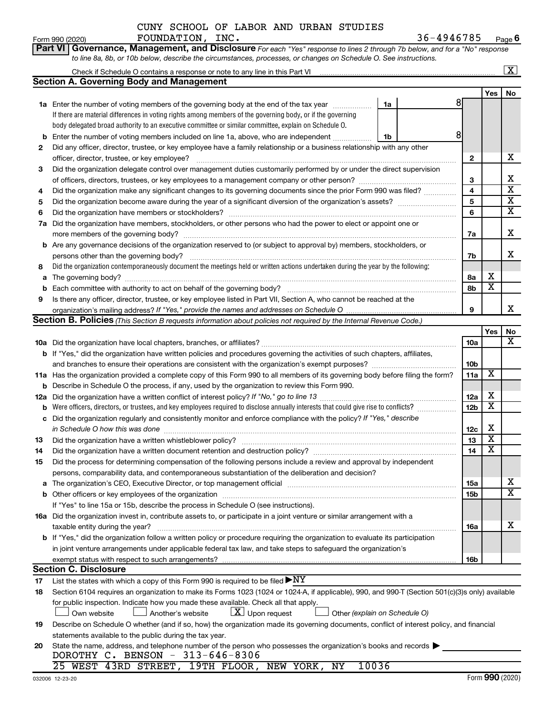|  |  |  | CUNY SCHOOL OF LABOR AND URBAN STUDIES |
|--|--|--|----------------------------------------|
|  |  |  |                                        |

**Part VI** Governance, Management, and Disclosure For each "Yes" response to lines 2 through 7b below, and for a "No" response

Form 990 (2020) FOUNDATION , INC .  $36-4946785$  Page **6**

|    | to line 8a, 8b, or 10b below, describe the circumstances, processes, or changes on Schedule O. See instructions.                                 |                 |                         |                         |  |  |  |  |  |  |
|----|--------------------------------------------------------------------------------------------------------------------------------------------------|-----------------|-------------------------|-------------------------|--|--|--|--|--|--|
|    | Check if Schedule O contains a response or note to any line in this Part VI                                                                      |                 |                         | $\overline{\mathbf{x}}$ |  |  |  |  |  |  |
|    | <b>Section A. Governing Body and Management</b>                                                                                                  |                 |                         |                         |  |  |  |  |  |  |
|    |                                                                                                                                                  |                 | Yes                     | No                      |  |  |  |  |  |  |
|    | 8<br>1a Enter the number of voting members of the governing body at the end of the tax year<br>1a                                                |                 |                         |                         |  |  |  |  |  |  |
|    | If there are material differences in voting rights among members of the governing body, or if the governing                                      |                 |                         |                         |  |  |  |  |  |  |
|    | body delegated broad authority to an executive committee or similar committee, explain on Schedule O.                                            |                 |                         |                         |  |  |  |  |  |  |
| b  | 8 <sup>1</sup><br>Enter the number of voting members included on line 1a, above, who are independent<br>1b                                       |                 |                         |                         |  |  |  |  |  |  |
| 2  | Did any officer, director, trustee, or key employee have a family relationship or a business relationship with any other                         |                 |                         |                         |  |  |  |  |  |  |
|    | officer, director, trustee, or key employee?                                                                                                     |                 |                         |                         |  |  |  |  |  |  |
| 3  | Did the organization delegate control over management duties customarily performed by or under the direct supervision                            | 2               |                         |                         |  |  |  |  |  |  |
|    |                                                                                                                                                  | 3               |                         | Х                       |  |  |  |  |  |  |
| 4  | Did the organization make any significant changes to its governing documents since the prior Form 990 was filed?                                 | 4               |                         | $\overline{\textbf{x}}$ |  |  |  |  |  |  |
| 5  |                                                                                                                                                  | 5               |                         | х                       |  |  |  |  |  |  |
| 6  |                                                                                                                                                  | 6               |                         | х                       |  |  |  |  |  |  |
| 7a | Did the organization have members, stockholders, or other persons who had the power to elect or appoint one or                                   |                 |                         |                         |  |  |  |  |  |  |
|    |                                                                                                                                                  | 7a              |                         | х                       |  |  |  |  |  |  |
|    | <b>b</b> Are any governance decisions of the organization reserved to (or subject to approval by) members, stockholders, or                      |                 |                         |                         |  |  |  |  |  |  |
|    | persons other than the governing body?                                                                                                           | 7b              |                         | x                       |  |  |  |  |  |  |
| 8  | Did the organization contemporaneously document the meetings held or written actions undertaken during the year by the following:                |                 |                         |                         |  |  |  |  |  |  |
| а  |                                                                                                                                                  | 8a              | х                       |                         |  |  |  |  |  |  |
| b  |                                                                                                                                                  | 8b              | $\overline{\textbf{x}}$ |                         |  |  |  |  |  |  |
| 9  | Is there any officer, director, trustee, or key employee listed in Part VII, Section A, who cannot be reached at the                             |                 |                         |                         |  |  |  |  |  |  |
|    | organization's mailing address? If "Yes," provide the names and addresses on Schedule O.                                                         | 9               |                         | x                       |  |  |  |  |  |  |
|    | <b>Section B. Policies</b> (This Section B requests information about policies not required by the Internal Revenue Code.)                       |                 |                         |                         |  |  |  |  |  |  |
|    |                                                                                                                                                  |                 | Yes                     | No                      |  |  |  |  |  |  |
|    |                                                                                                                                                  | 10a             |                         | x                       |  |  |  |  |  |  |
|    | b If "Yes," did the organization have written policies and procedures governing the activities of such chapters, affiliates,                     |                 |                         |                         |  |  |  |  |  |  |
|    |                                                                                                                                                  | 10b             |                         |                         |  |  |  |  |  |  |
|    | 11a Has the organization provided a complete copy of this Form 990 to all members of its governing body before filing the form?                  | 11a             | X                       |                         |  |  |  |  |  |  |
|    | <b>b</b> Describe in Schedule O the process, if any, used by the organization to review this Form 990.                                           |                 |                         |                         |  |  |  |  |  |  |
|    |                                                                                                                                                  | 12a             | х                       |                         |  |  |  |  |  |  |
| b  | Were officers, directors, or trustees, and key employees required to disclose annually interests that could give rise to conflicts?              | 12b             | $\overline{\mathbf{x}}$ |                         |  |  |  |  |  |  |
| c  | Did the organization regularly and consistently monitor and enforce compliance with the policy? If "Yes," describe                               |                 |                         |                         |  |  |  |  |  |  |
|    | in Schedule O how this was done                                                                                                                  | 12c             | X                       |                         |  |  |  |  |  |  |
| 13 |                                                                                                                                                  | 13              | $\overline{\mathbf{X}}$ |                         |  |  |  |  |  |  |
| 14 |                                                                                                                                                  | 14              | $\overline{\mathbf{X}}$ |                         |  |  |  |  |  |  |
| 15 | Did the process for determining compensation of the following persons include a review and approval by independent                               |                 |                         |                         |  |  |  |  |  |  |
|    | persons, comparability data, and contemporaneous substantiation of the deliberation and decision?                                                |                 |                         |                         |  |  |  |  |  |  |
| a  |                                                                                                                                                  | 15a             |                         | х                       |  |  |  |  |  |  |
| b  |                                                                                                                                                  | 15 <sub>b</sub> |                         | х                       |  |  |  |  |  |  |
|    | If "Yes" to line 15a or 15b, describe the process in Schedule O (see instructions).                                                              |                 |                         |                         |  |  |  |  |  |  |
|    | 16a Did the organization invest in, contribute assets to, or participate in a joint venture or similar arrangement with a                        |                 |                         |                         |  |  |  |  |  |  |
|    | taxable entity during the year?                                                                                                                  | 16a             |                         | х                       |  |  |  |  |  |  |
|    | b If "Yes," did the organization follow a written policy or procedure requiring the organization to evaluate its participation                   |                 |                         |                         |  |  |  |  |  |  |
|    | in joint venture arrangements under applicable federal tax law, and take steps to safeguard the organization's                                   |                 |                         |                         |  |  |  |  |  |  |
|    |                                                                                                                                                  | 16b             |                         |                         |  |  |  |  |  |  |
|    | <b>Section C. Disclosure</b>                                                                                                                     |                 |                         |                         |  |  |  |  |  |  |
| 17 | List the states with which a copy of this Form 990 is required to be filed $\blacktriangleright\text{NY}$                                        |                 |                         |                         |  |  |  |  |  |  |
| 18 | Section 6104 requires an organization to make its Forms 1023 (1024 or 1024-A, if applicable), 990, and 990-T (Section 501(c)(3)s only) available |                 |                         |                         |  |  |  |  |  |  |
|    | for public inspection. Indicate how you made these available. Check all that apply.                                                              |                 |                         |                         |  |  |  |  |  |  |
|    | $ \mathbf{X} $ Upon request<br>Own website<br>Another's website<br>Other (explain on Schedule O)                                                 |                 |                         |                         |  |  |  |  |  |  |
| 19 | Describe on Schedule O whether (and if so, how) the organization made its governing documents, conflict of interest policy, and financial        |                 |                         |                         |  |  |  |  |  |  |
|    | statements available to the public during the tax year.                                                                                          |                 |                         |                         |  |  |  |  |  |  |
| 20 | State the name, address, and telephone number of the person who possesses the organization's books and records                                   |                 |                         |                         |  |  |  |  |  |  |
|    | DOROTHY C. BENSON - 313-646-8306                                                                                                                 |                 |                         |                         |  |  |  |  |  |  |
|    | 10036<br>25 WEST 43RD STREET, 19TH FLOOR, NEW YORK, NY                                                                                           |                 |                         |                         |  |  |  |  |  |  |
|    |                                                                                                                                                  |                 |                         |                         |  |  |  |  |  |  |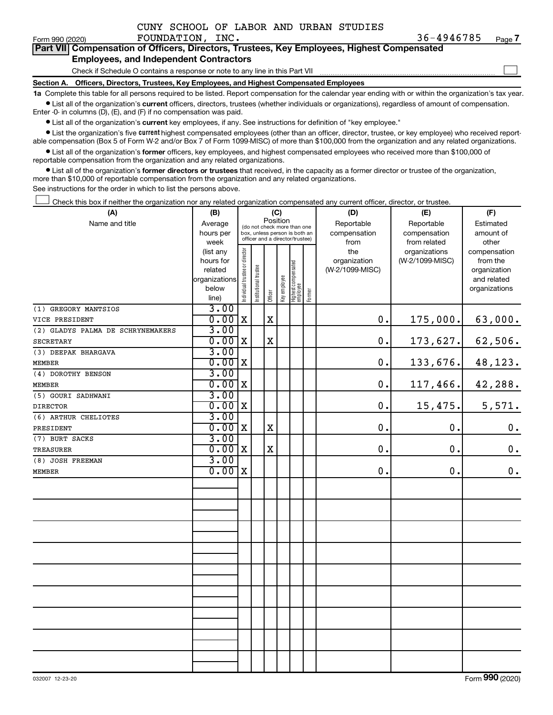|  |  |  | CUNY SCHOOL OF LABOR AND URBAN STUDIES |
|--|--|--|----------------------------------------|
|  |  |  |                                        |

 $\Box$ 

| --------------- |                                                                                            |  |  |
|-----------------|--------------------------------------------------------------------------------------------|--|--|
|                 | Part VII Compensation of Officers, Directors, Trustees, Key Employees, Highest Compensated |  |  |
|                 | <b>Employees, and Independent Contractors</b>                                              |  |  |

Check if Schedule O contains a response or note to any line in this Part VII

**Section A. Officers, Directors, Trustees, Key Employees, and Highest Compensated Employees**

**1a**  Complete this table for all persons required to be listed. Report compensation for the calendar year ending with or within the organization's tax year.  $\bullet$  List all of the organization's current officers, directors, trustees (whether individuals or organizations), regardless of amount of compensation.

Enter -0- in columns (D), (E), and (F) if no compensation was paid.

**•** List all of the organization's current key employees, if any. See instructions for definition of "key employee."

• List the organization's five *current* highest compensated employees (other than an officer, director, trustee, or key employee) who received reportable compensation (Box 5 of Form W-2 and/or Box 7 of Form 1099-MISC) of more than \$100,000 from the organization and any related organizations.

 $\bullet$  List all of the organization's former officers, key employees, and highest compensated employees who received more than \$100,000 of reportable compensation from the organization and any related organizations.

**•** List all of the organization's former directors or trustees that received, in the capacity as a former director or trustee of the organization, more than \$10,000 of reportable compensation from the organization and any related organizations.

See instructions for the order in which to list the persons above.

Check this box if neither the organization nor any related organization compensated any current officer, director, or trustee.  $\Box$ 

| (A)                               | (B)           | (C)                            |                                         |             |                                 |                                   |        | (D)             | (E)             | (F)           |  |  |
|-----------------------------------|---------------|--------------------------------|-----------------------------------------|-------------|---------------------------------|-----------------------------------|--------|-----------------|-----------------|---------------|--|--|
| Name and title                    | Average       |                                | Position<br>(do not check more than one |             |                                 |                                   |        | Reportable      | Reportable      | Estimated     |  |  |
|                                   | hours per     |                                | box, unless person is both an           |             |                                 |                                   |        | compensation    | compensation    | amount of     |  |  |
|                                   | week          |                                |                                         |             | officer and a director/trustee) |                                   |        | from            | from related    | other         |  |  |
|                                   | (list any     |                                |                                         |             |                                 |                                   |        | the             | organizations   | compensation  |  |  |
|                                   | hours for     |                                |                                         |             |                                 |                                   |        | organization    | (W-2/1099-MISC) | from the      |  |  |
|                                   | related       |                                |                                         |             |                                 |                                   |        | (W-2/1099-MISC) |                 | organization  |  |  |
|                                   | organizations |                                |                                         |             |                                 |                                   |        |                 |                 | and related   |  |  |
|                                   | below         |                                |                                         |             |                                 |                                   |        |                 |                 | organizations |  |  |
|                                   | line)         | Individual trustee or director | Institutional trustee                   | Officer     | Key employee                    | Highest compensated<br>  employee | Former |                 |                 |               |  |  |
| (1) GREGORY MANTSIOS              | 3.00          |                                |                                         |             |                                 |                                   |        |                 |                 |               |  |  |
| VICE PRESIDENT                    | 0.00          | $\mathbf X$                    |                                         | $\mathbf x$ |                                 |                                   |        | 0.              | 175,000.        | 63,000.       |  |  |
| (2) GLADYS PALMA DE SCHRYNEMAKERS | 3.00          |                                |                                         |             |                                 |                                   |        |                 |                 |               |  |  |
| SECRETARY                         | 0.00          | X                              |                                         | $\mathbf X$ |                                 |                                   |        | 0.              | 173,627.        | 62,506.       |  |  |
| (3) DEEPAK BHARGAVA               | 3.00          |                                |                                         |             |                                 |                                   |        |                 |                 |               |  |  |
| <b>MEMBER</b>                     | 0.00          | X                              |                                         |             |                                 |                                   |        | 0.              | 133,676.        | 48,123.       |  |  |
| (4) DOROTHY BENSON                | 3.00          |                                |                                         |             |                                 |                                   |        |                 |                 |               |  |  |
| <b>MEMBER</b>                     | 0.00          | X                              |                                         |             |                                 |                                   |        | 0.              | 117,466.        | 42,288.       |  |  |
| (5) GOURI SADHWANI                | 3.00          |                                |                                         |             |                                 |                                   |        |                 |                 |               |  |  |
| <b>DIRECTOR</b>                   | 0.00          | X                              |                                         |             |                                 |                                   |        | 0.              | 15,475.         | 5,571.        |  |  |
| (6) ARTHUR CHELIOTES              | 3.00          |                                |                                         |             |                                 |                                   |        |                 |                 |               |  |  |
| PRESIDENT                         | 0.00          | X                              |                                         | $\mathbf X$ |                                 |                                   |        | 0.              | $\mathbf 0$ .   | $\mathbf 0$ . |  |  |
| (7) BURT SACKS                    | 3.00          |                                |                                         |             |                                 |                                   |        |                 |                 |               |  |  |
| <b>TREASURER</b>                  | 0.00          | X                              |                                         | $\mathbf x$ |                                 |                                   |        | 0.              | 0.              | $\mathbf 0$ . |  |  |
| (8) JOSH FREEMAN                  | 3.00          |                                |                                         |             |                                 |                                   |        |                 |                 |               |  |  |
| <b>MEMBER</b>                     | 0.00          | X                              |                                         |             |                                 |                                   |        | 0.              | 0.              | $\mathbf 0$ . |  |  |
|                                   |               |                                |                                         |             |                                 |                                   |        |                 |                 |               |  |  |
|                                   |               |                                |                                         |             |                                 |                                   |        |                 |                 |               |  |  |
|                                   |               |                                |                                         |             |                                 |                                   |        |                 |                 |               |  |  |
|                                   |               |                                |                                         |             |                                 |                                   |        |                 |                 |               |  |  |
|                                   |               |                                |                                         |             |                                 |                                   |        |                 |                 |               |  |  |
|                                   |               |                                |                                         |             |                                 |                                   |        |                 |                 |               |  |  |
|                                   |               |                                |                                         |             |                                 |                                   |        |                 |                 |               |  |  |
|                                   |               |                                |                                         |             |                                 |                                   |        |                 |                 |               |  |  |
|                                   |               |                                |                                         |             |                                 |                                   |        |                 |                 |               |  |  |
|                                   |               |                                |                                         |             |                                 |                                   |        |                 |                 |               |  |  |
|                                   |               |                                |                                         |             |                                 |                                   |        |                 |                 |               |  |  |
|                                   |               |                                |                                         |             |                                 |                                   |        |                 |                 |               |  |  |
|                                   |               |                                |                                         |             |                                 |                                   |        |                 |                 |               |  |  |
|                                   |               |                                |                                         |             |                                 |                                   |        |                 |                 |               |  |  |
|                                   |               |                                |                                         |             |                                 |                                   |        |                 |                 |               |  |  |
|                                   |               |                                |                                         |             |                                 |                                   |        |                 |                 |               |  |  |
|                                   |               |                                |                                         |             |                                 |                                   |        |                 |                 |               |  |  |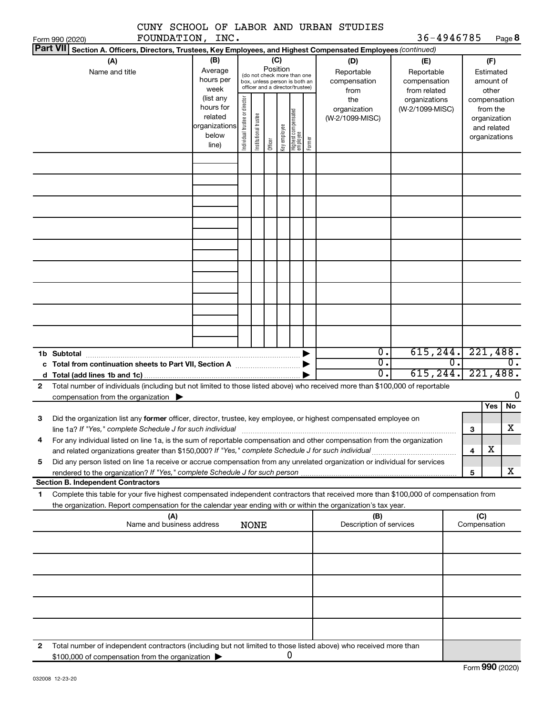|              |                                                                                                                                      |               |                                |                       |          |              |                                                              |        | CUNY SCHOOL OF LABOR AND URBAN STUDIES |                 |    |              |               |          |
|--------------|--------------------------------------------------------------------------------------------------------------------------------------|---------------|--------------------------------|-----------------------|----------|--------------|--------------------------------------------------------------|--------|----------------------------------------|-----------------|----|--------------|---------------|----------|
|              | FOUNDATION, INC.<br>Form 990 (2020)                                                                                                  |               |                                |                       |          |              |                                                              |        |                                        | 36-4946785      |    |              |               | Page 8   |
|              | Part VII Section A. Officers, Directors, Trustees, Key Employees, and Highest Compensated Employees (continued)<br>(A)               | (B)           |                                |                       |          | (C)          |                                                              |        | (D)                                    | (E)             |    |              | (F)           |          |
|              | Name and title                                                                                                                       | Average       |                                |                       | Position |              |                                                              |        | Reportable                             | Reportable      |    |              | Estimated     |          |
|              |                                                                                                                                      | hours per     |                                |                       |          |              | (do not check more than one<br>box, unless person is both an |        | compensation                           | compensation    |    |              | amount of     |          |
|              |                                                                                                                                      | week          |                                |                       |          |              | officer and a director/trustee)                              |        | from                                   | from related    |    |              | other         |          |
|              |                                                                                                                                      | (list any     |                                |                       |          |              |                                                              |        | the                                    | organizations   |    |              | compensation  |          |
|              |                                                                                                                                      | hours for     |                                |                       |          |              |                                                              |        | organization                           | (W-2/1099-MISC) |    |              | from the      |          |
|              |                                                                                                                                      | related       |                                |                       |          |              |                                                              |        | (W-2/1099-MISC)                        |                 |    |              | organization  |          |
|              |                                                                                                                                      | organizations | Individual trustee or director | Institutional trustee |          |              | Highest compensated<br>employee                              |        |                                        |                 |    |              | and related   |          |
|              |                                                                                                                                      | below         |                                |                       |          | key employee |                                                              | Former |                                        |                 |    |              | organizations |          |
|              |                                                                                                                                      | line)         |                                |                       | Officer  |              |                                                              |        |                                        |                 |    |              |               |          |
|              |                                                                                                                                      |               |                                |                       |          |              |                                                              |        |                                        |                 |    |              |               |          |
|              |                                                                                                                                      |               |                                |                       |          |              |                                                              |        |                                        |                 |    |              |               |          |
|              |                                                                                                                                      |               |                                |                       |          |              |                                                              |        |                                        |                 |    |              |               |          |
|              |                                                                                                                                      |               |                                |                       |          |              |                                                              |        |                                        |                 |    |              |               |          |
|              |                                                                                                                                      |               |                                |                       |          |              |                                                              |        |                                        |                 |    |              |               |          |
|              |                                                                                                                                      |               |                                |                       |          |              |                                                              |        |                                        |                 |    |              |               |          |
|              |                                                                                                                                      |               |                                |                       |          |              |                                                              |        |                                        |                 |    |              |               |          |
|              |                                                                                                                                      |               |                                |                       |          |              |                                                              |        |                                        |                 |    |              |               |          |
|              |                                                                                                                                      |               |                                |                       |          |              |                                                              |        |                                        |                 |    |              |               |          |
|              |                                                                                                                                      |               |                                |                       |          |              |                                                              |        |                                        |                 |    |              |               |          |
|              |                                                                                                                                      |               |                                |                       |          |              |                                                              |        |                                        |                 |    |              |               |          |
|              |                                                                                                                                      |               |                                |                       |          |              |                                                              |        |                                        |                 |    |              |               |          |
|              |                                                                                                                                      |               |                                |                       |          |              |                                                              |        |                                        |                 |    |              |               |          |
|              |                                                                                                                                      |               |                                |                       |          |              |                                                              |        |                                        |                 |    |              |               |          |
|              |                                                                                                                                      |               |                                |                       |          |              |                                                              |        |                                        |                 |    |              |               |          |
|              |                                                                                                                                      |               |                                |                       |          |              |                                                              |        |                                        |                 |    |              |               |          |
|              |                                                                                                                                      |               |                                |                       |          |              |                                                              |        |                                        |                 |    |              |               |          |
|              |                                                                                                                                      |               |                                |                       |          |              |                                                              |        |                                        |                 |    |              |               |          |
|              |                                                                                                                                      |               |                                |                       |          |              |                                                              |        | $\overline{0}$ .                       | 615, 244.       |    |              |               | 221,488. |
|              |                                                                                                                                      |               |                                |                       |          |              |                                                              |        | $\overline{0}$ .                       |                 | 0. |              |               | 0.       |
|              |                                                                                                                                      |               |                                |                       |          |              |                                                              |        | $\overline{0}$ .                       | 615, 244.       |    |              |               | 221,488. |
| $\mathbf{2}$ | Total number of individuals (including but not limited to those listed above) who received more than \$100,000 of reportable         |               |                                |                       |          |              |                                                              |        |                                        |                 |    |              |               |          |
|              | compensation from the organization $\blacktriangleright$                                                                             |               |                                |                       |          |              |                                                              |        |                                        |                 |    |              |               | 0        |
|              |                                                                                                                                      |               |                                |                       |          |              |                                                              |        |                                        |                 |    |              | Yes           | No       |
| З            | Did the organization list any former officer, director, trustee, key employee, or highest compensated employee on                    |               |                                |                       |          |              |                                                              |        |                                        |                 |    |              |               |          |
|              | line 1a? If "Yes," complete Schedule J for such individual                                                                           |               |                                |                       |          |              |                                                              |        |                                        |                 |    | 3            |               | x        |
| 4            | For any individual listed on line 1a, is the sum of reportable compensation and other compensation from the organization             |               |                                |                       |          |              |                                                              |        |                                        |                 |    |              |               |          |
|              |                                                                                                                                      |               |                                |                       |          |              |                                                              |        |                                        |                 |    | 4            | х             |          |
| 5            | Did any person listed on line 1a receive or accrue compensation from any unrelated organization or individual for services           |               |                                |                       |          |              |                                                              |        |                                        |                 |    |              |               |          |
|              |                                                                                                                                      |               |                                |                       |          |              |                                                              |        |                                        |                 |    | 5            |               | х        |
|              | <b>Section B. Independent Contractors</b>                                                                                            |               |                                |                       |          |              |                                                              |        |                                        |                 |    |              |               |          |
| 1            | Complete this table for your five highest compensated independent contractors that received more than \$100,000 of compensation from |               |                                |                       |          |              |                                                              |        |                                        |                 |    |              |               |          |
|              | the organization. Report compensation for the calendar year ending with or within the organization's tax year.                       |               |                                |                       |          |              |                                                              |        |                                        |                 |    |              |               |          |
|              | (A)                                                                                                                                  |               |                                |                       |          |              |                                                              |        | (B)                                    |                 |    | (C)          |               |          |
|              | Name and business address                                                                                                            |               |                                | <b>NONE</b>           |          |              |                                                              |        | Description of services                |                 |    | Compensation |               |          |
|              |                                                                                                                                      |               |                                |                       |          |              |                                                              |        |                                        |                 |    |              |               |          |
|              |                                                                                                                                      |               |                                |                       |          |              |                                                              |        |                                        |                 |    |              |               |          |
|              |                                                                                                                                      |               |                                |                       |          |              |                                                              |        |                                        |                 |    |              |               |          |
|              |                                                                                                                                      |               |                                |                       |          |              |                                                              |        |                                        |                 |    |              |               |          |
|              |                                                                                                                                      |               |                                |                       |          |              |                                                              |        |                                        |                 |    |              |               |          |
|              |                                                                                                                                      |               |                                |                       |          |              |                                                              |        |                                        |                 |    |              |               |          |
|              |                                                                                                                                      |               |                                |                       |          |              |                                                              |        |                                        |                 |    |              |               |          |
|              |                                                                                                                                      |               |                                |                       |          |              |                                                              |        |                                        |                 |    |              |               |          |
|              |                                                                                                                                      |               |                                |                       |          |              |                                                              |        |                                        |                 |    |              |               |          |
| 2            | Total number of independent contractors (including but not limited to those listed above) who received more than                     |               |                                |                       |          |              |                                                              |        |                                        |                 |    |              |               |          |
|              | \$100,000 of compensation from the organization                                                                                      |               |                                |                       |          |              | 0                                                            |        |                                        |                 |    |              |               |          |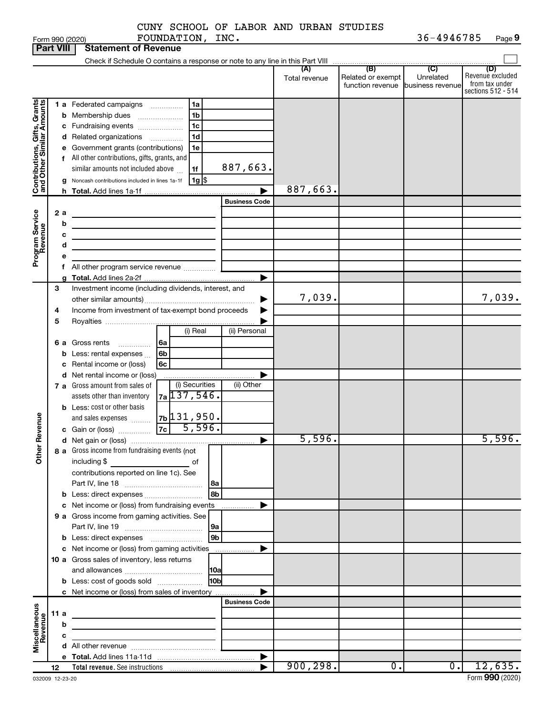CUNY SCHOOL OF LABOR AND URBAN STUDIES FOUNDATION, INC. 36-4946785

 $\frac{1}{100}$  Form 990 (2020) Page Proposed by Page Proposed by Page Proposed by Page Proposed by Page Proposed by Page Proposed by Page Proposed by Page Proposed by Page Proposed by Proposed by Proposed by Proposed by Prop **9**

|                                                           | <b>Part VIII</b> |                  | <b>Statement of Revenue</b>                                                                                                                                                                                                                                                                                                                                                      |                      |                      |                                              |                                      |                                                                 |
|-----------------------------------------------------------|------------------|------------------|----------------------------------------------------------------------------------------------------------------------------------------------------------------------------------------------------------------------------------------------------------------------------------------------------------------------------------------------------------------------------------|----------------------|----------------------|----------------------------------------------|--------------------------------------|-----------------------------------------------------------------|
|                                                           |                  |                  | Check if Schedule O contains a response or note to any line in this Part VIII                                                                                                                                                                                                                                                                                                    |                      |                      |                                              |                                      |                                                                 |
|                                                           |                  |                  |                                                                                                                                                                                                                                                                                                                                                                                  |                      | (A)<br>Total revenue | (B)<br>Related or exempt<br>function revenue | (C)<br>Unrelated<br>business revenue | (D)<br>Revenue excluded<br>from tax under<br>sections 512 - 514 |
| Contributions, Gifts, Grants<br>and Other Similar Amounts |                  | b<br>с<br>е<br>g | 1 a Federated campaigns<br>1a<br>1 <sub>b</sub><br>Membership dues<br>$\ldots \ldots \ldots \ldots \ldots$<br>1c<br>Fundraising events<br>1d<br>d Related organizations<br>.<br>Government grants (contributions)<br>1e<br>f All other contributions, gifts, grants, and<br>similar amounts not included above<br>1f<br>$1g$ \$<br>Noncash contributions included in lines 1a-1f | 887,663.             | 887,663.             |                                              |                                      |                                                                 |
|                                                           |                  |                  |                                                                                                                                                                                                                                                                                                                                                                                  | <b>Business Code</b> |                      |                                              |                                      |                                                                 |
| Program Service<br>Revenue                                | 2a<br>b          | с<br>d           | <u> 1989 - Johann Barn, mars ann an t-</u><br><u> 1989 - Johann John Stone, meilich aus der Stone († 1908)</u><br>the control of the control of the control of the control of<br>f All other program service revenue                                                                                                                                                             | ▶                    |                      |                                              |                                      |                                                                 |
|                                                           | 3<br>4<br>5      |                  | Investment income (including dividends, interest, and<br>Income from investment of tax-exempt bond proceeds                                                                                                                                                                                                                                                                      |                      | 7,039.               |                                              |                                      | 7,039.                                                          |
|                                                           |                  | b<br>c           | (i) Real<br>6 a Gross rents<br>l 6a<br>.<br>Less: rental expenses<br>6 <sub>b</sub><br>Rental income or (loss)<br>6c                                                                                                                                                                                                                                                             | (ii) Personal        |                      |                                              |                                      |                                                                 |
|                                                           |                  |                  | d Net rental income or (loss)<br>(i) Securities<br>7 a Gross amount from sales of<br><sub>7a</sub> 137, 546.<br>assets other than inventory<br><b>b</b> Less: cost or other basis                                                                                                                                                                                                | (ii) Other           |                      |                                              |                                      |                                                                 |
| Revenue                                                   |                  |                  | $7b$ 131,950.<br>and sales expenses<br>$7c$ 5,596.<br>c Gain or (loss)                                                                                                                                                                                                                                                                                                           |                      |                      |                                              |                                      |                                                                 |
|                                                           |                  |                  |                                                                                                                                                                                                                                                                                                                                                                                  | ▶                    | 5,596.               |                                              |                                      | 5,596.                                                          |
| Ĕ                                                         |                  |                  | 8 a Gross income from fundraising events (not<br>including \$<br>of<br>contributions reported on line 1c). See                                                                                                                                                                                                                                                                   |                      |                      |                                              |                                      |                                                                 |
|                                                           |                  |                  | 8b                                                                                                                                                                                                                                                                                                                                                                               |                      |                      |                                              |                                      |                                                                 |
|                                                           |                  |                  | c Net income or (loss) from fundraising events                                                                                                                                                                                                                                                                                                                                   | .                    |                      |                                              |                                      |                                                                 |
|                                                           |                  |                  | 9 a Gross income from gaming activities. See<br> 9a                                                                                                                                                                                                                                                                                                                              |                      |                      |                                              |                                      |                                                                 |
|                                                           |                  |                  | 9 <sub>b</sub>                                                                                                                                                                                                                                                                                                                                                                   |                      |                      |                                              |                                      |                                                                 |
|                                                           |                  |                  | c Net income or (loss) from gaming activities                                                                                                                                                                                                                                                                                                                                    | ▶                    |                      |                                              |                                      |                                                                 |
|                                                           |                  |                  | 10 a Gross sales of inventory, less returns                                                                                                                                                                                                                                                                                                                                      |                      |                      |                                              |                                      |                                                                 |
|                                                           |                  |                  | H <sub>0b</sub><br><b>b</b> Less: cost of goods sold                                                                                                                                                                                                                                                                                                                             |                      |                      |                                              |                                      |                                                                 |
|                                                           |                  |                  | c Net income or (loss) from sales of inventory                                                                                                                                                                                                                                                                                                                                   | <b>Business Code</b> |                      |                                              |                                      |                                                                 |
| Miscellaneous<br>Revenue                                  | 11 a             |                  | the control of the control of the control of the control of the control of                                                                                                                                                                                                                                                                                                       |                      |                      |                                              |                                      |                                                                 |
|                                                           |                  | b                | the control of the control of the control of the control of the control of                                                                                                                                                                                                                                                                                                       |                      |                      |                                              |                                      |                                                                 |
|                                                           |                  | с                | the control of the control of the control of the                                                                                                                                                                                                                                                                                                                                 |                      |                      |                                              |                                      |                                                                 |
|                                                           |                  |                  |                                                                                                                                                                                                                                                                                                                                                                                  |                      |                      |                                              |                                      |                                                                 |
|                                                           | 12               |                  |                                                                                                                                                                                                                                                                                                                                                                                  |                      | 900, 298.            | 0.                                           | 0.1                                  | 12,635.                                                         |
|                                                           |                  |                  |                                                                                                                                                                                                                                                                                                                                                                                  |                      |                      |                                              |                                      |                                                                 |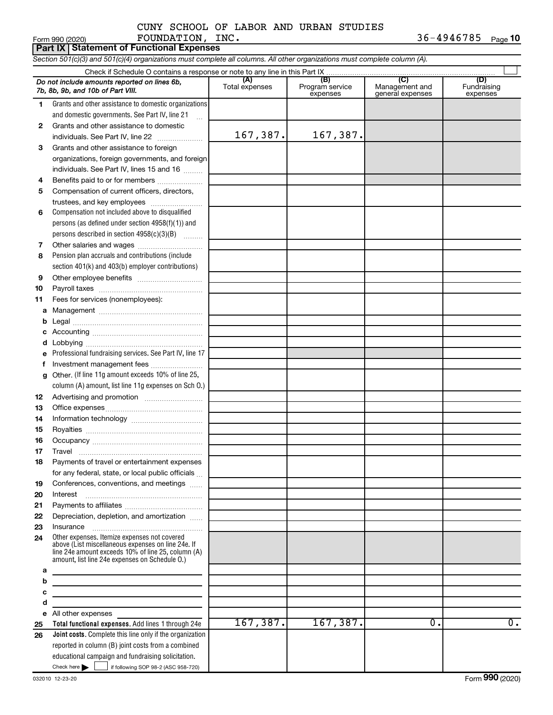### Form 990 (2020) FOUNDATION , INC .  $36-4946785$  Page CUNY SCHOOL OF LABOR AND URBAN STUDIES

36-4946785 Page 10

|          | <b>Part IX Statement of Functional Expenses</b>                                                                                                            |                       |                                    |                                           |                                |  |  |  |  |  |  |
|----------|------------------------------------------------------------------------------------------------------------------------------------------------------------|-----------------------|------------------------------------|-------------------------------------------|--------------------------------|--|--|--|--|--|--|
|          | Section 501(c)(3) and 501(c)(4) organizations must complete all columns. All other organizations must complete column (A).                                 |                       |                                    |                                           |                                |  |  |  |  |  |  |
|          |                                                                                                                                                            |                       |                                    |                                           |                                |  |  |  |  |  |  |
|          | Do not include amounts reported on lines 6b,<br>7b, 8b, 9b, and 10b of Part VIII.                                                                          | (A)<br>Total expenses | (B)<br>Program service<br>expenses | (C)<br>Management and<br>general expenses | (D)<br>Fundraising<br>expenses |  |  |  |  |  |  |
| 1.       | Grants and other assistance to domestic organizations                                                                                                      |                       |                                    |                                           |                                |  |  |  |  |  |  |
|          | and domestic governments. See Part IV, line 21                                                                                                             |                       |                                    |                                           |                                |  |  |  |  |  |  |
| 2        | Grants and other assistance to domestic                                                                                                                    |                       |                                    |                                           |                                |  |  |  |  |  |  |
|          | individuals. See Part IV, line 22                                                                                                                          | 167,387.              | 167,387.                           |                                           |                                |  |  |  |  |  |  |
| 3        | Grants and other assistance to foreign                                                                                                                     |                       |                                    |                                           |                                |  |  |  |  |  |  |
|          | organizations, foreign governments, and foreign                                                                                                            |                       |                                    |                                           |                                |  |  |  |  |  |  |
|          | individuals. See Part IV, lines 15 and 16                                                                                                                  |                       |                                    |                                           |                                |  |  |  |  |  |  |
| 4        | Benefits paid to or for members                                                                                                                            |                       |                                    |                                           |                                |  |  |  |  |  |  |
| 5        | Compensation of current officers, directors,                                                                                                               |                       |                                    |                                           |                                |  |  |  |  |  |  |
|          | trustees, and key employees                                                                                                                                |                       |                                    |                                           |                                |  |  |  |  |  |  |
| 6        | Compensation not included above to disqualified                                                                                                            |                       |                                    |                                           |                                |  |  |  |  |  |  |
|          | persons (as defined under section 4958(f)(1)) and                                                                                                          |                       |                                    |                                           |                                |  |  |  |  |  |  |
|          | persons described in section 4958(c)(3)(B)                                                                                                                 |                       |                                    |                                           |                                |  |  |  |  |  |  |
| 7        | Other salaries and wages                                                                                                                                   |                       |                                    |                                           |                                |  |  |  |  |  |  |
| 8        | Pension plan accruals and contributions (include                                                                                                           |                       |                                    |                                           |                                |  |  |  |  |  |  |
|          | section 401(k) and 403(b) employer contributions)                                                                                                          |                       |                                    |                                           |                                |  |  |  |  |  |  |
| 9        |                                                                                                                                                            |                       |                                    |                                           |                                |  |  |  |  |  |  |
| 10       |                                                                                                                                                            |                       |                                    |                                           |                                |  |  |  |  |  |  |
| 11       | Fees for services (nonemployees):                                                                                                                          |                       |                                    |                                           |                                |  |  |  |  |  |  |
| a        |                                                                                                                                                            |                       |                                    |                                           |                                |  |  |  |  |  |  |
| b        |                                                                                                                                                            |                       |                                    |                                           |                                |  |  |  |  |  |  |
| c        |                                                                                                                                                            |                       |                                    |                                           |                                |  |  |  |  |  |  |
| d        |                                                                                                                                                            |                       |                                    |                                           |                                |  |  |  |  |  |  |
| e        | Professional fundraising services. See Part IV, line 17                                                                                                    |                       |                                    |                                           |                                |  |  |  |  |  |  |
| f        |                                                                                                                                                            |                       |                                    |                                           |                                |  |  |  |  |  |  |
| g        | Other. (If line 11g amount exceeds 10% of line 25,                                                                                                         |                       |                                    |                                           |                                |  |  |  |  |  |  |
|          | column (A) amount, list line 11g expenses on Sch O.)                                                                                                       |                       |                                    |                                           |                                |  |  |  |  |  |  |
| 12       |                                                                                                                                                            |                       |                                    |                                           |                                |  |  |  |  |  |  |
| 13       |                                                                                                                                                            |                       |                                    |                                           |                                |  |  |  |  |  |  |
| 14       |                                                                                                                                                            |                       |                                    |                                           |                                |  |  |  |  |  |  |
| 15       |                                                                                                                                                            |                       |                                    |                                           |                                |  |  |  |  |  |  |
| 16       |                                                                                                                                                            |                       |                                    |                                           |                                |  |  |  |  |  |  |
| 17       | Travel                                                                                                                                                     |                       |                                    |                                           |                                |  |  |  |  |  |  |
| 18       | Payments of travel or entertainment expenses                                                                                                               |                       |                                    |                                           |                                |  |  |  |  |  |  |
|          | for any federal, state, or local public officials                                                                                                          |                       |                                    |                                           |                                |  |  |  |  |  |  |
| 19       | Conferences, conventions, and meetings<br>Interest                                                                                                         |                       |                                    |                                           |                                |  |  |  |  |  |  |
| 20<br>21 |                                                                                                                                                            |                       |                                    |                                           |                                |  |  |  |  |  |  |
| 22       | Depreciation, depletion, and amortization                                                                                                                  |                       |                                    |                                           |                                |  |  |  |  |  |  |
| 23       |                                                                                                                                                            |                       |                                    |                                           |                                |  |  |  |  |  |  |
| 24       | Other expenses. Itemize expenses not covered                                                                                                               |                       |                                    |                                           |                                |  |  |  |  |  |  |
|          | above (List miscellaneous expenses on line 24e. If<br>line 24e amount exceeds 10% of line 25, column (A)<br>amount, list line 24e expenses on Schedule O.) |                       |                                    |                                           |                                |  |  |  |  |  |  |
| а        |                                                                                                                                                            |                       |                                    |                                           |                                |  |  |  |  |  |  |
| b        | <u> 1989 - Johann Stein, mars an deus Amerikaansk kommunister (</u>                                                                                        |                       |                                    |                                           |                                |  |  |  |  |  |  |
| c        | <u> 1989 - Johann John Stein, markin fan it ferstjer fan it ferstjer fan it ferstjer fan it ferstjer fan it fers</u>                                       |                       |                                    |                                           |                                |  |  |  |  |  |  |
| d<br>e   | the control of the control of the control of the control of the control of<br>All other expenses                                                           |                       |                                    |                                           |                                |  |  |  |  |  |  |
| 25       | Total functional expenses. Add lines 1 through 24e                                                                                                         | 167, 387.             | 167, 387.                          | $\overline{0}$ .                          | $\overline{0}$ .               |  |  |  |  |  |  |
| 26       | Joint costs. Complete this line only if the organization                                                                                                   |                       |                                    |                                           |                                |  |  |  |  |  |  |
|          | reported in column (B) joint costs from a combined                                                                                                         |                       |                                    |                                           |                                |  |  |  |  |  |  |
|          | educational campaign and fundraising solicitation.                                                                                                         |                       |                                    |                                           |                                |  |  |  |  |  |  |
|          | Check here $\blacktriangleright$<br>if following SOP 98-2 (ASC 958-720)                                                                                    |                       |                                    |                                           |                                |  |  |  |  |  |  |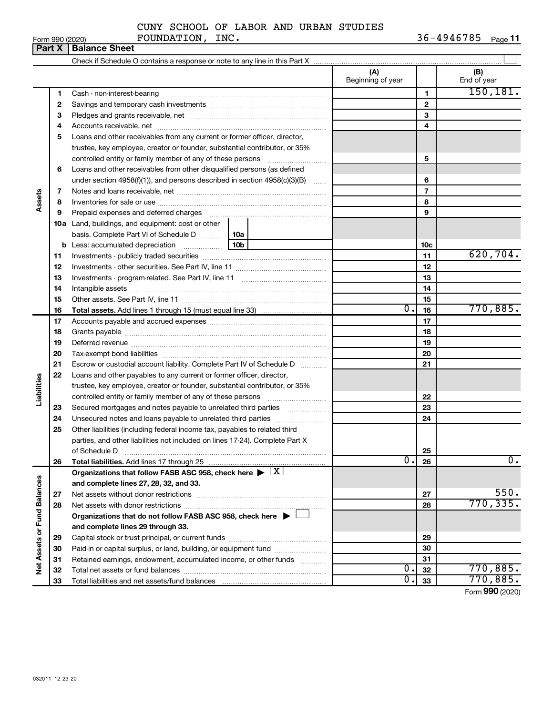| Form 990 (2020) |                               |
|-----------------|-------------------------------|
|                 | <b>Part X   Balance Sheet</b> |

Form 990 (2020) FOUNDATION, INC.  $36-4946785$  Page 36-4946785 Page 11

|                             |    |                                                                                           |  | (A)<br>Beginning of year |                | (B)<br>End of year |
|-----------------------------|----|-------------------------------------------------------------------------------------------|--|--------------------------|----------------|--------------------|
|                             | 1  |                                                                                           |  |                          | 1              | 150, 181.          |
|                             | 2  |                                                                                           |  |                          | $\mathbf 2$    |                    |
|                             | 3  |                                                                                           |  |                          | 3              |                    |
|                             | 4  |                                                                                           |  |                          | 4              |                    |
|                             | 5  | Loans and other receivables from any current or former officer, director,                 |  |                          |                |                    |
|                             |    | trustee, key employee, creator or founder, substantial contributor, or 35%                |  |                          |                |                    |
|                             |    | controlled entity or family member of any of these persons                                |  |                          | 5              |                    |
|                             | 6  | Loans and other receivables from other disqualified persons (as defined                   |  |                          |                |                    |
|                             |    | under section 4958(f)(1)), and persons described in section 4958(c)(3)(B)                 |  |                          | 6              |                    |
|                             | 7  |                                                                                           |  |                          | $\overline{7}$ |                    |
| Assets                      | 8  |                                                                                           |  |                          | 8              |                    |
|                             | 9  |                                                                                           |  |                          | 9              |                    |
|                             |    | <b>10a</b> Land, buildings, and equipment: cost or other                                  |  |                          |                |                    |
|                             |    | basis. Complete Part VI of Schedule D    10a                                              |  |                          |                |                    |
|                             |    |                                                                                           |  |                          | 10c            |                    |
|                             | 11 |                                                                                           |  | 11                       | 620, 704.      |                    |
|                             | 12 |                                                                                           |  | 12                       |                |                    |
|                             | 13 |                                                                                           |  | 13                       |                |                    |
|                             | 14 |                                                                                           |  |                          | 14             |                    |
|                             | 15 |                                                                                           |  |                          | 15             |                    |
|                             | 16 |                                                                                           |  | $\overline{0}$ .         | 16             | 770,885.           |
|                             | 17 |                                                                                           |  |                          | 17             |                    |
|                             | 18 |                                                                                           |  |                          | 18             |                    |
|                             | 19 |                                                                                           |  | 19                       |                |                    |
|                             | 20 |                                                                                           |  | 20                       |                |                    |
|                             | 21 | Escrow or custodial account liability. Complete Part IV of Schedule D                     |  |                          | 21             |                    |
|                             | 22 | Loans and other payables to any current or former officer, director,                      |  |                          |                |                    |
| Liabilities                 |    | trustee, key employee, creator or founder, substantial contributor, or 35%                |  |                          |                |                    |
|                             |    | controlled entity or family member of any of these persons                                |  |                          | 22             |                    |
|                             | 23 | Secured mortgages and notes payable to unrelated third parties                            |  |                          | 23             |                    |
|                             | 24 | Unsecured notes and loans payable to unrelated third parties                              |  |                          | 24             |                    |
|                             | 25 | Other liabilities (including federal income tax, payables to related third                |  |                          |                |                    |
|                             |    | parties, and other liabilities not included on lines 17-24). Complete Part X              |  |                          |                |                    |
|                             |    | of Schedule D                                                                             |  |                          | 25             |                    |
|                             | 26 | <b>Total liabilities.</b> Add lines 17 through 25                                         |  | ∪ •⊺                     | 26             | υ.                 |
|                             |    | Organizations that follow FASB ASC 958, check here $\blacktriangleright \boxed{\text{X}}$ |  |                          |                |                    |
|                             |    | and complete lines 27, 28, 32, and 33.                                                    |  |                          |                |                    |
|                             | 27 |                                                                                           |  |                          | 27             | 550.               |
|                             | 28 |                                                                                           |  |                          | 28             | 770, 335.          |
|                             |    | Organizations that do not follow FASB ASC 958, check here ▶ □                             |  |                          |                |                    |
| Net Assets or Fund Balances |    | and complete lines 29 through 33.                                                         |  |                          |                |                    |
|                             | 29 |                                                                                           |  |                          | 29             |                    |
|                             | 30 | Paid-in or capital surplus, or land, building, or equipment fund                          |  |                          | 30             |                    |
|                             | 31 | Retained earnings, endowment, accumulated income, or other funds                          |  |                          | 31             |                    |
|                             | 32 |                                                                                           |  | о.                       | 32             | 770,885.           |
|                             | 33 |                                                                                           |  | Ο.                       | 33             | 770,885.           |
|                             |    |                                                                                           |  |                          |                | Form 990 (2020)    |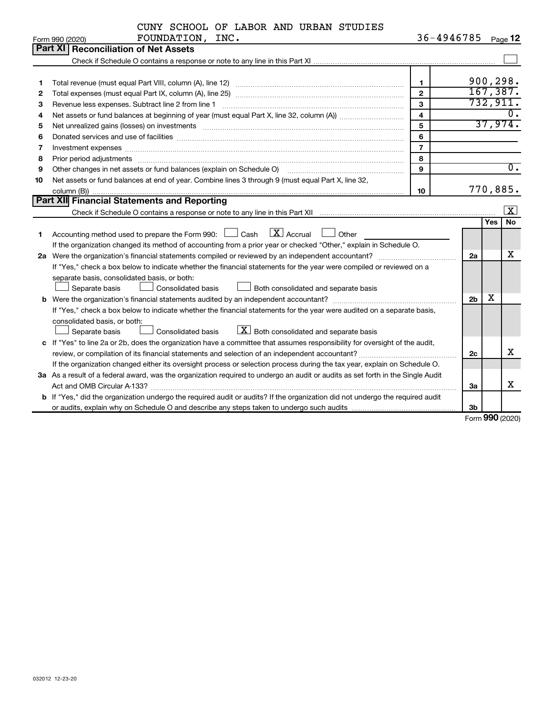|  |  |  | CUNY SCHOOL OF LABOR AND URBAN STUDIES |
|--|--|--|----------------------------------------|
|  |  |  |                                        |

|    | FOUNDATION, INC.<br>Form 990 (2020)                                                                                                  |                         | 36-4946785     |     | Page 12                 |
|----|--------------------------------------------------------------------------------------------------------------------------------------|-------------------------|----------------|-----|-------------------------|
|    | Part XII<br><b>Reconciliation of Net Assets</b>                                                                                      |                         |                |     |                         |
|    |                                                                                                                                      |                         |                |     |                         |
|    |                                                                                                                                      |                         |                |     |                         |
| 1  |                                                                                                                                      | 1                       |                |     | 900, 298.               |
| 2  |                                                                                                                                      | $\overline{2}$          |                |     | 167,387.                |
| З  | Revenue less expenses. Subtract line 2 from line 1                                                                                   | 3                       |                |     | 732,911.                |
| 4  |                                                                                                                                      | $\overline{\mathbf{4}}$ |                |     |                         |
| 5  |                                                                                                                                      | 5                       |                |     | 37,974.                 |
| 6  |                                                                                                                                      | 6                       |                |     |                         |
| 7  | Investment expenses www.communication.com/www.communication.com/www.communication.com/www.com                                        | $\overline{7}$          |                |     |                         |
| 8  | Prior period adjustments www.communication.communication.communication.com/                                                          | 8                       |                |     |                         |
| 9  | Other changes in net assets or fund balances (explain on Schedule O)                                                                 | $\mathbf{Q}$            |                |     | $\overline{0}$ .        |
| 10 | Net assets or fund balances at end of year. Combine lines 3 through 9 (must equal Part X, line 32,                                   |                         |                |     |                         |
|    |                                                                                                                                      | 10                      |                |     | 770,885.                |
|    | Part XII Financial Statements and Reporting                                                                                          |                         |                |     |                         |
|    |                                                                                                                                      |                         |                |     | $\overline{\mathbf{x}}$ |
|    |                                                                                                                                      |                         |                | Yes | No                      |
| 1  | Accounting method used to prepare the Form 990: $\Box$ Cash $\Box X$ Accrual<br>$\Box$ Other                                         |                         |                |     |                         |
|    | If the organization changed its method of accounting from a prior year or checked "Other," explain in Schedule O.                    |                         |                |     |                         |
|    |                                                                                                                                      |                         | 2a             |     | x                       |
|    | If "Yes," check a box below to indicate whether the financial statements for the year were compiled or reviewed on a                 |                         |                |     |                         |
|    | separate basis, consolidated basis, or both:                                                                                         |                         |                |     |                         |
|    | Both consolidated and separate basis<br>Separate basis<br><b>Consolidated basis</b>                                                  |                         |                |     |                         |
|    |                                                                                                                                      |                         | 2 <sub>b</sub> | х   |                         |
|    | If "Yes," check a box below to indicate whether the financial statements for the year were audited on a separate basis,              |                         |                |     |                         |
|    | consolidated basis, or both:                                                                                                         |                         |                |     |                         |
|    | $\lfloor x \rfloor$ Both consolidated and separate basis<br>Consolidated basis<br>Separate basis                                     |                         |                |     |                         |
|    | c If "Yes" to line 2a or 2b, does the organization have a committee that assumes responsibility for oversight of the audit,          |                         |                |     |                         |
|    | review, or compilation of its financial statements and selection of an independent accountant?                                       |                         | 2c             |     | x                       |
|    | If the organization changed either its oversight process or selection process during the tax year, explain on Schedule O.            |                         |                |     |                         |
|    | 3a As a result of a federal award, was the organization required to undergo an audit or audits as set forth in the Single Audit      |                         |                |     |                         |
|    |                                                                                                                                      |                         | За             |     | х                       |
|    | <b>b</b> If "Yes," did the organization undergo the required audit or audits? If the organization did not undergo the required audit |                         |                |     |                         |
|    |                                                                                                                                      |                         | 3b             |     |                         |

Form (2020) **990**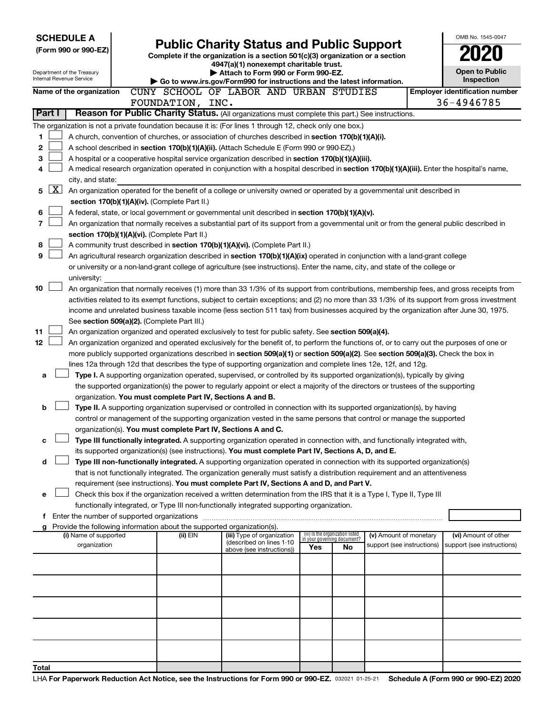| <b>SCHEDULE A</b><br>(Form 990 or 990-EZ)<br>Department of the Treasury |              |                                       | <b>Public Charity Status and Public Support</b><br>Complete if the organization is a section 501(c)(3) organization or a section | OMB No. 1545-0047<br><b>Open to Public</b>                             |                                                                                                                                              |                                 |    |                                                      |                                                     |
|-------------------------------------------------------------------------|--------------|---------------------------------------|----------------------------------------------------------------------------------------------------------------------------------|------------------------------------------------------------------------|----------------------------------------------------------------------------------------------------------------------------------------------|---------------------------------|----|------------------------------------------------------|-----------------------------------------------------|
|                                                                         |              | Internal Revenue Service              |                                                                                                                                  |                                                                        | Attach to Form 990 or Form 990-EZ.<br>Go to www.irs.gov/Form990 for instructions and the latest information.                                 |                                 |    |                                                      | <b>Inspection</b>                                   |
|                                                                         |              | Name of the organization              |                                                                                                                                  | FOUNDATION, INC.                                                       | CUNY SCHOOL OF LABOR AND URBAN STUDIES                                                                                                       |                                 |    |                                                      | <b>Employer identification number</b><br>36-4946785 |
|                                                                         | Part I       |                                       |                                                                                                                                  |                                                                        | Reason for Public Charity Status. (All organizations must complete this part.) See instructions.                                             |                                 |    |                                                      |                                                     |
|                                                                         |              |                                       |                                                                                                                                  |                                                                        | The organization is not a private foundation because it is: (For lines 1 through 12, check only one box.)                                    |                                 |    |                                                      |                                                     |
| 1                                                                       |              |                                       |                                                                                                                                  |                                                                        | A church, convention of churches, or association of churches described in section 170(b)(1)(A)(i).                                           |                                 |    |                                                      |                                                     |
| 2                                                                       |              |                                       |                                                                                                                                  |                                                                        | A school described in section 170(b)(1)(A)(ii). (Attach Schedule E (Form 990 or 990-EZ).)                                                    |                                 |    |                                                      |                                                     |
| 3                                                                       |              |                                       |                                                                                                                                  |                                                                        | A hospital or a cooperative hospital service organization described in section 170(b)(1)(A)(iii).                                            |                                 |    |                                                      |                                                     |
| 4                                                                       |              |                                       |                                                                                                                                  |                                                                        | A medical research organization operated in conjunction with a hospital described in section 170(b)(1)(A)(iii). Enter the hospital's name,   |                                 |    |                                                      |                                                     |
|                                                                         |              | city, and state:                      |                                                                                                                                  |                                                                        |                                                                                                                                              |                                 |    |                                                      |                                                     |
| 5                                                                       | $\mathbf{X}$ |                                       |                                                                                                                                  |                                                                        | An organization operated for the benefit of a college or university owned or operated by a governmental unit described in                    |                                 |    |                                                      |                                                     |
|                                                                         |              |                                       |                                                                                                                                  | section 170(b)(1)(A)(iv). (Complete Part II.)                          |                                                                                                                                              |                                 |    |                                                      |                                                     |
| 6                                                                       |              |                                       |                                                                                                                                  |                                                                        | A federal, state, or local government or governmental unit described in section 170(b)(1)(A)(v).                                             |                                 |    |                                                      |                                                     |
| 7                                                                       |              |                                       |                                                                                                                                  |                                                                        | An organization that normally receives a substantial part of its support from a governmental unit or from the general public described in    |                                 |    |                                                      |                                                     |
|                                                                         |              |                                       |                                                                                                                                  | section 170(b)(1)(A)(vi). (Complete Part II.)                          |                                                                                                                                              |                                 |    |                                                      |                                                     |
| 8                                                                       |              |                                       |                                                                                                                                  |                                                                        | A community trust described in section 170(b)(1)(A)(vi). (Complete Part II.)                                                                 |                                 |    |                                                      |                                                     |
| 9                                                                       |              |                                       |                                                                                                                                  |                                                                        | An agricultural research organization described in section 170(b)(1)(A)(ix) operated in conjunction with a land-grant college                |                                 |    |                                                      |                                                     |
|                                                                         |              |                                       |                                                                                                                                  |                                                                        | or university or a non-land-grant college of agriculture (see instructions). Enter the name, city, and state of the college or               |                                 |    |                                                      |                                                     |
|                                                                         |              | university:                           |                                                                                                                                  |                                                                        |                                                                                                                                              |                                 |    |                                                      |                                                     |
| 10                                                                      |              |                                       |                                                                                                                                  |                                                                        | An organization that normally receives (1) more than 33 1/3% of its support from contributions, membership fees, and gross receipts from     |                                 |    |                                                      |                                                     |
|                                                                         |              |                                       |                                                                                                                                  |                                                                        | activities related to its exempt functions, subject to certain exceptions; and (2) no more than 33 1/3% of its support from gross investment |                                 |    |                                                      |                                                     |
|                                                                         |              |                                       |                                                                                                                                  |                                                                        | income and unrelated business taxable income (less section 511 tax) from businesses acquired by the organization after June 30, 1975.        |                                 |    |                                                      |                                                     |
|                                                                         |              |                                       |                                                                                                                                  | See section 509(a)(2). (Complete Part III.)                            |                                                                                                                                              |                                 |    |                                                      |                                                     |
| 11                                                                      |              |                                       |                                                                                                                                  |                                                                        | An organization organized and operated exclusively to test for public safety. See section 509(a)(4).                                         |                                 |    |                                                      |                                                     |
| 12                                                                      |              |                                       |                                                                                                                                  |                                                                        | An organization organized and operated exclusively for the benefit of, to perform the functions of, or to carry out the purposes of one or   |                                 |    |                                                      |                                                     |
|                                                                         |              |                                       |                                                                                                                                  |                                                                        | more publicly supported organizations described in section 509(a)(1) or section 509(a)(2). See section 509(a)(3). Check the box in           |                                 |    |                                                      |                                                     |
|                                                                         |              |                                       |                                                                                                                                  |                                                                        | lines 12a through 12d that describes the type of supporting organization and complete lines 12e, 12f, and 12g.                               |                                 |    |                                                      |                                                     |
| a                                                                       |              |                                       |                                                                                                                                  |                                                                        | Type I. A supporting organization operated, supervised, or controlled by its supported organization(s), typically by giving                  |                                 |    |                                                      |                                                     |
|                                                                         |              |                                       |                                                                                                                                  | organization. You must complete Part IV, Sections A and B.             | the supported organization(s) the power to regularly appoint or elect a majority of the directors or trustees of the supporting              |                                 |    |                                                      |                                                     |
| b                                                                       |              |                                       |                                                                                                                                  |                                                                        | Type II. A supporting organization supervised or controlled in connection with its supported organization(s), by having                      |                                 |    |                                                      |                                                     |
|                                                                         |              |                                       |                                                                                                                                  |                                                                        | control or management of the supporting organization vested in the same persons that control or manage the supported                         |                                 |    |                                                      |                                                     |
|                                                                         |              |                                       |                                                                                                                                  | organization(s). You must complete Part IV, Sections A and C.          |                                                                                                                                              |                                 |    |                                                      |                                                     |
|                                                                         |              |                                       |                                                                                                                                  |                                                                        | Type III functionally integrated. A supporting organization operated in connection with, and functionally integrated with,                   |                                 |    |                                                      |                                                     |
|                                                                         |              |                                       |                                                                                                                                  |                                                                        | its supported organization(s) (see instructions). You must complete Part IV, Sections A, D, and E.                                           |                                 |    |                                                      |                                                     |
|                                                                         |              |                                       |                                                                                                                                  |                                                                        | Type III non-functionally integrated. A supporting organization operated in connection with its supported organization(s)                    |                                 |    |                                                      |                                                     |
|                                                                         |              |                                       |                                                                                                                                  |                                                                        | that is not functionally integrated. The organization generally must satisfy a distribution requirement and an attentiveness                 |                                 |    |                                                      |                                                     |
|                                                                         |              |                                       |                                                                                                                                  |                                                                        | requirement (see instructions). You must complete Part IV, Sections A and D, and Part V.                                                     |                                 |    |                                                      |                                                     |
| е                                                                       |              |                                       |                                                                                                                                  |                                                                        | Check this box if the organization received a written determination from the IRS that it is a Type I, Type II, Type III                      |                                 |    |                                                      |                                                     |
|                                                                         |              |                                       |                                                                                                                                  |                                                                        | functionally integrated, or Type III non-functionally integrated supporting organization.                                                    |                                 |    |                                                      |                                                     |
|                                                                         |              |                                       |                                                                                                                                  |                                                                        |                                                                                                                                              |                                 |    |                                                      |                                                     |
|                                                                         |              |                                       |                                                                                                                                  | Provide the following information about the supported organization(s). |                                                                                                                                              | (iv) Is the organization listed |    |                                                      |                                                     |
|                                                                         |              | (i) Name of supported<br>organization |                                                                                                                                  | (ii) EIN                                                               | (iii) Type of organization<br>(described on lines 1-10                                                                                       | in your governing document?     |    | (v) Amount of monetary<br>support (see instructions) | (vi) Amount of other<br>support (see instructions)  |
|                                                                         |              |                                       |                                                                                                                                  |                                                                        | above (see instructions))                                                                                                                    | Yes                             | No |                                                      |                                                     |
|                                                                         |              |                                       |                                                                                                                                  |                                                                        |                                                                                                                                              |                                 |    |                                                      |                                                     |
|                                                                         |              |                                       |                                                                                                                                  |                                                                        |                                                                                                                                              |                                 |    |                                                      |                                                     |
|                                                                         |              |                                       |                                                                                                                                  |                                                                        |                                                                                                                                              |                                 |    |                                                      |                                                     |
|                                                                         |              |                                       |                                                                                                                                  |                                                                        |                                                                                                                                              |                                 |    |                                                      |                                                     |
|                                                                         |              |                                       |                                                                                                                                  |                                                                        |                                                                                                                                              |                                 |    |                                                      |                                                     |
|                                                                         |              |                                       |                                                                                                                                  |                                                                        |                                                                                                                                              |                                 |    |                                                      |                                                     |
| Total                                                                   |              |                                       |                                                                                                                                  |                                                                        |                                                                                                                                              |                                 |    |                                                      |                                                     |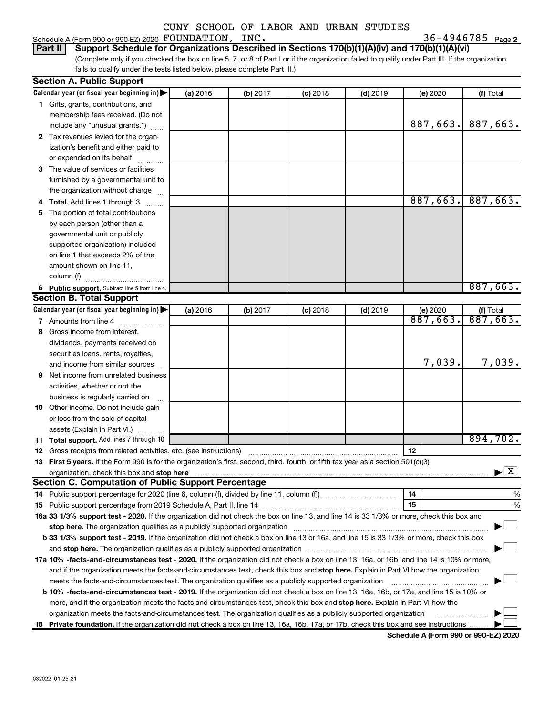### Schedule A (Form 990 or 990-EZ) 2020 Page FOUNDATION, INC. 36-4946785

36-4946785 <sub>Page 2</sub>

(Complete only if you checked the box on line 5, 7, or 8 of Part I or if the organization failed to qualify under Part III. If the organization fails to qualify under the tests listed below, please complete Part III.) **Part II Support Schedule for Organizations Described in Sections 170(b)(1)(A)(iv) and 170(b)(1)(A)(vi)**

| <b>Section A. Public Support</b>                                                                                                                                                                                                    |          |          |            |            |          |                                          |  |  |  |
|-------------------------------------------------------------------------------------------------------------------------------------------------------------------------------------------------------------------------------------|----------|----------|------------|------------|----------|------------------------------------------|--|--|--|
| Calendar year (or fiscal year beginning in)                                                                                                                                                                                         | (a) 2016 | (b) 2017 | $(c)$ 2018 | $(d)$ 2019 | (e) 2020 | (f) Total                                |  |  |  |
| 1 Gifts, grants, contributions, and                                                                                                                                                                                                 |          |          |            |            |          |                                          |  |  |  |
| membership fees received. (Do not                                                                                                                                                                                                   |          |          |            |            |          |                                          |  |  |  |
| include any "unusual grants.")                                                                                                                                                                                                      |          |          |            |            | 887,663. | 887,663.                                 |  |  |  |
| 2 Tax revenues levied for the organ-                                                                                                                                                                                                |          |          |            |            |          |                                          |  |  |  |
| ization's benefit and either paid to                                                                                                                                                                                                |          |          |            |            |          |                                          |  |  |  |
| or expended on its behalf                                                                                                                                                                                                           |          |          |            |            |          |                                          |  |  |  |
| 3 The value of services or facilities                                                                                                                                                                                               |          |          |            |            |          |                                          |  |  |  |
| furnished by a governmental unit to                                                                                                                                                                                                 |          |          |            |            |          |                                          |  |  |  |
| the organization without charge                                                                                                                                                                                                     |          |          |            |            |          |                                          |  |  |  |
| 4 Total. Add lines 1 through 3                                                                                                                                                                                                      |          |          |            |            | 887,663. | 887,663.                                 |  |  |  |
| 5 The portion of total contributions                                                                                                                                                                                                |          |          |            |            |          |                                          |  |  |  |
| by each person (other than a                                                                                                                                                                                                        |          |          |            |            |          |                                          |  |  |  |
| governmental unit or publicly                                                                                                                                                                                                       |          |          |            |            |          |                                          |  |  |  |
| supported organization) included                                                                                                                                                                                                    |          |          |            |            |          |                                          |  |  |  |
| on line 1 that exceeds 2% of the                                                                                                                                                                                                    |          |          |            |            |          |                                          |  |  |  |
| amount shown on line 11,                                                                                                                                                                                                            |          |          |            |            |          |                                          |  |  |  |
| column (f)                                                                                                                                                                                                                          |          |          |            |            |          |                                          |  |  |  |
| 6 Public support. Subtract line 5 from line 4.                                                                                                                                                                                      |          |          |            |            |          | 887,663.                                 |  |  |  |
| <b>Section B. Total Support</b>                                                                                                                                                                                                     |          |          |            |            |          |                                          |  |  |  |
| Calendar year (or fiscal year beginning in)                                                                                                                                                                                         | (a) 2016 | (b) 2017 | $(c)$ 2018 | $(d)$ 2019 | (e) 2020 |                                          |  |  |  |
| 7 Amounts from line 4                                                                                                                                                                                                               |          |          |            |            | 887,663. | $\frac{f(f) \text{Total}}{887,663.}$     |  |  |  |
| 8 Gross income from interest,                                                                                                                                                                                                       |          |          |            |            |          |                                          |  |  |  |
| dividends, payments received on                                                                                                                                                                                                     |          |          |            |            |          |                                          |  |  |  |
| securities loans, rents, royalties,                                                                                                                                                                                                 |          |          |            |            |          |                                          |  |  |  |
| and income from similar sources                                                                                                                                                                                                     |          |          |            |            | 7,039.   | 7,039.                                   |  |  |  |
| <b>9</b> Net income from unrelated business                                                                                                                                                                                         |          |          |            |            |          |                                          |  |  |  |
| activities, whether or not the                                                                                                                                                                                                      |          |          |            |            |          |                                          |  |  |  |
| business is regularly carried on                                                                                                                                                                                                    |          |          |            |            |          |                                          |  |  |  |
| 10 Other income. Do not include gain                                                                                                                                                                                                |          |          |            |            |          |                                          |  |  |  |
| or loss from the sale of capital                                                                                                                                                                                                    |          |          |            |            |          |                                          |  |  |  |
| assets (Explain in Part VI.)                                                                                                                                                                                                        |          |          |            |            |          |                                          |  |  |  |
| 11 Total support. Add lines 7 through 10                                                                                                                                                                                            |          |          |            |            |          | 894,702.                                 |  |  |  |
|                                                                                                                                                                                                                                     |          |          |            |            | 12       |                                          |  |  |  |
| 13 First 5 years. If the Form 990 is for the organization's first, second, third, fourth, or fifth tax year as a section 501(c)(3)                                                                                                  |          |          |            |            |          |                                          |  |  |  |
| organization, check this box and stop here <b>construction and construction</b> construction of the state of the state of the state of the state of the state of the state of the state of the state of the state of the state of t |          |          |            |            |          | $\blacktriangleright$ $\boxed{\text{X}}$ |  |  |  |
| <b>Section C. Computation of Public Support Percentage</b>                                                                                                                                                                          |          |          |            |            |          |                                          |  |  |  |
|                                                                                                                                                                                                                                     |          |          |            |            | 14       | %                                        |  |  |  |
|                                                                                                                                                                                                                                     |          |          |            |            | 15       | %                                        |  |  |  |
| 16a 33 1/3% support test - 2020. If the organization did not check the box on line 13, and line 14 is 33 1/3% or more, check this box and                                                                                           |          |          |            |            |          |                                          |  |  |  |
| stop here. The organization qualifies as a publicly supported organization manufactured content and the organization of the state of the state of the state of the state of the state of the state of the state of the state o      |          |          |            |            |          |                                          |  |  |  |
| b 33 1/3% support test - 2019. If the organization did not check a box on line 13 or 16a, and line 15 is 33 1/3% or more, check this box                                                                                            |          |          |            |            |          |                                          |  |  |  |
|                                                                                                                                                                                                                                     |          |          |            |            |          |                                          |  |  |  |
| 17a 10% -facts-and-circumstances test - 2020. If the organization did not check a box on line 13, 16a, or 16b, and line 14 is 10% or more,                                                                                          |          |          |            |            |          |                                          |  |  |  |
| and if the organization meets the facts-and-circumstances test, check this box and stop here. Explain in Part VI how the organization                                                                                               |          |          |            |            |          |                                          |  |  |  |
| meets the facts-and-circumstances test. The organization qualifies as a publicly supported organization                                                                                                                             |          |          |            |            |          |                                          |  |  |  |
| <b>b 10%</b> -facts-and-circumstances test - 2019. If the organization did not check a box on line 13, 16a, 16b, or 17a, and line 15 is 10% or                                                                                      |          |          |            |            |          |                                          |  |  |  |
| more, and if the organization meets the facts-and-circumstances test, check this box and stop here. Explain in Part VI how the                                                                                                      |          |          |            |            |          |                                          |  |  |  |
| organization meets the facts-and-circumstances test. The organization qualifies as a publicly supported organization                                                                                                                |          |          |            |            |          |                                          |  |  |  |
| 18 Private foundation. If the organization did not check a box on line 13, 16a, 16b, 17a, or 17b, check this box and see instructions                                                                                               |          |          |            |            |          |                                          |  |  |  |

**Schedule A (Form 990 or 990-EZ) 2020**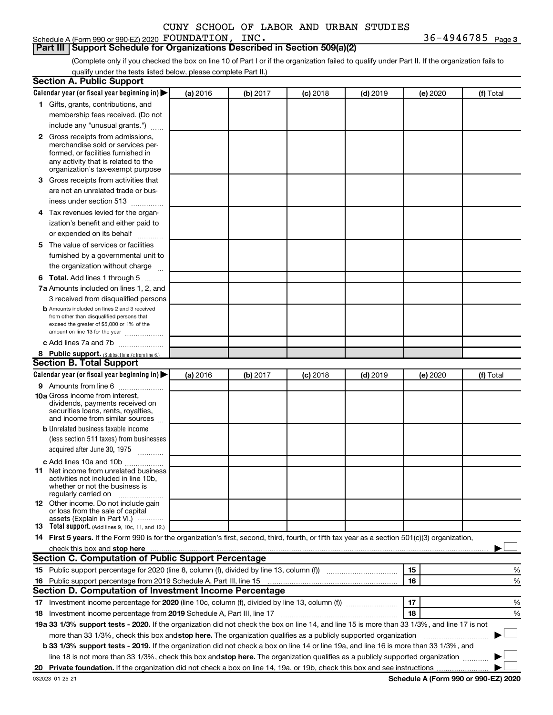36-4946785 Page 3

#### **Part III Support Schedule for Organizations Described in Section 509(a)(2)**

(Complete only if you checked the box on line 10 of Part I or if the organization failed to qualify under Part II. If the organization fails to qualify under the tests listed below, please complete Part II.)

| <b>Section A. Public Support</b>                                                                                                                 |          |          |            |            |          |           |
|--------------------------------------------------------------------------------------------------------------------------------------------------|----------|----------|------------|------------|----------|-----------|
| Calendar year (or fiscal year beginning in)                                                                                                      | (a) 2016 | (b) 2017 | $(c)$ 2018 | $(d)$ 2019 | (e) 2020 | (f) Total |
| 1 Gifts, grants, contributions, and                                                                                                              |          |          |            |            |          |           |
| membership fees received. (Do not                                                                                                                |          |          |            |            |          |           |
| include any "unusual grants.")                                                                                                                   |          |          |            |            |          |           |
| 2 Gross receipts from admissions,                                                                                                                |          |          |            |            |          |           |
| merchandise sold or services per-                                                                                                                |          |          |            |            |          |           |
| formed, or facilities furnished in                                                                                                               |          |          |            |            |          |           |
| any activity that is related to the<br>organization's tax-exempt purpose                                                                         |          |          |            |            |          |           |
| <b>3</b> Gross receipts from activities that                                                                                                     |          |          |            |            |          |           |
| are not an unrelated trade or bus-                                                                                                               |          |          |            |            |          |           |
|                                                                                                                                                  |          |          |            |            |          |           |
| iness under section 513                                                                                                                          |          |          |            |            |          |           |
| 4 Tax revenues levied for the organ-                                                                                                             |          |          |            |            |          |           |
| ization's benefit and either paid to                                                                                                             |          |          |            |            |          |           |
| or expended on its behalf                                                                                                                        |          |          |            |            |          |           |
| 5 The value of services or facilities                                                                                                            |          |          |            |            |          |           |
| furnished by a governmental unit to                                                                                                              |          |          |            |            |          |           |
| the organization without charge                                                                                                                  |          |          |            |            |          |           |
| <b>6 Total.</b> Add lines 1 through 5                                                                                                            |          |          |            |            |          |           |
| 7a Amounts included on lines 1, 2, and                                                                                                           |          |          |            |            |          |           |
| 3 received from disqualified persons                                                                                                             |          |          |            |            |          |           |
| <b>b</b> Amounts included on lines 2 and 3 received                                                                                              |          |          |            |            |          |           |
| from other than disqualified persons that<br>exceed the greater of \$5,000 or 1% of the                                                          |          |          |            |            |          |           |
| amount on line 13 for the year                                                                                                                   |          |          |            |            |          |           |
| c Add lines 7a and 7b                                                                                                                            |          |          |            |            |          |           |
| 8 Public support. (Subtract line 7c from line 6.)                                                                                                |          |          |            |            |          |           |
| <b>Section B. Total Support</b>                                                                                                                  |          |          |            |            |          |           |
| Calendar year (or fiscal year beginning in)                                                                                                      | (a) 2016 | (b) 2017 | $(c)$ 2018 | $(d)$ 2019 | (e) 2020 | (f) Total |
| <b>9</b> Amounts from line 6                                                                                                                     |          |          |            |            |          |           |
| <b>10a</b> Gross income from interest,                                                                                                           |          |          |            |            |          |           |
| dividends, payments received on                                                                                                                  |          |          |            |            |          |           |
| securities loans, rents, royalties,<br>and income from similar sources                                                                           |          |          |            |            |          |           |
| <b>b</b> Unrelated business taxable income                                                                                                       |          |          |            |            |          |           |
| (less section 511 taxes) from businesses                                                                                                         |          |          |            |            |          |           |
| acquired after June 30, 1975                                                                                                                     |          |          |            |            |          |           |
|                                                                                                                                                  |          |          |            |            |          |           |
| c Add lines 10a and 10b<br><b>11</b> Net income from unrelated business                                                                          |          |          |            |            |          |           |
| activities not included in line 10b.                                                                                                             |          |          |            |            |          |           |
| whether or not the business is                                                                                                                   |          |          |            |            |          |           |
| regularly carried on                                                                                                                             |          |          |            |            |          |           |
| 12 Other income. Do not include gain<br>or loss from the sale of capital                                                                         |          |          |            |            |          |           |
| assets (Explain in Part VI.)                                                                                                                     |          |          |            |            |          |           |
| <b>13</b> Total support. (Add lines 9, 10c, 11, and 12.)                                                                                         |          |          |            |            |          |           |
| 14 First 5 years. If the Form 990 is for the organization's first, second, third, fourth, or fifth tax year as a section 501(c)(3) organization, |          |          |            |            |          |           |
| check this box and stop here                                                                                                                     |          |          |            |            |          |           |
| <b>Section C. Computation of Public Support Percentage</b>                                                                                       |          |          |            |            |          |           |
| 15 Public support percentage for 2020 (line 8, column (f), divided by line 13, column (f) <i></i>                                                |          |          |            |            | 15       | ℅         |
| 16 Public support percentage from 2019 Schedule A, Part III, line 15                                                                             |          |          |            |            | 16       | %         |
| Section D. Computation of Investment Income Percentage                                                                                           |          |          |            |            |          |           |
|                                                                                                                                                  |          |          |            |            | 17       | %         |
| 18<br>18 Investment income percentage from 2019 Schedule A, Part III, line 17<br>%                                                               |          |          |            |            |          |           |
| 19a 33 1/3% support tests - 2020. If the organization did not check the box on line 14, and line 15 is more than 33 1/3%, and line 17 is not     |          |          |            |            |          |           |
| more than 33 1/3%, check this box and stop here. The organization qualifies as a publicly supported organization                                 |          |          |            |            |          |           |
| b 33 1/3% support tests - 2019. If the organization did not check a box on line 14 or line 19a, and line 16 is more than 33 1/3%, and            |          |          |            |            |          |           |
| line 18 is not more than 33 1/3%, check this box and stop here. The organization qualifies as a publicly supported organization                  |          |          |            |            |          |           |
|                                                                                                                                                  |          |          |            |            |          |           |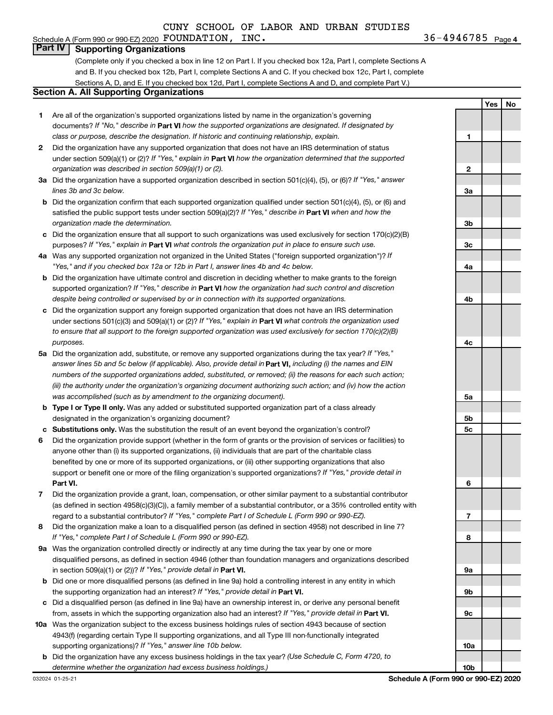### **Part IV Supporting Organizations**

(Complete only if you checked a box in line 12 on Part I. If you checked box 12a, Part I, complete Sections A and B. If you checked box 12b, Part I, complete Sections A and C. If you checked box 12c, Part I, complete Sections A, D, and E. If you checked box 12d, Part I, complete Sections A and D, and complete Part V.)

### **Section A. All Supporting Organizations**

- **1** Are all of the organization's supported organizations listed by name in the organization's governing documents? If "No," describe in Part VI how the supported organizations are designated. If designated by *class or purpose, describe the designation. If historic and continuing relationship, explain.*
- **2** Did the organization have any supported organization that does not have an IRS determination of status under section 509(a)(1) or (2)? If "Yes," explain in Part **VI** how the organization determined that the supported *organization was described in section 509(a)(1) or (2).*
- **3a** Did the organization have a supported organization described in section 501(c)(4), (5), or (6)? If "Yes," answer *lines 3b and 3c below.*
- **b** Did the organization confirm that each supported organization qualified under section 501(c)(4), (5), or (6) and satisfied the public support tests under section 509(a)(2)? If "Yes," describe in Part VI when and how the *organization made the determination.*
- **c** Did the organization ensure that all support to such organizations was used exclusively for section 170(c)(2)(B) purposes? If "Yes," explain in Part VI what controls the organization put in place to ensure such use.
- **4 a** *If* Was any supported organization not organized in the United States ("foreign supported organization")? *"Yes," and if you checked box 12a or 12b in Part I, answer lines 4b and 4c below.*
- **b** Did the organization have ultimate control and discretion in deciding whether to make grants to the foreign supported organization? If "Yes," describe in Part VI how the organization had such control and discretion *despite being controlled or supervised by or in connection with its supported organizations.*
- **c** Did the organization support any foreign supported organization that does not have an IRS determination under sections 501(c)(3) and 509(a)(1) or (2)? If "Yes," explain in Part VI what controls the organization used *to ensure that all support to the foreign supported organization was used exclusively for section 170(c)(2)(B) purposes.*
- **5a** Did the organization add, substitute, or remove any supported organizations during the tax year? If "Yes," answer lines 5b and 5c below (if applicable). Also, provide detail in **Part VI,** including (i) the names and EIN *numbers of the supported organizations added, substituted, or removed; (ii) the reasons for each such action; (iii) the authority under the organization's organizing document authorizing such action; and (iv) how the action was accomplished (such as by amendment to the organizing document).*
- **b Type I or Type II only.** Was any added or substituted supported organization part of a class already designated in the organization's organizing document?
- **c Substitutions only.**  Was the substitution the result of an event beyond the organization's control?
- **6** Did the organization provide support (whether in the form of grants or the provision of services or facilities) to **Part VI.** support or benefit one or more of the filing organization's supported organizations? If "Yes," provide detail in anyone other than (i) its supported organizations, (ii) individuals that are part of the charitable class benefited by one or more of its supported organizations, or (iii) other supporting organizations that also
- **7** Did the organization provide a grant, loan, compensation, or other similar payment to a substantial contributor regard to a substantial contributor? If "Yes," complete Part I of Schedule L (Form 990 or 990-EZ). (as defined in section 4958(c)(3)(C)), a family member of a substantial contributor, or a 35% controlled entity with
- **8** Did the organization make a loan to a disqualified person (as defined in section 4958) not described in line 7? *If "Yes," complete Part I of Schedule L (Form 990 or 990-EZ).*
- **9 a** Was the organization controlled directly or indirectly at any time during the tax year by one or more in section 509(a)(1) or (2))? If "Yes," provide detail in **Part VI.** disqualified persons, as defined in section 4946 (other than foundation managers and organizations described
- **b** Did one or more disqualified persons (as defined in line 9a) hold a controlling interest in any entity in which the supporting organization had an interest? If "Yes," provide detail in Part VI.
- **c** Did a disqualified person (as defined in line 9a) have an ownership interest in, or derive any personal benefit from, assets in which the supporting organization also had an interest? If "Yes," provide detail in Part VI.
- **10 a** Was the organization subject to the excess business holdings rules of section 4943 because of section supporting organizations)? If "Yes," answer line 10b below. 4943(f) (regarding certain Type II supporting organizations, and all Type III non-functionally integrated
- **b** Did the organization have any excess business holdings in the tax year? (Use Schedule C, Form 4720, to *determine whether the organization had excess business holdings.)*

**Yes No 1 2 3a 3b 3c 4a 4b 4c 5a 5b 5c 6 7 8 9a 9b 9c 10a 10b**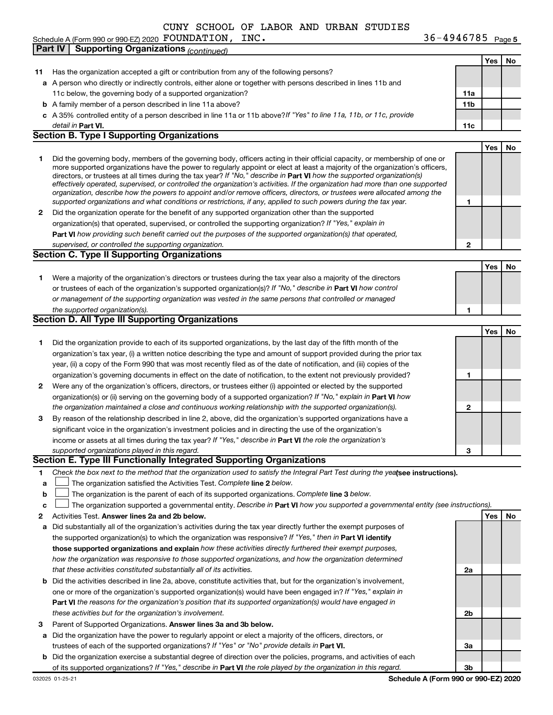Schedule A (Form 990 or 990-EZ) 2020 Page FOUNDATION, INC. 36-4946785

36-4946785 Page 5

|    | <b>Supporting Organizations (continued)</b><br>Part IV                                                                                                                                                                                                    |     |     |     |
|----|-----------------------------------------------------------------------------------------------------------------------------------------------------------------------------------------------------------------------------------------------------------|-----|-----|-----|
|    |                                                                                                                                                                                                                                                           |     | Yes | No  |
| 11 | Has the organization accepted a gift or contribution from any of the following persons?                                                                                                                                                                   |     |     |     |
|    | a A person who directly or indirectly controls, either alone or together with persons described in lines 11b and                                                                                                                                          |     |     |     |
|    | 11c below, the governing body of a supported organization?                                                                                                                                                                                                | 11a |     |     |
|    | <b>b</b> A family member of a person described in line 11a above?                                                                                                                                                                                         | 11b |     |     |
|    | c A 35% controlled entity of a person described in line 11a or 11b above?If "Yes" to line 11a, 11b, or 11c, provide                                                                                                                                       |     |     |     |
|    | detail in Part VI.                                                                                                                                                                                                                                        | 11c |     |     |
|    | <b>Section B. Type I Supporting Organizations</b>                                                                                                                                                                                                         |     |     |     |
|    |                                                                                                                                                                                                                                                           |     | Yes | No. |
| 1  | Did the governing body, members of the governing body, officers acting in their official capacity, or membership of one or                                                                                                                                |     |     |     |
|    | more supported organizations have the power to regularly appoint or elect at least a majority of the organization's officers,                                                                                                                             |     |     |     |
|    | directors, or trustees at all times during the tax year? If "No," describe in Part VI how the supported organization(s)<br>effectively operated, supervised, or controlled the organization's activities. If the organization had more than one supported |     |     |     |
|    | organization, describe how the powers to appoint and/or remove officers, directors, or trustees were allocated among the                                                                                                                                  |     |     |     |
|    | supported organizations and what conditions or restrictions, if any, applied to such powers during the tax year.                                                                                                                                          | 1   |     |     |
| 2  | Did the organization operate for the benefit of any supported organization other than the supported                                                                                                                                                       |     |     |     |
|    | organization(s) that operated, supervised, or controlled the supporting organization? If "Yes," explain in                                                                                                                                                |     |     |     |
|    | Part VI how providing such benefit carried out the purposes of the supported organization(s) that operated,                                                                                                                                               |     |     |     |
|    | supervised, or controlled the supporting organization.                                                                                                                                                                                                    | 2   |     |     |
|    | <b>Section C. Type II Supporting Organizations</b>                                                                                                                                                                                                        |     |     |     |
|    |                                                                                                                                                                                                                                                           |     | Yes | No. |
| 1  | Were a majority of the organization's directors or trustees during the tax year also a majority of the directors                                                                                                                                          |     |     |     |
|    | or trustees of each of the organization's supported organization(s)? If "No," describe in Part VI how control                                                                                                                                             |     |     |     |
|    | or management of the supporting organization was vested in the same persons that controlled or managed                                                                                                                                                    |     |     |     |
|    | the supported organization(s).                                                                                                                                                                                                                            | 1   |     |     |
|    | Section D. All Type III Supporting Organizations                                                                                                                                                                                                          |     |     |     |
|    |                                                                                                                                                                                                                                                           |     | Yes | No  |
| 1  | Did the organization provide to each of its supported organizations, by the last day of the fifth month of the                                                                                                                                            |     |     |     |
|    | organization's tax year, (i) a written notice describing the type and amount of support provided during the prior tax                                                                                                                                     |     |     |     |
|    | year, (ii) a copy of the Form 990 that was most recently filed as of the date of notification, and (iii) copies of the                                                                                                                                    |     |     |     |
|    | organization's governing documents in effect on the date of notification, to the extent not previously provided?                                                                                                                                          | 1   |     |     |
| 2  | Were any of the organization's officers, directors, or trustees either (i) appointed or elected by the supported                                                                                                                                          |     |     |     |
|    | organization(s) or (ii) serving on the governing body of a supported organization? If "No," explain in Part VI how                                                                                                                                        |     |     |     |
|    | the organization maintained a close and continuous working relationship with the supported organization(s).                                                                                                                                               | 2   |     |     |
| З  | By reason of the relationship described in line 2, above, did the organization's supported organizations have a                                                                                                                                           |     |     |     |
|    | significant voice in the organization's investment policies and in directing the use of the organization's                                                                                                                                                |     |     |     |
|    | income or assets at all times during the tax year? If "Yes," describe in Part VI the role the organization's                                                                                                                                              |     |     |     |
|    | supported organizations played in this regard.                                                                                                                                                                                                            | 3   |     |     |
|    | Section E. Type III Functionally Integrated Supporting Organizations                                                                                                                                                                                      |     |     |     |
| 1  | Check the box next to the method that the organization used to satisfy the Integral Part Test during the yealsee instructions).                                                                                                                           |     |     |     |
| a  | The organization satisfied the Activities Test. Complete line 2 below.                                                                                                                                                                                    |     |     |     |
| b  | The organization is the parent of each of its supported organizations. Complete line 3 below.                                                                                                                                                             |     |     |     |
| c  | The organization supported a governmental entity. Describe in Part VI how you supported a governmental entity (see instructions).                                                                                                                         |     |     |     |
| 2  | Activities Test. Answer lines 2a and 2b below.                                                                                                                                                                                                            |     | Yes | No  |
| а  | Did substantially all of the organization's activities during the tax year directly further the exempt purposes of                                                                                                                                        |     |     |     |
|    | the supported organization(s) to which the organization was responsive? If "Yes," then in Part VI identify                                                                                                                                                |     |     |     |
|    | those supported organizations and explain how these activities directly furthered their exempt purposes,                                                                                                                                                  |     |     |     |
|    | how the organization was responsive to those supported organizations, and how the organization determined                                                                                                                                                 |     |     |     |
|    | that these activities constituted substantially all of its activities.                                                                                                                                                                                    | 2a  |     |     |
|    | <b>b</b> Did the activities described in line 2a, above, constitute activities that, but for the organization's involvement,                                                                                                                              |     |     |     |
|    | one or more of the organization's supported organization(s) would have been engaged in? If "Yes," explain in                                                                                                                                              |     |     |     |
|    | <b>Part VI</b> the reasons for the organization's position that its supported organization(s) would have engaged in                                                                                                                                       |     |     |     |
|    | these activities but for the organization's involvement.                                                                                                                                                                                                  | 2b  |     |     |
| з  | Parent of Supported Organizations. Answer lines 3a and 3b below.                                                                                                                                                                                          |     |     |     |
| а  | Did the organization have the power to regularly appoint or elect a majority of the officers, directors, or                                                                                                                                               |     |     |     |
|    | trustees of each of the supported organizations? If "Yes" or "No" provide details in Part VI.                                                                                                                                                             | За  |     |     |
| b  | Did the organization exercise a substantial degree of direction over the policies, programs, and activities of each                                                                                                                                       |     |     |     |
|    | of its supported organizations? If "Yes," describe in Part VI the role played by the organization in this regard.                                                                                                                                         | Зb  |     |     |

**Schedule A (Form 990 or 990-EZ) 2020**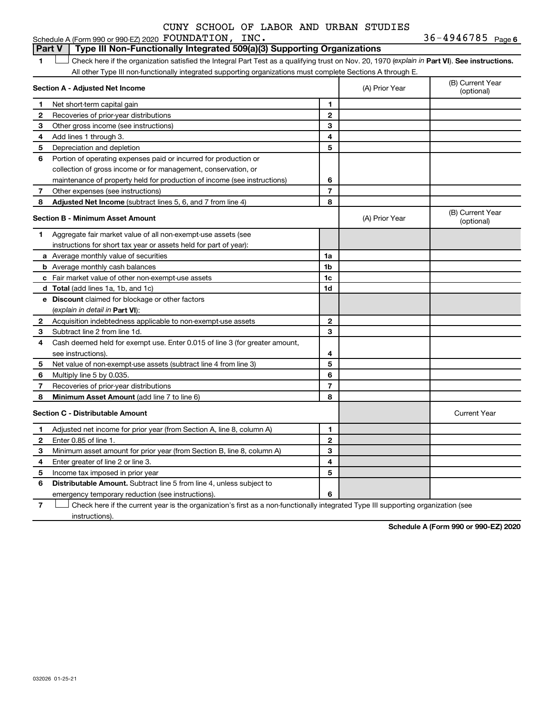#### **1 Part VI** Check here if the organization satisfied the Integral Part Test as a qualifying trust on Nov. 20, 1970 (*explain in* Part **VI**). See instructions. **Section A - Adjusted Net Income 1 2 3 4 5 6 7 8 1 2 3 4 5 6 7 Adjusted Net Income** (subtract lines 5, 6, and 7 from line 4) **8 8 Section B - Minimum Asset Amount 1 2 3 4 5 6 7 8 a** Average monthly value of securities **b** Average monthly cash balances **c** Fair market value of other non-exempt-use assets **d Total**  (add lines 1a, 1b, and 1c) **e Discount** claimed for blockage or other factors **1a 1b 1c 1d 2 3 4 5 6 7 8** (explain in detail in Part VI): **Minimum Asset Amount**  (add line 7 to line 6) **Section C - Distributable Amount 1 2 3 4 5 6 1 2 3 4 5 6** Distributable Amount. Subtract line 5 from line 4, unless subject to All other Type III non-functionally integrated supporting organizations must complete Sections A through E. (B) Current Year<br>(optional) (A) Prior Year Net short-term capital gain Recoveries of prior-year distributions Other gross income (see instructions) Add lines 1 through 3. Depreciation and depletion Portion of operating expenses paid or incurred for production or collection of gross income or for management, conservation, or maintenance of property held for production of income (see instructions) Other expenses (see instructions) (B) Current Year  $(A)$  Prior Year  $\left\{\n\begin{array}{ccc}\n\end{array}\n\right\}$  (optional) Aggregate fair market value of all non-exempt-use assets (see instructions for short tax year or assets held for part of year): Acquisition indebtedness applicable to non-exempt-use assets Subtract line 2 from line 1d. Cash deemed held for exempt use. Enter 0.015 of line 3 (for greater amount, see instructions). Net value of non-exempt-use assets (subtract line 4 from line 3) Multiply line 5 by 0.035. Recoveries of prior-year distributions Current Year Adjusted net income for prior year (from Section A, line 8, column A) Enter 0.85 of line 1. Minimum asset amount for prior year (from Section B, line 8, column A) Enter greater of line 2 or line 3. Income tax imposed in prior year emergency temporary reduction (see instructions). **Part V** Type III Non-Functionally Integrated 509(a)(3) Supporting Organizations  $\Box$

**7** Check here if the current year is the organization's first as a non-functionally integrated Type III supporting organization (see † instructions).

**Schedule A (Form 990 or 990-EZ) 2020**

### Schedule A (Form 990 or 990-EZ) 2020 Page FOUNDATION, INC. 36-4946785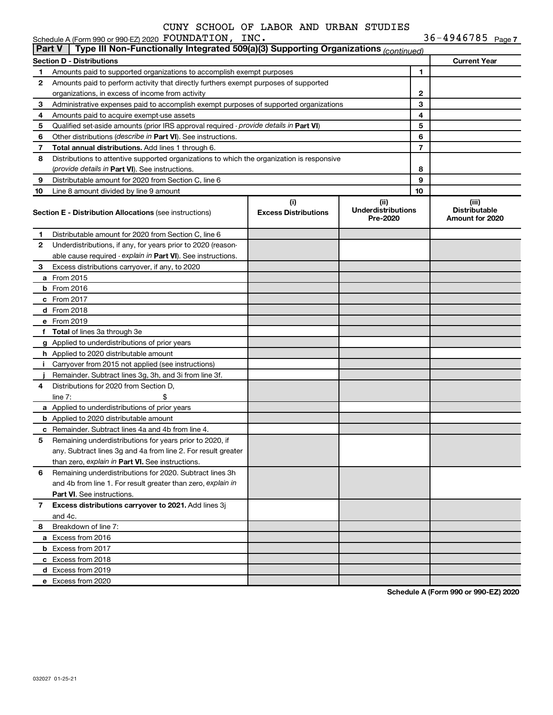|    | Schedule A (Form 990 or 990-EZ) 2020 FOUNDATION, INC.<br>$36 - 4946785$ Page 7<br>Type III Non-Functionally Integrated 509(a)(3) Supporting Organizations (continued)<br><b>Part V</b> |                                    |                                               |              |                                                         |  |  |  |  |  |  |
|----|----------------------------------------------------------------------------------------------------------------------------------------------------------------------------------------|------------------------------------|-----------------------------------------------|--------------|---------------------------------------------------------|--|--|--|--|--|--|
|    |                                                                                                                                                                                        |                                    |                                               |              |                                                         |  |  |  |  |  |  |
|    | <b>Section D - Distributions</b>                                                                                                                                                       |                                    |                                               |              | <b>Current Year</b>                                     |  |  |  |  |  |  |
| 1  | Amounts paid to supported organizations to accomplish exempt purposes                                                                                                                  |                                    |                                               | 1            |                                                         |  |  |  |  |  |  |
| 2  | Amounts paid to perform activity that directly furthers exempt purposes of supported                                                                                                   |                                    |                                               |              |                                                         |  |  |  |  |  |  |
|    | organizations, in excess of income from activity                                                                                                                                       |                                    |                                               | $\mathbf{2}$ |                                                         |  |  |  |  |  |  |
| 3  | Administrative expenses paid to accomplish exempt purposes of supported organizations                                                                                                  |                                    |                                               | 3            |                                                         |  |  |  |  |  |  |
| 4  | Amounts paid to acquire exempt-use assets                                                                                                                                              |                                    |                                               | 4            |                                                         |  |  |  |  |  |  |
| 5  | Qualified set-aside amounts (prior IRS approval required - provide details in Part VI)                                                                                                 |                                    |                                               | 5            |                                                         |  |  |  |  |  |  |
| 6  | Other distributions (describe in Part VI). See instructions.                                                                                                                           |                                    |                                               | 6            |                                                         |  |  |  |  |  |  |
| 7  | Total annual distributions. Add lines 1 through 6.                                                                                                                                     |                                    |                                               | 7            |                                                         |  |  |  |  |  |  |
| 8  | Distributions to attentive supported organizations to which the organization is responsive                                                                                             |                                    |                                               |              |                                                         |  |  |  |  |  |  |
|    | (provide details in Part VI). See instructions.                                                                                                                                        |                                    |                                               | 8            |                                                         |  |  |  |  |  |  |
| 9  | Distributable amount for 2020 from Section C, line 6                                                                                                                                   |                                    |                                               | 9            |                                                         |  |  |  |  |  |  |
| 10 | Line 8 amount divided by line 9 amount                                                                                                                                                 |                                    |                                               | 10           |                                                         |  |  |  |  |  |  |
|    | <b>Section E - Distribution Allocations (see instructions)</b>                                                                                                                         | (i)<br><b>Excess Distributions</b> | (ii)<br><b>Underdistributions</b><br>Pre-2020 |              | (iii)<br><b>Distributable</b><br><b>Amount for 2020</b> |  |  |  |  |  |  |
| 1. | Distributable amount for 2020 from Section C, line 6                                                                                                                                   |                                    |                                               |              |                                                         |  |  |  |  |  |  |
| 2  | Underdistributions, if any, for years prior to 2020 (reason-                                                                                                                           |                                    |                                               |              |                                                         |  |  |  |  |  |  |
|    | able cause required - explain in Part VI). See instructions.                                                                                                                           |                                    |                                               |              |                                                         |  |  |  |  |  |  |
| 3  | Excess distributions carryover, if any, to 2020                                                                                                                                        |                                    |                                               |              |                                                         |  |  |  |  |  |  |
|    | a From 2015                                                                                                                                                                            |                                    |                                               |              |                                                         |  |  |  |  |  |  |
|    | $b$ From 2016                                                                                                                                                                          |                                    |                                               |              |                                                         |  |  |  |  |  |  |
|    | c From 2017                                                                                                                                                                            |                                    |                                               |              |                                                         |  |  |  |  |  |  |
|    | d From 2018                                                                                                                                                                            |                                    |                                               |              |                                                         |  |  |  |  |  |  |
|    | e From 2019                                                                                                                                                                            |                                    |                                               |              |                                                         |  |  |  |  |  |  |
|    | f Total of lines 3a through 3e                                                                                                                                                         |                                    |                                               |              |                                                         |  |  |  |  |  |  |
|    | g Applied to underdistributions of prior years                                                                                                                                         |                                    |                                               |              |                                                         |  |  |  |  |  |  |
|    | h Applied to 2020 distributable amount                                                                                                                                                 |                                    |                                               |              |                                                         |  |  |  |  |  |  |
| Ť. | Carryover from 2015 not applied (see instructions)                                                                                                                                     |                                    |                                               |              |                                                         |  |  |  |  |  |  |
|    | Remainder. Subtract lines 3g, 3h, and 3i from line 3f.                                                                                                                                 |                                    |                                               |              |                                                         |  |  |  |  |  |  |
| 4  | Distributions for 2020 from Section D,                                                                                                                                                 |                                    |                                               |              |                                                         |  |  |  |  |  |  |
|    | line $7:$                                                                                                                                                                              |                                    |                                               |              |                                                         |  |  |  |  |  |  |
|    | a Applied to underdistributions of prior years                                                                                                                                         |                                    |                                               |              |                                                         |  |  |  |  |  |  |
|    | <b>b</b> Applied to 2020 distributable amount                                                                                                                                          |                                    |                                               |              |                                                         |  |  |  |  |  |  |
|    | c Remainder. Subtract lines 4a and 4b from line 4.                                                                                                                                     |                                    |                                               |              |                                                         |  |  |  |  |  |  |
|    | 5 Remaining underdistributions for years prior to 2020, if                                                                                                                             |                                    |                                               |              |                                                         |  |  |  |  |  |  |
|    | any. Subtract lines 3g and 4a from line 2. For result greater                                                                                                                          |                                    |                                               |              |                                                         |  |  |  |  |  |  |
|    | than zero, explain in Part VI. See instructions.                                                                                                                                       |                                    |                                               |              |                                                         |  |  |  |  |  |  |
| 6  | Remaining underdistributions for 2020. Subtract lines 3h                                                                                                                               |                                    |                                               |              |                                                         |  |  |  |  |  |  |
|    | and 4b from line 1. For result greater than zero, explain in                                                                                                                           |                                    |                                               |              |                                                         |  |  |  |  |  |  |
|    | <b>Part VI.</b> See instructions.                                                                                                                                                      |                                    |                                               |              |                                                         |  |  |  |  |  |  |
| 7  | Excess distributions carryover to 2021. Add lines 3j                                                                                                                                   |                                    |                                               |              |                                                         |  |  |  |  |  |  |
|    | and 4c.                                                                                                                                                                                |                                    |                                               |              |                                                         |  |  |  |  |  |  |
| 8  | Breakdown of line 7:                                                                                                                                                                   |                                    |                                               |              |                                                         |  |  |  |  |  |  |
|    | a Excess from 2016                                                                                                                                                                     |                                    |                                               |              |                                                         |  |  |  |  |  |  |
|    | <b>b</b> Excess from 2017                                                                                                                                                              |                                    |                                               |              |                                                         |  |  |  |  |  |  |
|    | c Excess from 2018                                                                                                                                                                     |                                    |                                               |              |                                                         |  |  |  |  |  |  |
|    | d Excess from 2019                                                                                                                                                                     |                                    |                                               |              |                                                         |  |  |  |  |  |  |
|    | e Excess from 2020                                                                                                                                                                     |                                    |                                               |              |                                                         |  |  |  |  |  |  |
|    |                                                                                                                                                                                        |                                    |                                               |              |                                                         |  |  |  |  |  |  |

**Schedule A (Form 990 or 990-EZ) 2020**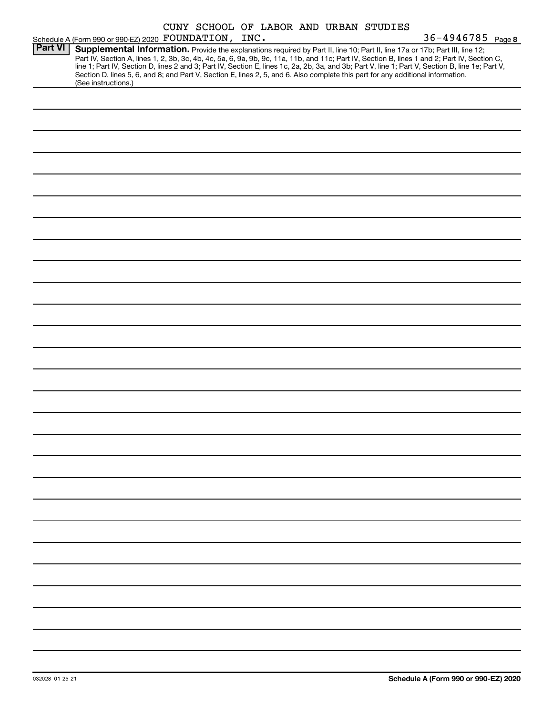|                | Schedule A (Form 990 or 990-EZ) 2020 FOUNDATION, INC.                                                                                                                                                                                                                                   |  |  |  | CUNY SCHOOL OF LABOR AND URBAN STUDIES | 36-4946785 Page 8                                                                                                                                                                                                                                                                                |
|----------------|-----------------------------------------------------------------------------------------------------------------------------------------------------------------------------------------------------------------------------------------------------------------------------------------|--|--|--|----------------------------------------|--------------------------------------------------------------------------------------------------------------------------------------------------------------------------------------------------------------------------------------------------------------------------------------------------|
| <b>Part VI</b> | Supplemental Information. Provide the explanations required by Part II, line 10; Part II, line 17a or 17b; Part III, line 12;<br>Section D, lines 5, 6, and 8; and Part V, Section E, lines 2, 5, and 6. Also complete this part for any additional information.<br>(See instructions.) |  |  |  |                                        | Part IV, Section A, lines 1, 2, 3b, 3c, 4b, 4c, 5a, 6, 9a, 9b, 9c, 11a, 11b, and 11c; Part IV, Section B, lines 1 and 2; Part IV, Section C,<br>line 1; Part IV, Section D, lines 2 and 3; Part IV, Section E, lines 1c, 2a, 2b, 3a, and 3b; Part V, line 1; Part V, Section B, line 1e; Part V, |
|                |                                                                                                                                                                                                                                                                                         |  |  |  |                                        |                                                                                                                                                                                                                                                                                                  |
|                |                                                                                                                                                                                                                                                                                         |  |  |  |                                        |                                                                                                                                                                                                                                                                                                  |
|                |                                                                                                                                                                                                                                                                                         |  |  |  |                                        |                                                                                                                                                                                                                                                                                                  |
|                |                                                                                                                                                                                                                                                                                         |  |  |  |                                        |                                                                                                                                                                                                                                                                                                  |
|                |                                                                                                                                                                                                                                                                                         |  |  |  |                                        |                                                                                                                                                                                                                                                                                                  |
|                |                                                                                                                                                                                                                                                                                         |  |  |  |                                        |                                                                                                                                                                                                                                                                                                  |
|                |                                                                                                                                                                                                                                                                                         |  |  |  |                                        |                                                                                                                                                                                                                                                                                                  |
|                |                                                                                                                                                                                                                                                                                         |  |  |  |                                        |                                                                                                                                                                                                                                                                                                  |
|                |                                                                                                                                                                                                                                                                                         |  |  |  |                                        |                                                                                                                                                                                                                                                                                                  |
|                |                                                                                                                                                                                                                                                                                         |  |  |  |                                        |                                                                                                                                                                                                                                                                                                  |
|                |                                                                                                                                                                                                                                                                                         |  |  |  |                                        |                                                                                                                                                                                                                                                                                                  |
|                |                                                                                                                                                                                                                                                                                         |  |  |  |                                        |                                                                                                                                                                                                                                                                                                  |
|                |                                                                                                                                                                                                                                                                                         |  |  |  |                                        |                                                                                                                                                                                                                                                                                                  |
|                |                                                                                                                                                                                                                                                                                         |  |  |  |                                        |                                                                                                                                                                                                                                                                                                  |
|                |                                                                                                                                                                                                                                                                                         |  |  |  |                                        |                                                                                                                                                                                                                                                                                                  |
|                |                                                                                                                                                                                                                                                                                         |  |  |  |                                        |                                                                                                                                                                                                                                                                                                  |
|                |                                                                                                                                                                                                                                                                                         |  |  |  |                                        |                                                                                                                                                                                                                                                                                                  |
|                |                                                                                                                                                                                                                                                                                         |  |  |  |                                        |                                                                                                                                                                                                                                                                                                  |
|                |                                                                                                                                                                                                                                                                                         |  |  |  |                                        |                                                                                                                                                                                                                                                                                                  |
|                |                                                                                                                                                                                                                                                                                         |  |  |  |                                        |                                                                                                                                                                                                                                                                                                  |
|                |                                                                                                                                                                                                                                                                                         |  |  |  |                                        |                                                                                                                                                                                                                                                                                                  |
|                |                                                                                                                                                                                                                                                                                         |  |  |  |                                        |                                                                                                                                                                                                                                                                                                  |
|                |                                                                                                                                                                                                                                                                                         |  |  |  |                                        |                                                                                                                                                                                                                                                                                                  |
|                |                                                                                                                                                                                                                                                                                         |  |  |  |                                        |                                                                                                                                                                                                                                                                                                  |
|                |                                                                                                                                                                                                                                                                                         |  |  |  |                                        |                                                                                                                                                                                                                                                                                                  |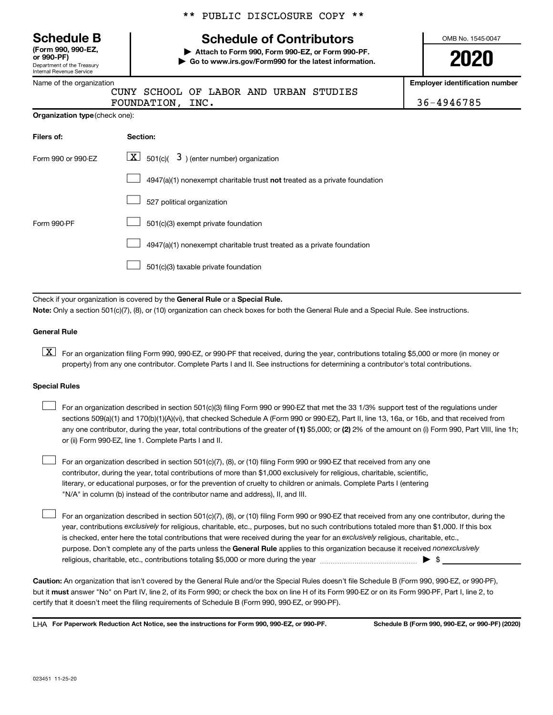| <b>Schedule B</b>                     |
|---------------------------------------|
| $T$ , $\ldots$ and and $\blacksquare$ |

Department of the Treasury Internal Revenue Service **(Form 990, 990-EZ,**

|  | Name of the organization |
|--|--------------------------|
|  |                          |

\*\* PUBLIC DISCLOSURE COPY \*\*

# **Schedule of Contributors**

**or 990-PF) | Attach to Form 990, Form 990-EZ, or Form 990-PF. | Go to www.irs.gov/Form990 for the latest information.** OMB No. 1545-0047

**2020**

**Employer identification number**

FOUNDATION, INC. 2002. [2010] 36-4946785

| Organization type (check one): |  |
|--------------------------------|--|
|                                |  |

| Filers of:         | Section:                                                                           |
|--------------------|------------------------------------------------------------------------------------|
| Form 990 or 990-EZ | $\boxed{\textbf{X}}$ 501(c)( 3) (enter number) organization                        |
|                    | $4947(a)(1)$ nonexempt charitable trust <b>not</b> treated as a private foundation |
|                    | 527 political organization                                                         |
| Form 990-PF        | 501(c)(3) exempt private foundation                                                |
|                    | 4947(a)(1) nonexempt charitable trust treated as a private foundation              |
|                    | 501(c)(3) taxable private foundation                                               |

CUNY SCHOOL OF LABOR AND URBAN STUDIES

Check if your organization is covered by the General Rule or a Special Rule.

**Note:**  Only a section 501(c)(7), (8), or (10) organization can check boxes for both the General Rule and a Special Rule. See instructions.

#### **General Rule**

**K** For an organization filing Form 990, 990-EZ, or 990-PF that received, during the year, contributions totaling \$5,000 or more (in money or property) from any one contributor. Complete Parts I and II. See instructions for determining a contributor's total contributions.

#### **Special Rules**

 $\Box$ 

any one contributor, during the year, total contributions of the greater of (1) \$5,000; or (2) 2% of the amount on (i) Form 990, Part VIII, line 1h; For an organization described in section 501(c)(3) filing Form 990 or 990-EZ that met the 33 1/3% support test of the regulations under sections 509(a)(1) and 170(b)(1)(A)(vi), that checked Schedule A (Form 990 or 990-EZ), Part II, line 13, 16a, or 16b, and that received from or (ii) Form 990-EZ, line 1. Complete Parts I and II.  $\Box$ 

For an organization described in section 501(c)(7), (8), or (10) filing Form 990 or 990-EZ that received from any one contributor, during the year, total contributions of more than \$1,000 exclusively for religious, charitable, scientific, literary, or educational purposes, or for the prevention of cruelty to children or animals. Complete Parts I (entering "N/A" in column (b) instead of the contributor name and address), II, and III.  $\Box$ 

purpose. Don't complete any of the parts unless the General Rule applies to this organization because it received nonexclusively year, contributions exclusively for religious, charitable, etc., purposes, but no such contributions totaled more than \$1,000. If this box is checked, enter here the total contributions that were received during the year for an exclusively religious, charitable, etc., For an organization described in section 501(c)(7), (8), or (10) filing Form 990 or 990-EZ that received from any one contributor, during the religious, charitable, etc., contributions totaling \$5,000 or more during the year  $\ldots$  $\ldots$  $\ldots$  $\ldots$  $\ldots$  $\ldots$ 

**Caution:**  An organization that isn't covered by the General Rule and/or the Special Rules doesn't file Schedule B (Form 990, 990-EZ, or 990-PF),  **must** but it answer "No" on Part IV, line 2, of its Form 990; or check the box on line H of its Form 990-EZ or on its Form 990-PF, Part I, line 2, to certify that it doesn't meet the filing requirements of Schedule B (Form 990, 990-EZ, or 990-PF).

**For Paperwork Reduction Act Notice, see the instructions for Form 990, 990-EZ, or 990-PF. Schedule B (Form 990, 990-EZ, or 990-PF) (2020)** LHA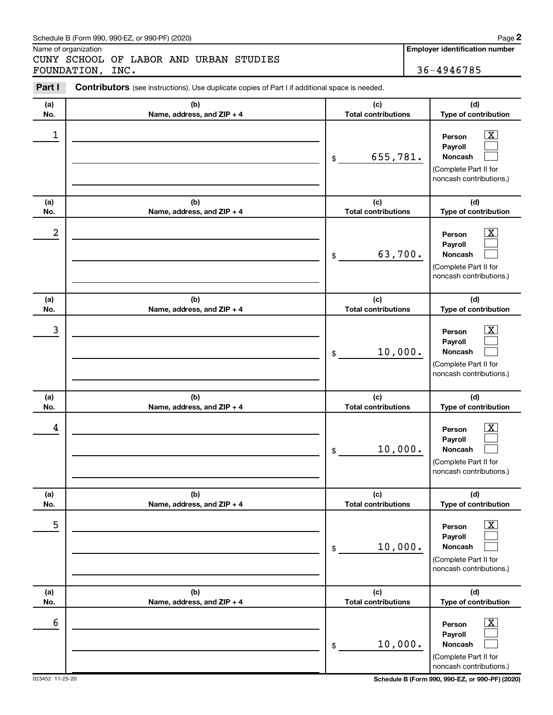#### Schedule B (Form 990, 990-EZ, or 990-PF) (2020)

Name of organization

CUNY SCHOOL OF LABOR AND URBAN STUDIES FOUNDATION, INC. 36-4946785

**Employer identification number**

| Part I     | Contributors (see instructions). Use duplicate copies of Part I if additional space is needed. |                                             |                                                                                                                                     |
|------------|------------------------------------------------------------------------------------------------|---------------------------------------------|-------------------------------------------------------------------------------------------------------------------------------------|
| (a)        | (b)                                                                                            | (c)                                         | (d)                                                                                                                                 |
| No.        | Name, address, and ZIP + 4                                                                     | <b>Total contributions</b>                  | Type of contribution                                                                                                                |
| 1          |                                                                                                | 655,781.<br>\$                              | $\overline{\text{X}}$<br>Person<br>Payroll<br>Noncash<br>(Complete Part II for<br>noncash contributions.)                           |
| (a)<br>No. | (b)<br>Name, address, and ZIP + 4                                                              | (c)<br><b>Total contributions</b>           | (d)<br>Type of contribution                                                                                                         |
| 2          |                                                                                                | 63,700.<br>\$                               | $\overline{\text{X}}$<br>Person<br>Payroll<br>Noncash<br>(Complete Part II for<br>noncash contributions.)                           |
| (a)<br>No. | (b)<br>Name, address, and ZIP + 4                                                              | (c)<br><b>Total contributions</b>           | (d)<br>Type of contribution                                                                                                         |
| 3          |                                                                                                | 10,000.<br>\$                               | $\overline{\mathbf{X}}$<br>Person<br>Payroll<br>Noncash<br>(Complete Part II for<br>noncash contributions.)                         |
| (a)        | (b)                                                                                            | (c)                                         | (d)                                                                                                                                 |
| No.<br>4   | Name, address, and ZIP + 4                                                                     | <b>Total contributions</b><br>10,000.<br>\$ | Type of contribution<br>$\overline{\mathbf{X}}$<br>Person<br>Payroll<br>Noncash<br>(Complete Part II for<br>noncash contributions.) |
| (a)<br>No. | (b)<br>Name, address, and ZIP + 4                                                              | (c)<br><b>Total contributions</b>           | (d)<br>Type of contribution                                                                                                         |
| 5          |                                                                                                | 10,000.<br>\$                               | $\overline{\text{X}}$<br>Person<br>Payroll<br>Noncash<br>(Complete Part II for<br>noncash contributions.)                           |
| (a)<br>No. | (b)<br>Name, address, and ZIP + 4                                                              | (c)<br><b>Total contributions</b>           | (d)<br>Type of contribution                                                                                                         |
| 6          |                                                                                                | 10,000.<br>\$                               | х<br>Person<br>Payroll<br>Noncash<br>(Complete Part II for<br>noncash contributions.)                                               |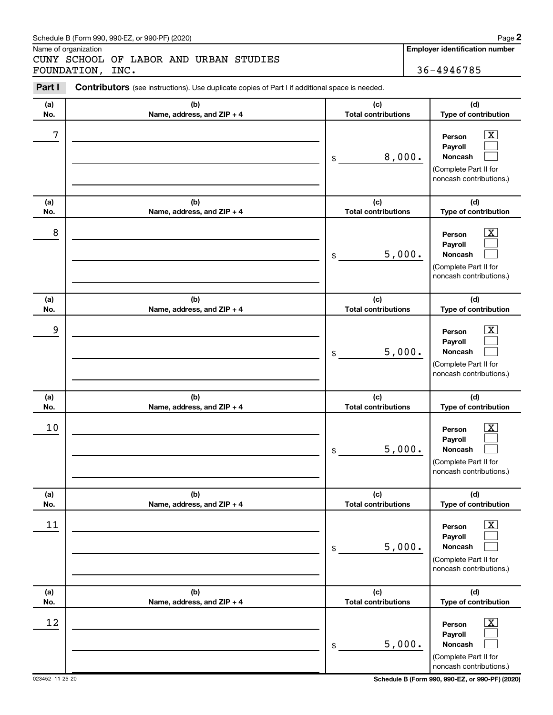#### Schedule B (Form 990, 990-EZ, or 990-PF) (2020)

Name of organization

CUNY SCHOOL OF LABOR AND URBAN STUDIES FOUNDATION, INC. 36-4946785

**Employer identification number**

| Part I     | Contributors (see instructions). Use duplicate copies of Part I if additional space is needed. |                                   |                                                                                                             |
|------------|------------------------------------------------------------------------------------------------|-----------------------------------|-------------------------------------------------------------------------------------------------------------|
| (a)<br>No. | (b)<br>Name, address, and ZIP + 4                                                              | (c)<br><b>Total contributions</b> | (d)<br>Type of contribution                                                                                 |
| 7          |                                                                                                | \$<br>8,000.                      | $\overline{\text{X}}$<br>Person<br>Payroll<br>Noncash<br>(Complete Part II for<br>noncash contributions.)   |
| (a)<br>No. | (b)<br>Name, address, and ZIP + 4                                                              | (c)<br><b>Total contributions</b> | (d)<br>Type of contribution                                                                                 |
| 8          |                                                                                                | \$<br>5,000.                      | $\overline{\text{X}}$<br>Person<br>Payroll<br>Noncash<br>(Complete Part II for<br>noncash contributions.)   |
| (a)<br>No. | (b)<br>Name, address, and ZIP + 4                                                              | (c)<br><b>Total contributions</b> | (d)<br>Type of contribution                                                                                 |
| 9          |                                                                                                | \$<br>5,000.                      | $\overline{\text{X}}$<br>Person<br>Payroll<br>Noncash<br>(Complete Part II for<br>noncash contributions.)   |
| (a)<br>No. | (b)<br>Name, address, and ZIP + 4                                                              | (c)<br><b>Total contributions</b> | (d)<br>Type of contribution                                                                                 |
| 10         |                                                                                                | \$<br>5,000.                      | $\overline{\text{X}}$<br>Person<br>Payroll<br>Noncash<br>(Complete Part II for<br>noncash contributions.)   |
| (a)<br>No. | (b)<br>Name, address, and ZIP + 4                                                              | (c)<br><b>Total contributions</b> | (d)<br>Type of contribution                                                                                 |
| 11         |                                                                                                | \$<br>5,000.                      | $\overline{\textbf{x}}$<br>Person<br>Payroll<br>Noncash<br>(Complete Part II for<br>noncash contributions.) |
| (a)<br>No. | (b)<br>Name, address, and ZIP + 4                                                              | (c)<br><b>Total contributions</b> | (d)<br>Type of contribution                                                                                 |
| 12         |                                                                                                | \$<br>5,000.                      | $\overline{\text{X}}$<br>Person<br>Payroll<br>Noncash<br>(Complete Part II for<br>noncash contributions.)   |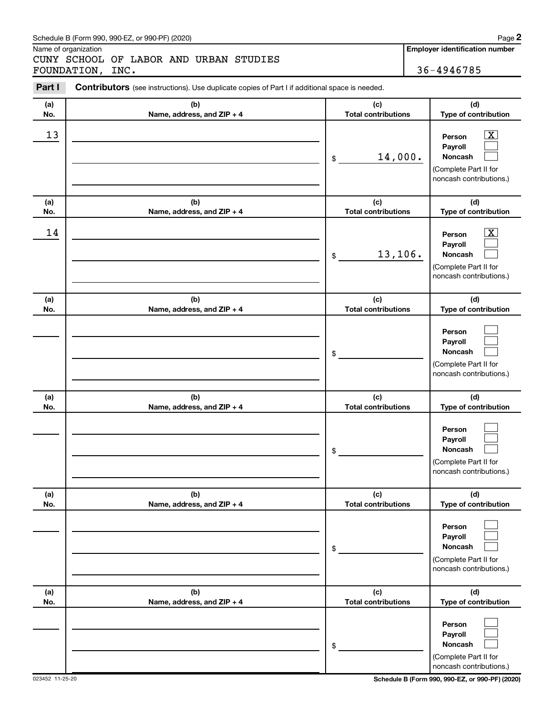#### Schedule B (Form 990, 990-EZ, or 990-PF) (2020)

Name of organization

CUNY SCHOOL OF LABOR AND URBAN STUDIES FOUNDATION, INC. 36-4946785

**Employer identification number**

| Part I     | <b>Contributors</b> (see instructions). Use duplicate copies of Part I if additional space is needed. |                                   |                                                                                                          |
|------------|-------------------------------------------------------------------------------------------------------|-----------------------------------|----------------------------------------------------------------------------------------------------------|
| (a)<br>No. | (b)<br>Name, address, and ZIP + 4                                                                     | (c)<br><b>Total contributions</b> | (d)<br>Type of contribution                                                                              |
| 13         |                                                                                                       | 14,000.<br>\$                     | $\boxed{\textbf{X}}$<br>Person<br>Payroll<br>Noncash<br>(Complete Part II for<br>noncash contributions.) |
| (a)<br>No. | (b)<br>Name, address, and ZIP + 4                                                                     | (c)<br><b>Total contributions</b> | (d)<br>Type of contribution                                                                              |
| 14         |                                                                                                       | 13, 106.<br>\$                    | $\boxed{\textbf{X}}$<br>Person<br>Payroll<br>Noncash<br>(Complete Part II for<br>noncash contributions.) |
| (a)<br>No. | (b)<br>Name, address, and ZIP + 4                                                                     | (c)<br><b>Total contributions</b> | (d)<br>Type of contribution                                                                              |
|            |                                                                                                       | \$                                | Person<br>Payroll<br>Noncash<br>(Complete Part II for<br>noncash contributions.)                         |
| (a)<br>No. | (b)<br>Name, address, and ZIP + 4                                                                     | (c)<br><b>Total contributions</b> | (d)<br>Type of contribution                                                                              |
|            |                                                                                                       | \$                                | Person<br>Payroll<br>Noncash<br>(Complete Part II for<br>noncash contributions.)                         |
| (a)<br>No. | (b)<br>Name, address, and ZIP + 4                                                                     | (c)<br><b>Total contributions</b> | (d)<br>Type of contribution                                                                              |
|            |                                                                                                       | \$                                | Person<br>Payroll<br>Noncash<br>(Complete Part II for<br>noncash contributions.)                         |
| (a)<br>No. | (b)<br>Name, address, and ZIP + 4                                                                     | (c)<br><b>Total contributions</b> | (d)<br>Type of contribution                                                                              |
|            |                                                                                                       | \$                                | Person<br>Payroll<br>Noncash<br>(Complete Part II for<br>noncash contributions.)                         |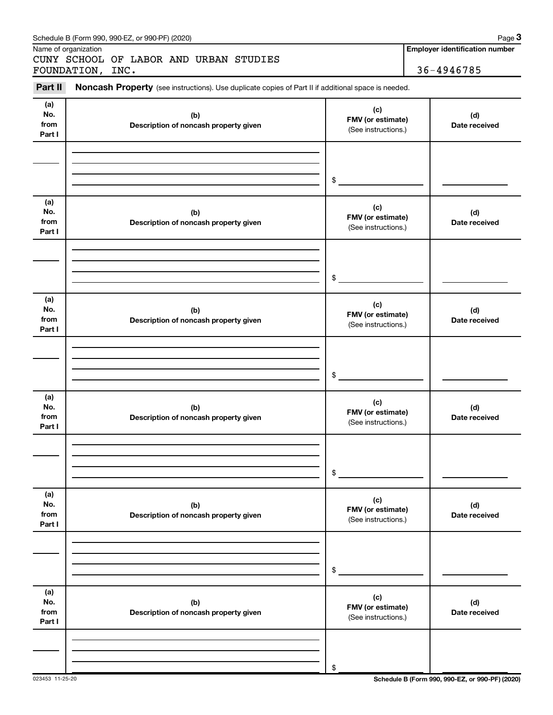|                | Name of organization                                                                                |                          | <b>Employer identification number</b> |
|----------------|-----------------------------------------------------------------------------------------------------|--------------------------|---------------------------------------|
|                | CUNY SCHOOL OF LABOR AND URBAN STUDIES<br>FOUNDATION, INC.                                          |                          | 36-4946785                            |
|                |                                                                                                     |                          |                                       |
| Part II        | Noncash Property (see instructions). Use duplicate copies of Part II if additional space is needed. |                          |                                       |
| (a)<br>No.     | (b)                                                                                                 | (c)                      | (d)                                   |
| from           | Description of noncash property given                                                               | FMV (or estimate)        | Date received                         |
| Part I         |                                                                                                     | (See instructions.)      |                                       |
|                |                                                                                                     |                          |                                       |
|                |                                                                                                     |                          |                                       |
|                |                                                                                                     | \$                       |                                       |
|                |                                                                                                     |                          |                                       |
| (a)            |                                                                                                     | (c)                      |                                       |
| No.<br>from    | (b)<br>Description of noncash property given                                                        | FMV (or estimate)        | (d)<br>Date received                  |
| Part I         |                                                                                                     | (See instructions.)      |                                       |
|                |                                                                                                     |                          |                                       |
|                |                                                                                                     |                          |                                       |
|                |                                                                                                     | \$                       |                                       |
|                |                                                                                                     |                          |                                       |
| (a)            |                                                                                                     | (c)                      |                                       |
| No.            | (b)                                                                                                 | FMV (or estimate)        | (d)                                   |
| from<br>Part I | Description of noncash property given                                                               | (See instructions.)      | Date received                         |
|                |                                                                                                     |                          |                                       |
|                |                                                                                                     |                          |                                       |
|                |                                                                                                     |                          |                                       |
|                |                                                                                                     | \$                       |                                       |
| (a)            |                                                                                                     |                          |                                       |
| No.            | (b)                                                                                                 | (c)<br>FMV (or estimate) | (d)                                   |
| from<br>Part I | Description of noncash property given                                                               | (See instructions.)      | Date received                         |
|                |                                                                                                     |                          |                                       |
|                |                                                                                                     |                          |                                       |
|                |                                                                                                     |                          |                                       |
|                |                                                                                                     | \$                       |                                       |
| (a)            |                                                                                                     |                          |                                       |
| No.            | (b)                                                                                                 | (c)<br>FMV (or estimate) | (d)                                   |
| from<br>Part I | Description of noncash property given                                                               | (See instructions.)      | Date received                         |
|                |                                                                                                     |                          |                                       |
|                |                                                                                                     |                          |                                       |
|                |                                                                                                     |                          |                                       |
|                |                                                                                                     | \$                       |                                       |
| (a)            |                                                                                                     |                          |                                       |
| No.            | (b)                                                                                                 | (c)<br>FMV (or estimate) | (d)                                   |
| from<br>Part I | Description of noncash property given                                                               | (See instructions.)      | Date received                         |
|                |                                                                                                     |                          |                                       |
|                |                                                                                                     |                          |                                       |
|                |                                                                                                     |                          |                                       |
|                |                                                                                                     | \$                       |                                       |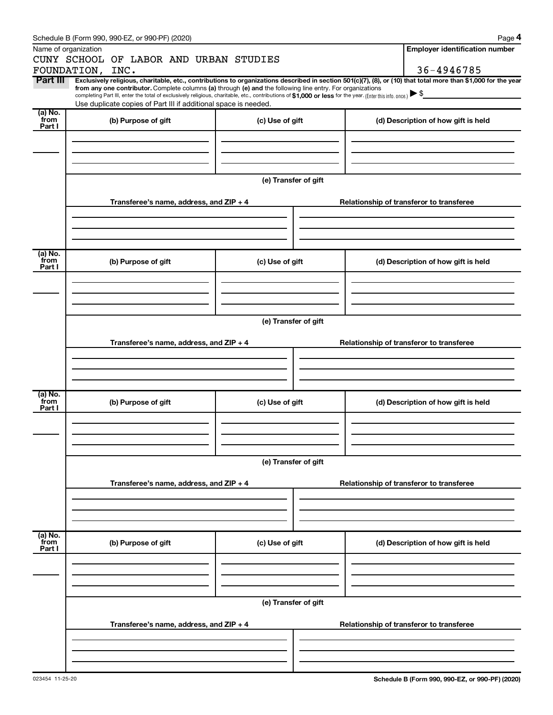|                 | Schedule B (Form 990, 990-EZ, or 990-PF) (2020)                                                                                                                                                                                                                              |                      |  | Page 4                                   |  |  |  |  |  |  |
|-----------------|------------------------------------------------------------------------------------------------------------------------------------------------------------------------------------------------------------------------------------------------------------------------------|----------------------|--|------------------------------------------|--|--|--|--|--|--|
|                 | Name of organization                                                                                                                                                                                                                                                         |                      |  | <b>Employer identification number</b>    |  |  |  |  |  |  |
|                 | CUNY SCHOOL OF LABOR AND URBAN STUDIES                                                                                                                                                                                                                                       |                      |  |                                          |  |  |  |  |  |  |
|                 | FOUNDATION, INC.                                                                                                                                                                                                                                                             |                      |  | 36-4946785                               |  |  |  |  |  |  |
| Part III        | Exclusively religious, charitable, etc., contributions to organizations described in section 501(c)(7), (8), or (10) that total more than \$1,000 for the year<br>from any one contributor. Complete columns (a) through (e) and the following line entry. For organizations |                      |  |                                          |  |  |  |  |  |  |
|                 | completing Part III, enter the total of exclusively religious, charitable, etc., contributions of \$1,000 or less for the year. (Enter this info. once.)                                                                                                                     |                      |  |                                          |  |  |  |  |  |  |
| (a) No.         | Use duplicate copies of Part III if additional space is needed.                                                                                                                                                                                                              |                      |  |                                          |  |  |  |  |  |  |
| from            | (b) Purpose of gift                                                                                                                                                                                                                                                          | (c) Use of gift      |  | (d) Description of how gift is held      |  |  |  |  |  |  |
| Part I          |                                                                                                                                                                                                                                                                              |                      |  |                                          |  |  |  |  |  |  |
|                 |                                                                                                                                                                                                                                                                              |                      |  |                                          |  |  |  |  |  |  |
|                 |                                                                                                                                                                                                                                                                              |                      |  |                                          |  |  |  |  |  |  |
|                 |                                                                                                                                                                                                                                                                              |                      |  |                                          |  |  |  |  |  |  |
|                 |                                                                                                                                                                                                                                                                              | (e) Transfer of gift |  |                                          |  |  |  |  |  |  |
|                 |                                                                                                                                                                                                                                                                              |                      |  |                                          |  |  |  |  |  |  |
|                 | Transferee's name, address, and ZIP + 4                                                                                                                                                                                                                                      |                      |  | Relationship of transferor to transferee |  |  |  |  |  |  |
|                 |                                                                                                                                                                                                                                                                              |                      |  |                                          |  |  |  |  |  |  |
|                 |                                                                                                                                                                                                                                                                              |                      |  |                                          |  |  |  |  |  |  |
|                 |                                                                                                                                                                                                                                                                              |                      |  |                                          |  |  |  |  |  |  |
| (a) No.         |                                                                                                                                                                                                                                                                              |                      |  |                                          |  |  |  |  |  |  |
| from<br>Part I  | (b) Purpose of gift                                                                                                                                                                                                                                                          | (c) Use of gift      |  | (d) Description of how gift is held      |  |  |  |  |  |  |
|                 |                                                                                                                                                                                                                                                                              |                      |  |                                          |  |  |  |  |  |  |
|                 |                                                                                                                                                                                                                                                                              |                      |  |                                          |  |  |  |  |  |  |
|                 |                                                                                                                                                                                                                                                                              |                      |  |                                          |  |  |  |  |  |  |
|                 |                                                                                                                                                                                                                                                                              |                      |  |                                          |  |  |  |  |  |  |
|                 | (e) Transfer of gift                                                                                                                                                                                                                                                         |                      |  |                                          |  |  |  |  |  |  |
|                 |                                                                                                                                                                                                                                                                              |                      |  |                                          |  |  |  |  |  |  |
|                 | Transferee's name, address, and ZIP + 4                                                                                                                                                                                                                                      |                      |  | Relationship of transferor to transferee |  |  |  |  |  |  |
|                 |                                                                                                                                                                                                                                                                              |                      |  |                                          |  |  |  |  |  |  |
|                 |                                                                                                                                                                                                                                                                              |                      |  |                                          |  |  |  |  |  |  |
|                 |                                                                                                                                                                                                                                                                              |                      |  |                                          |  |  |  |  |  |  |
| (a) No.         |                                                                                                                                                                                                                                                                              |                      |  |                                          |  |  |  |  |  |  |
| from<br>Part I  | (b) Purpose of gift                                                                                                                                                                                                                                                          | (c) Use of gift      |  | (d) Description of how gift is held      |  |  |  |  |  |  |
|                 |                                                                                                                                                                                                                                                                              |                      |  |                                          |  |  |  |  |  |  |
|                 |                                                                                                                                                                                                                                                                              |                      |  |                                          |  |  |  |  |  |  |
|                 |                                                                                                                                                                                                                                                                              |                      |  |                                          |  |  |  |  |  |  |
|                 |                                                                                                                                                                                                                                                                              |                      |  |                                          |  |  |  |  |  |  |
|                 |                                                                                                                                                                                                                                                                              | (e) Transfer of gift |  |                                          |  |  |  |  |  |  |
|                 | Transferee's name, address, and $ZIP + 4$                                                                                                                                                                                                                                    |                      |  | Relationship of transferor to transferee |  |  |  |  |  |  |
|                 |                                                                                                                                                                                                                                                                              |                      |  |                                          |  |  |  |  |  |  |
|                 |                                                                                                                                                                                                                                                                              |                      |  |                                          |  |  |  |  |  |  |
|                 |                                                                                                                                                                                                                                                                              |                      |  |                                          |  |  |  |  |  |  |
|                 |                                                                                                                                                                                                                                                                              |                      |  |                                          |  |  |  |  |  |  |
| (a) No.<br>from | (b) Purpose of gift                                                                                                                                                                                                                                                          | (c) Use of gift      |  | (d) Description of how gift is held      |  |  |  |  |  |  |
| Part I          |                                                                                                                                                                                                                                                                              |                      |  |                                          |  |  |  |  |  |  |
|                 |                                                                                                                                                                                                                                                                              |                      |  |                                          |  |  |  |  |  |  |
|                 |                                                                                                                                                                                                                                                                              |                      |  |                                          |  |  |  |  |  |  |
|                 |                                                                                                                                                                                                                                                                              |                      |  |                                          |  |  |  |  |  |  |
|                 | (e) Transfer of gift                                                                                                                                                                                                                                                         |                      |  |                                          |  |  |  |  |  |  |
|                 |                                                                                                                                                                                                                                                                              |                      |  |                                          |  |  |  |  |  |  |
|                 | Transferee's name, address, and ZIP + 4                                                                                                                                                                                                                                      |                      |  | Relationship of transferor to transferee |  |  |  |  |  |  |
|                 |                                                                                                                                                                                                                                                                              |                      |  |                                          |  |  |  |  |  |  |
|                 |                                                                                                                                                                                                                                                                              |                      |  |                                          |  |  |  |  |  |  |
|                 |                                                                                                                                                                                                                                                                              |                      |  |                                          |  |  |  |  |  |  |
|                 |                                                                                                                                                                                                                                                                              |                      |  |                                          |  |  |  |  |  |  |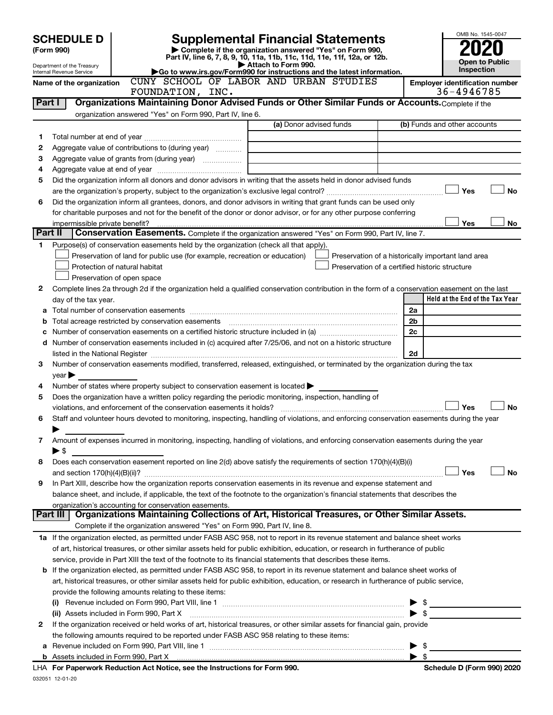|         | <b>SCHEDULE D</b>                                      |                                                                                                             | <b>Supplemental Financial Statements</b>                                                                                                       |                         | OMB No. 1545-0047                                  |
|---------|--------------------------------------------------------|-------------------------------------------------------------------------------------------------------------|------------------------------------------------------------------------------------------------------------------------------------------------|-------------------------|----------------------------------------------------|
|         | (Form 990)                                             |                                                                                                             | Complete if the organization answered "Yes" on Form 990,                                                                                       |                         |                                                    |
|         |                                                        |                                                                                                             | Part IV, line 6, 7, 8, 9, 10, 11a, 11b, 11c, 11d, 11e, 11f, 12a, or 12b.                                                                       |                         |                                                    |
|         | Department of the Treasury<br>Internal Revenue Service |                                                                                                             | Attach to Form 990.<br>Go to www.irs.gov/Form990 for instructions and the latest information.                                                  |                         | <b>Open to Public</b><br>Inspection                |
|         | Name of the organization                               |                                                                                                             | CUNY SCHOOL OF LABOR AND URBAN STUDIES                                                                                                         |                         | <b>Employer identification number</b>              |
|         |                                                        | FOUNDATION, INC.                                                                                            |                                                                                                                                                |                         | 36-4946785                                         |
| Part I  |                                                        |                                                                                                             | Organizations Maintaining Donor Advised Funds or Other Similar Funds or Accounts. Complete if the                                              |                         |                                                    |
|         |                                                        | organization answered "Yes" on Form 990, Part IV, line 6.                                                   |                                                                                                                                                |                         |                                                    |
|         |                                                        |                                                                                                             | (a) Donor advised funds                                                                                                                        |                         | (b) Funds and other accounts                       |
| 1       |                                                        |                                                                                                             |                                                                                                                                                |                         |                                                    |
| 2       |                                                        | Aggregate value of contributions to (during year)                                                           |                                                                                                                                                |                         |                                                    |
| З       |                                                        |                                                                                                             | the control of the control of the control of the control of the control of                                                                     |                         |                                                    |
| 4       |                                                        |                                                                                                             |                                                                                                                                                |                         |                                                    |
| 5       |                                                        |                                                                                                             | Did the organization inform all donors and donor advisors in writing that the assets held in donor advised funds                               |                         |                                                    |
|         |                                                        |                                                                                                             |                                                                                                                                                |                         | <b>No</b><br>Yes                                   |
| 6       |                                                        |                                                                                                             | Did the organization inform all grantees, donors, and donor advisors in writing that grant funds can be used only                              |                         |                                                    |
|         |                                                        |                                                                                                             | for charitable purposes and not for the benefit of the donor or donor advisor, or for any other purpose conferring                             |                         |                                                    |
| Part II | impermissible private benefit?                         |                                                                                                             | Conservation Easements. Complete if the organization answered "Yes" on Form 990, Part IV, line 7.                                              |                         | Yes<br>No                                          |
|         |                                                        |                                                                                                             |                                                                                                                                                |                         |                                                    |
| 1       |                                                        | Purpose(s) of conservation easements held by the organization (check all that apply).                       |                                                                                                                                                |                         |                                                    |
|         |                                                        | Preservation of land for public use (for example, recreation or education)<br>Protection of natural habitat | Preservation of a certified historic structure                                                                                                 |                         | Preservation of a historically important land area |
|         |                                                        | Preservation of open space                                                                                  |                                                                                                                                                |                         |                                                    |
| 2       |                                                        |                                                                                                             | Complete lines 2a through 2d if the organization held a qualified conservation contribution in the form of a conservation easement on the last |                         |                                                    |
|         |                                                        |                                                                                                             |                                                                                                                                                |                         | Held at the End of the Tax Year                    |
|         | day of the tax year.                                   |                                                                                                             |                                                                                                                                                | 2a                      |                                                    |
|         |                                                        |                                                                                                             |                                                                                                                                                | 2 <sub>b</sub>          |                                                    |
| b       |                                                        |                                                                                                             |                                                                                                                                                | 2c                      |                                                    |
|         |                                                        |                                                                                                             | Number of conservation easements included in (c) acquired after 7/25/06, and not on a historic structure                                       |                         |                                                    |
| d       |                                                        |                                                                                                             |                                                                                                                                                | 2d                      |                                                    |
| 3       |                                                        |                                                                                                             | Number of conservation easements modified, transferred, released, extinguished, or terminated by the organization during the tax               |                         |                                                    |
|         | $year \triangleright$                                  |                                                                                                             |                                                                                                                                                |                         |                                                    |
| 4       |                                                        | Number of states where property subject to conservation easement is located $\blacktriangleright$           |                                                                                                                                                |                         |                                                    |
| 5       |                                                        | Does the organization have a written policy regarding the periodic monitoring, inspection, handling of      |                                                                                                                                                |                         |                                                    |
|         |                                                        | violations, and enforcement of the conservation easements it holds?                                         |                                                                                                                                                |                         | <b>No</b><br>Yes                                   |
| 6       |                                                        |                                                                                                             | Staff and volunteer hours devoted to monitoring, inspecting, handling of violations, and enforcing conservation easements during the year      |                         |                                                    |
|         |                                                        |                                                                                                             |                                                                                                                                                |                         |                                                    |
| 7       |                                                        |                                                                                                             | Amount of expenses incurred in monitoring, inspecting, handling of violations, and enforcing conservation easements during the year            |                         |                                                    |
|         | ► \$                                                   |                                                                                                             |                                                                                                                                                |                         |                                                    |
| 8       |                                                        |                                                                                                             | Does each conservation easement reported on line $2(d)$ above satisfy the requirements of section 170(h)(4)(B)(i)                              |                         |                                                    |
|         |                                                        |                                                                                                             |                                                                                                                                                |                         | Yes<br>No                                          |
| 9       |                                                        |                                                                                                             | In Part XIII, describe how the organization reports conservation easements in its revenue and expense statement and                            |                         |                                                    |
|         |                                                        |                                                                                                             | balance sheet, and include, if applicable, the text of the footnote to the organization's financial statements that describes the              |                         |                                                    |
|         |                                                        | organization's accounting for conservation easements.                                                       |                                                                                                                                                |                         |                                                    |
|         |                                                        |                                                                                                             | Part III   Organizations Maintaining Collections of Art, Historical Treasures, or Other Similar Assets.                                        |                         |                                                    |
|         |                                                        | Complete if the organization answered "Yes" on Form 990, Part IV, line 8.                                   |                                                                                                                                                |                         |                                                    |
|         |                                                        |                                                                                                             | 1a If the organization elected, as permitted under FASB ASC 958, not to report in its revenue statement and balance sheet works                |                         |                                                    |
|         |                                                        |                                                                                                             | of art, historical treasures, or other similar assets held for public exhibition, education, or research in furtherance of public              |                         |                                                    |
|         |                                                        |                                                                                                             | service, provide in Part XIII the text of the footnote to its financial statements that describes these items.                                 |                         |                                                    |
|         |                                                        |                                                                                                             | <b>b</b> If the organization elected, as permitted under FASB ASC 958, to report in its revenue statement and balance sheet works of           |                         |                                                    |
|         |                                                        |                                                                                                             | art, historical treasures, or other similar assets held for public exhibition, education, or research in furtherance of public service,        |                         |                                                    |
|         |                                                        | provide the following amounts relating to these items:                                                      |                                                                                                                                                |                         |                                                    |
|         |                                                        |                                                                                                             |                                                                                                                                                |                         | $\frac{1}{\sqrt{2}}$                               |
|         |                                                        | (ii) Assets included in Form 990, Part X                                                                    |                                                                                                                                                |                         |                                                    |
| 2       |                                                        |                                                                                                             | If the organization received or held works of art, historical treasures, or other similar assets for financial gain, provide                   |                         |                                                    |
|         |                                                        | the following amounts required to be reported under FASB ASC 958 relating to these items:                   |                                                                                                                                                |                         |                                                    |
| а       |                                                        |                                                                                                             |                                                                                                                                                |                         | - \$                                               |
|         |                                                        |                                                                                                             |                                                                                                                                                | $\blacktriangleright$ s |                                                    |
|         |                                                        | LHA For Paperwork Reduction Act Notice, see the Instructions for Form 990.                                  |                                                                                                                                                |                         | Schedule D (Form 990) 2020                         |

032051 12-01-20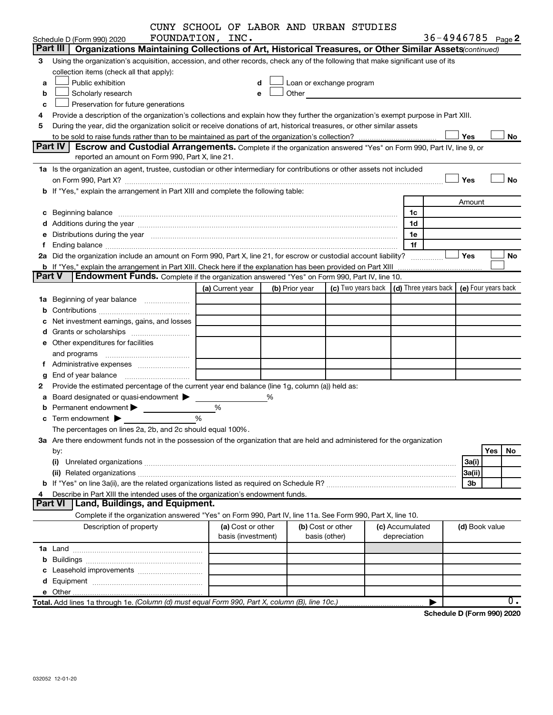|               | CUNY SCHOOL OF LABOR AND URBAN STUDIES                                                                                                                                                                                               |                  |                    |   |                          |                   |                                                                                                                                                                                                                                 |                      |  |                |                     |
|---------------|--------------------------------------------------------------------------------------------------------------------------------------------------------------------------------------------------------------------------------------|------------------|--------------------|---|--------------------------|-------------------|---------------------------------------------------------------------------------------------------------------------------------------------------------------------------------------------------------------------------------|----------------------|--|----------------|---------------------|
|               | FOUNDATION, INC.<br>Schedule D (Form 990) 2020                                                                                                                                                                                       |                  |                    |   |                          |                   |                                                                                                                                                                                                                                 |                      |  |                | 36-4946785 Page 2   |
|               | Part III   Organizations Maintaining Collections of Art, Historical Treasures, or Other Similar Assets (continued)                                                                                                                   |                  |                    |   |                          |                   |                                                                                                                                                                                                                                 |                      |  |                |                     |
| З.            | Using the organization's acquisition, accession, and other records, check any of the following that make significant use of its                                                                                                      |                  |                    |   |                          |                   |                                                                                                                                                                                                                                 |                      |  |                |                     |
|               | collection items (check all that apply):                                                                                                                                                                                             |                  |                    |   |                          |                   |                                                                                                                                                                                                                                 |                      |  |                |                     |
| a             | Public exhibition                                                                                                                                                                                                                    |                  |                    |   | Loan or exchange program |                   |                                                                                                                                                                                                                                 |                      |  |                |                     |
| b             | Scholarly research                                                                                                                                                                                                                   |                  |                    | e |                          |                   | Other and the contract of the contract of the contract of the contract of the contract of the contract of the contract of the contract of the contract of the contract of the contract of the contract of the contract of the c |                      |  |                |                     |
| c             | Preservation for future generations                                                                                                                                                                                                  |                  |                    |   |                          |                   |                                                                                                                                                                                                                                 |                      |  |                |                     |
| 4             | Provide a description of the organization's collections and explain how they further the organization's exempt purpose in Part XIII.                                                                                                 |                  |                    |   |                          |                   |                                                                                                                                                                                                                                 |                      |  |                |                     |
| 5             | During the year, did the organization solicit or receive donations of art, historical treasures, or other similar assets                                                                                                             |                  |                    |   |                          |                   |                                                                                                                                                                                                                                 |                      |  |                |                     |
|               | Yes<br>No                                                                                                                                                                                                                            |                  |                    |   |                          |                   |                                                                                                                                                                                                                                 |                      |  |                |                     |
|               | Part IV<br><b>Escrow and Custodial Arrangements.</b> Complete if the organization answered "Yes" on Form 990, Part IV, line 9, or                                                                                                    |                  |                    |   |                          |                   |                                                                                                                                                                                                                                 |                      |  |                |                     |
|               | reported an amount on Form 990, Part X, line 21.                                                                                                                                                                                     |                  |                    |   |                          |                   |                                                                                                                                                                                                                                 |                      |  |                |                     |
|               | 1a Is the organization an agent, trustee, custodian or other intermediary for contributions or other assets not included                                                                                                             |                  |                    |   |                          |                   |                                                                                                                                                                                                                                 |                      |  |                |                     |
|               |                                                                                                                                                                                                                                      |                  |                    |   |                          |                   |                                                                                                                                                                                                                                 |                      |  | Yes            | <b>No</b>           |
|               | b If "Yes," explain the arrangement in Part XIII and complete the following table:                                                                                                                                                   |                  |                    |   |                          |                   |                                                                                                                                                                                                                                 |                      |  |                |                     |
|               |                                                                                                                                                                                                                                      |                  |                    |   |                          |                   |                                                                                                                                                                                                                                 |                      |  | Amount         |                     |
|               | c Beginning balance <b>contract to the contract of the contract of the contract of the contract of the contract of the contract of the contract of the contract of the contract of the contract of the contract of the contract </b> |                  |                    |   |                          |                   |                                                                                                                                                                                                                                 | 1c                   |  |                |                     |
|               |                                                                                                                                                                                                                                      |                  |                    |   |                          |                   |                                                                                                                                                                                                                                 | 1d                   |  |                |                     |
|               | e Distributions during the year manufactured and contain an account of the year manufactured and the year manufactured and the year manufactured and the year manufactured and the year manufactured and the year manufactured       |                  |                    |   |                          |                   |                                                                                                                                                                                                                                 | 1е                   |  |                |                     |
| f             |                                                                                                                                                                                                                                      |                  |                    |   |                          |                   |                                                                                                                                                                                                                                 | 1f                   |  |                |                     |
|               | 2a Did the organization include an amount on Form 990, Part X, line 21, for escrow or custodial account liability?                                                                                                                   |                  |                    |   |                          |                   |                                                                                                                                                                                                                                 |                      |  | Yes            | No                  |
|               | <b>b</b> If "Yes," explain the arrangement in Part XIII. Check here if the explanation has been provided on Part XIII                                                                                                                |                  |                    |   |                          |                   |                                                                                                                                                                                                                                 |                      |  |                |                     |
| <b>Part V</b> | <b>Endowment Funds.</b> Complete if the organization answered "Yes" on Form 990, Part IV, line 10.                                                                                                                                   |                  |                    |   |                          |                   |                                                                                                                                                                                                                                 |                      |  |                |                     |
|               |                                                                                                                                                                                                                                      | (a) Current year |                    |   | (b) Prior year           |                   | (c) Two years back                                                                                                                                                                                                              | (d) Three years back |  |                | (e) Four years back |
|               | 1a Beginning of year balance                                                                                                                                                                                                         |                  |                    |   |                          |                   |                                                                                                                                                                                                                                 |                      |  |                |                     |
|               |                                                                                                                                                                                                                                      |                  |                    |   |                          |                   |                                                                                                                                                                                                                                 |                      |  |                |                     |
| с             | Net investment earnings, gains, and losses                                                                                                                                                                                           |                  |                    |   |                          |                   |                                                                                                                                                                                                                                 |                      |  |                |                     |
|               |                                                                                                                                                                                                                                      |                  |                    |   |                          |                   |                                                                                                                                                                                                                                 |                      |  |                |                     |
|               | e Other expenditures for facilities                                                                                                                                                                                                  |                  |                    |   |                          |                   |                                                                                                                                                                                                                                 |                      |  |                |                     |
|               | and programs                                                                                                                                                                                                                         |                  |                    |   |                          |                   |                                                                                                                                                                                                                                 |                      |  |                |                     |
|               |                                                                                                                                                                                                                                      |                  |                    |   |                          |                   |                                                                                                                                                                                                                                 |                      |  |                |                     |
| g             |                                                                                                                                                                                                                                      |                  |                    |   |                          |                   |                                                                                                                                                                                                                                 |                      |  |                |                     |
| 2             | Provide the estimated percentage of the current year end balance (line 1g, column (a)) held as:                                                                                                                                      |                  |                    |   |                          |                   |                                                                                                                                                                                                                                 |                      |  |                |                     |
|               | a Board designated or quasi-endowment >                                                                                                                                                                                              |                  |                    | % |                          |                   |                                                                                                                                                                                                                                 |                      |  |                |                     |
|               | Permanent endowment                                                                                                                                                                                                                  | %                |                    |   |                          |                   |                                                                                                                                                                                                                                 |                      |  |                |                     |
|               | %<br><b>c</b> Term endowment $\blacktriangleright$                                                                                                                                                                                   |                  |                    |   |                          |                   |                                                                                                                                                                                                                                 |                      |  |                |                     |
|               | The percentages on lines 2a, 2b, and 2c should equal 100%.                                                                                                                                                                           |                  |                    |   |                          |                   |                                                                                                                                                                                                                                 |                      |  |                |                     |
|               | 3a Are there endowment funds not in the possession of the organization that are held and administered for the organization                                                                                                           |                  |                    |   |                          |                   |                                                                                                                                                                                                                                 |                      |  |                |                     |
|               | by:                                                                                                                                                                                                                                  |                  |                    |   |                          |                   |                                                                                                                                                                                                                                 |                      |  |                | Yes<br>No           |
|               | (i)                                                                                                                                                                                                                                  |                  |                    |   |                          |                   |                                                                                                                                                                                                                                 |                      |  | 3a(i)          |                     |
|               |                                                                                                                                                                                                                                      |                  |                    |   |                          |                   |                                                                                                                                                                                                                                 |                      |  | 3a(ii)         |                     |
|               |                                                                                                                                                                                                                                      |                  |                    |   |                          |                   |                                                                                                                                                                                                                                 |                      |  | 3b             |                     |
| 4             | Describe in Part XIII the intended uses of the organization's endowment funds.                                                                                                                                                       |                  |                    |   |                          |                   |                                                                                                                                                                                                                                 |                      |  |                |                     |
|               | Part VI   Land, Buildings, and Equipment.                                                                                                                                                                                            |                  |                    |   |                          |                   |                                                                                                                                                                                                                                 |                      |  |                |                     |
|               | Complete if the organization answered "Yes" on Form 990, Part IV, line 11a. See Form 990, Part X, line 10.                                                                                                                           |                  |                    |   |                          |                   |                                                                                                                                                                                                                                 |                      |  |                |                     |
|               | Description of property                                                                                                                                                                                                              |                  | (a) Cost or other  |   |                          | (b) Cost or other |                                                                                                                                                                                                                                 | (c) Accumulated      |  | (d) Book value |                     |
|               |                                                                                                                                                                                                                                      |                  | basis (investment) |   |                          | basis (other)     |                                                                                                                                                                                                                                 | depreciation         |  |                |                     |
|               |                                                                                                                                                                                                                                      |                  |                    |   |                          |                   |                                                                                                                                                                                                                                 |                      |  |                |                     |
|               |                                                                                                                                                                                                                                      |                  |                    |   |                          |                   |                                                                                                                                                                                                                                 |                      |  |                |                     |
|               |                                                                                                                                                                                                                                      |                  |                    |   |                          |                   |                                                                                                                                                                                                                                 |                      |  |                |                     |
|               |                                                                                                                                                                                                                                      |                  |                    |   |                          |                   |                                                                                                                                                                                                                                 |                      |  |                |                     |
|               |                                                                                                                                                                                                                                      |                  |                    |   |                          |                   |                                                                                                                                                                                                                                 |                      |  |                |                     |
|               |                                                                                                                                                                                                                                      |                  |                    |   |                          |                   |                                                                                                                                                                                                                                 |                      |  |                | $\overline{0}$ .    |
|               |                                                                                                                                                                                                                                      |                  |                    |   |                          |                   |                                                                                                                                                                                                                                 |                      |  |                |                     |

**Schedule D (Form 990) 2020**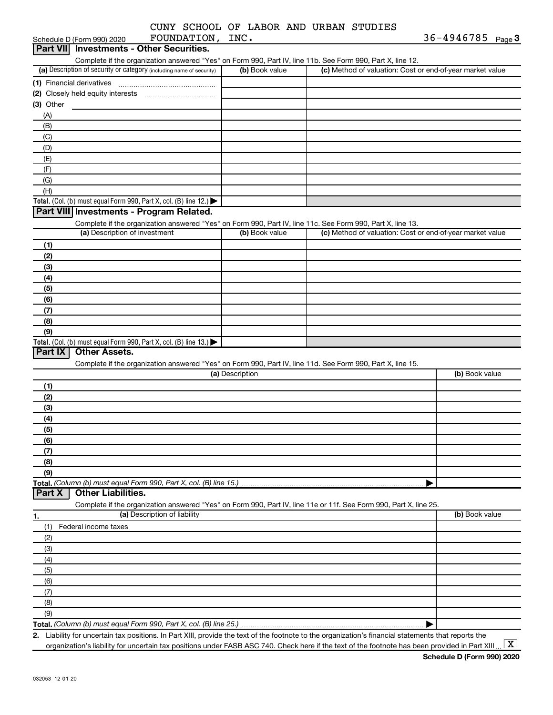|            |                                                                                                 |                              |                 | CUNY SCHOOL OF LABOR AND URBAN STUDIES                                                                                                               |                                                           |
|------------|-------------------------------------------------------------------------------------------------|------------------------------|-----------------|------------------------------------------------------------------------------------------------------------------------------------------------------|-----------------------------------------------------------|
|            | Schedule D (Form 990) 2020                                                                      | FOUNDATION, INC.             |                 |                                                                                                                                                      | 36-4946785 Page 3                                         |
|            | Part VII Investments - Other Securities.                                                        |                              |                 |                                                                                                                                                      |                                                           |
|            |                                                                                                 |                              |                 | Complete if the organization answered "Yes" on Form 990, Part IV, line 11b. See Form 990, Part X, line 12.                                           |                                                           |
|            | (a) Description of security or category (including name of security)                            |                              | (b) Book value  |                                                                                                                                                      | (c) Method of valuation: Cost or end-of-year market value |
|            | (1) Financial derivatives                                                                       |                              |                 |                                                                                                                                                      |                                                           |
|            |                                                                                                 |                              |                 |                                                                                                                                                      |                                                           |
| (3) Other  |                                                                                                 |                              |                 |                                                                                                                                                      |                                                           |
| (A)        |                                                                                                 |                              |                 |                                                                                                                                                      |                                                           |
| (B)        |                                                                                                 |                              |                 |                                                                                                                                                      |                                                           |
| (C)        |                                                                                                 |                              |                 |                                                                                                                                                      |                                                           |
| (D)        |                                                                                                 |                              |                 |                                                                                                                                                      |                                                           |
| (E)        |                                                                                                 |                              |                 |                                                                                                                                                      |                                                           |
| (F)        |                                                                                                 |                              |                 |                                                                                                                                                      |                                                           |
| (G)        |                                                                                                 |                              |                 |                                                                                                                                                      |                                                           |
| (H)        |                                                                                                 |                              |                 |                                                                                                                                                      |                                                           |
|            | <b>Total.</b> (Col. (b) must equal Form 990, Part X, col. (B) line 12.) $\blacktriangleright$   |                              |                 |                                                                                                                                                      |                                                           |
|            | Part VIII Investments - Program Related.                                                        |                              |                 |                                                                                                                                                      |                                                           |
|            |                                                                                                 |                              |                 | Complete if the organization answered "Yes" on Form 990, Part IV, line 11c. See Form 990, Part X, line 13.                                           |                                                           |
|            | (a) Description of investment                                                                   |                              | (b) Book value  |                                                                                                                                                      | (c) Method of valuation: Cost or end-of-year market value |
| (1)        |                                                                                                 |                              |                 |                                                                                                                                                      |                                                           |
| (2)        |                                                                                                 |                              |                 |                                                                                                                                                      |                                                           |
| (3)        |                                                                                                 |                              |                 |                                                                                                                                                      |                                                           |
| (4)        |                                                                                                 |                              |                 |                                                                                                                                                      |                                                           |
| (5)        |                                                                                                 |                              |                 |                                                                                                                                                      |                                                           |
| (6)        |                                                                                                 |                              |                 |                                                                                                                                                      |                                                           |
| (7)        |                                                                                                 |                              |                 |                                                                                                                                                      |                                                           |
| (8)        |                                                                                                 |                              |                 |                                                                                                                                                      |                                                           |
| (9)        |                                                                                                 |                              |                 |                                                                                                                                                      |                                                           |
| Part IX    | <b>Total.</b> (Col. (b) must equal Form 990, Part X, col. (B) line 13.)<br><b>Other Assets.</b> |                              |                 |                                                                                                                                                      |                                                           |
|            |                                                                                                 |                              |                 |                                                                                                                                                      |                                                           |
|            |                                                                                                 |                              | (a) Description | Complete if the organization answered "Yes" on Form 990, Part IV, line 11d. See Form 990, Part X, line 15.                                           | (b) Book value                                            |
|            |                                                                                                 |                              |                 |                                                                                                                                                      |                                                           |
| (1)        |                                                                                                 |                              |                 |                                                                                                                                                      |                                                           |
| (2)        |                                                                                                 |                              |                 |                                                                                                                                                      |                                                           |
| (3)        |                                                                                                 |                              |                 |                                                                                                                                                      |                                                           |
| (4)        |                                                                                                 |                              |                 |                                                                                                                                                      |                                                           |
| (5)<br>(6) |                                                                                                 |                              |                 |                                                                                                                                                      |                                                           |
| (7)        |                                                                                                 |                              |                 |                                                                                                                                                      |                                                           |
| (8)        |                                                                                                 |                              |                 |                                                                                                                                                      |                                                           |
| (9)        |                                                                                                 |                              |                 |                                                                                                                                                      |                                                           |
|            | Total. (Column (b) must equal Form 990, Part X, col. (B) line 15.)                              |                              |                 |                                                                                                                                                      |                                                           |
| Part X     | <b>Other Liabilities.</b>                                                                       |                              |                 |                                                                                                                                                      |                                                           |
|            |                                                                                                 |                              |                 | Complete if the organization answered "Yes" on Form 990, Part IV, line 11e or 11f. See Form 990, Part X, line 25.                                    |                                                           |
| 1.         |                                                                                                 | (a) Description of liability |                 |                                                                                                                                                      | (b) Book value                                            |
| (1)        | Federal income taxes                                                                            |                              |                 |                                                                                                                                                      |                                                           |
| (2)        |                                                                                                 |                              |                 |                                                                                                                                                      |                                                           |
| (3)        |                                                                                                 |                              |                 |                                                                                                                                                      |                                                           |
| (4)        |                                                                                                 |                              |                 |                                                                                                                                                      |                                                           |
| (5)        |                                                                                                 |                              |                 |                                                                                                                                                      |                                                           |
| (6)        |                                                                                                 |                              |                 |                                                                                                                                                      |                                                           |
| (7)        |                                                                                                 |                              |                 |                                                                                                                                                      |                                                           |
| (8)        |                                                                                                 |                              |                 |                                                                                                                                                      |                                                           |
| (9)        |                                                                                                 |                              |                 |                                                                                                                                                      |                                                           |
|            |                                                                                                 |                              |                 |                                                                                                                                                      |                                                           |
|            |                                                                                                 |                              |                 | 2. Liability for uncertain tax positions. In Part XIII, provide the text of the footnote to the organization's financial statements that reports the |                                                           |

organization's liability for uncertain tax positions under FASB ASC 740. Check here if the text of the footnote has been provided in Part XIII ...  $\fbox{\bf X}$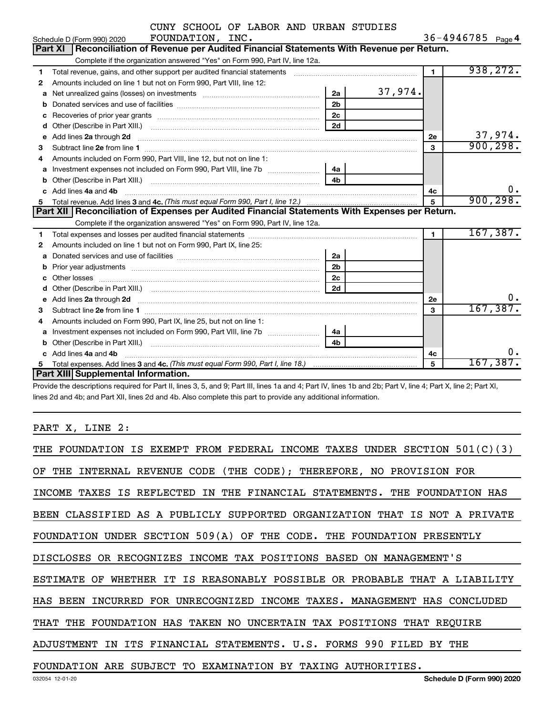|              | CUNY SCHOOL OF LABOR AND URBAN STUDIES                                                                                                                                                                                              |                |         |                |                        |           |
|--------------|-------------------------------------------------------------------------------------------------------------------------------------------------------------------------------------------------------------------------------------|----------------|---------|----------------|------------------------|-----------|
|              | FOUNDATION, INC.<br>Schedule D (Form 990) 2020                                                                                                                                                                                      |                |         |                | 36-4946785 $_{Page}$ 4 |           |
|              | Reconciliation of Revenue per Audited Financial Statements With Revenue per Return.<br><b>Part XI</b>                                                                                                                               |                |         |                |                        |           |
|              | Complete if the organization answered "Yes" on Form 990, Part IV, line 12a.                                                                                                                                                         |                |         |                |                        |           |
| 1            | Total revenue, gains, and other support per audited financial statements [11] [11] Total revenue, gains, and other support per audited financial statements                                                                         |                |         | $\blacksquare$ |                        | 938, 272. |
| $\mathbf{2}$ | Amounts included on line 1 but not on Form 990, Part VIII, line 12:                                                                                                                                                                 |                |         |                |                        |           |
| a            |                                                                                                                                                                                                                                     | 2a             | 37,974. |                |                        |           |
|              |                                                                                                                                                                                                                                     | 2 <sub>b</sub> |         |                |                        |           |
| c            |                                                                                                                                                                                                                                     | 2 <sub>c</sub> |         |                |                        |           |
| d            |                                                                                                                                                                                                                                     | 2d             |         |                |                        |           |
| е            | Add lines 2a through 2d                                                                                                                                                                                                             |                |         | 2е             |                        | 37,974.   |
| 3            |                                                                                                                                                                                                                                     |                |         | 3              |                        | 900, 298. |
| 4            | Amounts included on Form 990, Part VIII, line 12, but not on line 1:                                                                                                                                                                |                |         |                |                        |           |
| a            |                                                                                                                                                                                                                                     |                |         |                |                        |           |
|              |                                                                                                                                                                                                                                     | 4 <sub>b</sub> |         |                |                        |           |
|              | Add lines 4a and 4b                                                                                                                                                                                                                 |                |         | 4с             |                        | 0.        |
| 5            |                                                                                                                                                                                                                                     |                |         |                |                        | 900, 298. |
|              | Part XII   Reconciliation of Expenses per Audited Financial Statements With Expenses per Return.                                                                                                                                    |                |         |                |                        |           |
|              | Complete if the organization answered "Yes" on Form 990, Part IV, line 12a.                                                                                                                                                         |                |         |                |                        |           |
| 1            |                                                                                                                                                                                                                                     |                |         | $\blacksquare$ |                        | 167, 387. |
| 2            | Amounts included on line 1 but not on Form 990, Part IX, line 25:                                                                                                                                                                   |                |         |                |                        |           |
| a            | Donated services and use of facilities [111] contains an interview of the services and use of facilities [11] contains an interview of the services and use of facilities [11] and the services and use of the services and us      | 2a             |         |                |                        |           |
|              |                                                                                                                                                                                                                                     | 2 <sub>b</sub> |         |                |                        |           |
| C.           |                                                                                                                                                                                                                                     | 2 <sub>c</sub> |         |                |                        |           |
| d            |                                                                                                                                                                                                                                     | 2d             |         |                |                        |           |
| e            | Add lines 2a through 2d <b>contained a contained a contained a contained a</b> contained a contact the set of the set of the set of the set of the set of the set of the set of the set of the set of the set of the set of the set |                |         | 2е             |                        | υ.        |
| 3            |                                                                                                                                                                                                                                     |                |         | 3              |                        | 167, 387. |
| 4            | Amounts included on Form 990, Part IX, line 25, but not on line 1:                                                                                                                                                                  |                |         |                |                        |           |
| a            | Investment expenses not included on Form 990, Part VIII, line 7b [11, 11, 11, 11, 11]                                                                                                                                               | 4a             |         |                |                        |           |
| b            |                                                                                                                                                                                                                                     | 4 <sub>h</sub> |         |                |                        |           |
|              | Add lines 4a and 4b                                                                                                                                                                                                                 |                |         | 4с             |                        | 0.        |
| 5            |                                                                                                                                                                                                                                     |                |         | 5              |                        | 167,387.  |
|              | Part XIII Supplemental Information.                                                                                                                                                                                                 |                |         |                |                        |           |

Provide the descriptions required for Part II, lines 3, 5, and 9; Part III, lines 1a and 4; Part IV, lines 1b and 2b; Part V, line 4; Part X, line 2; Part XI, lines 2d and 4b; and Part XII, lines 2d and 4b. Also complete this part to provide any additional information.

### PART X, LINE 2:

| THE FOUNDATION IS EXEMPT FROM FEDERAL INCOME TAXES UNDER SECTION $501(C)(3)$  |
|-------------------------------------------------------------------------------|
| OF THE INTERNAL REVENUE CODE (THE CODE); THEREFORE, NO PROVISION FOR          |
| INCOME TAXES IS REFLECTED IN THE FINANCIAL STATEMENTS. THE FOUNDATION HAS     |
| BEEN CLASSIFIED AS A PUBLICLY SUPPORTED ORGANIZATION THAT IS NOT A PRIVATE    |
| FOUNDATION UNDER SECTION 509(A) OF THE CODE. THE FOUNDATION PRESENTLY         |
| DISCLOSES OR RECOGNIZES INCOME TAX POSITIONS BASED ON MANAGEMENT'S            |
| WHETHER IT IS REASONABLY POSSIBLE OR PROBABLE THAT A LIABILITY<br>ESTIMATE OF |
| HAS BEEN INCURRED FOR UNRECOGNIZED INCOME TAXES. MANAGEMENT HAS CONCLUDED     |
| THAT THE FOUNDATION HAS TAKEN NO UNCERTAIN TAX POSITIONS THAT REOUIRE         |
| ADJUSTMENT IN ITS FINANCIAL STATEMENTS. U.S. FORMS 990 FILED BY THE           |
| FOUNDATION ARE SUBJECT TO EXAMINATION BY TAXING AUTHORITIES.                  |
| Schedule D (Form 990) 2020<br>032054 12-01-20                                 |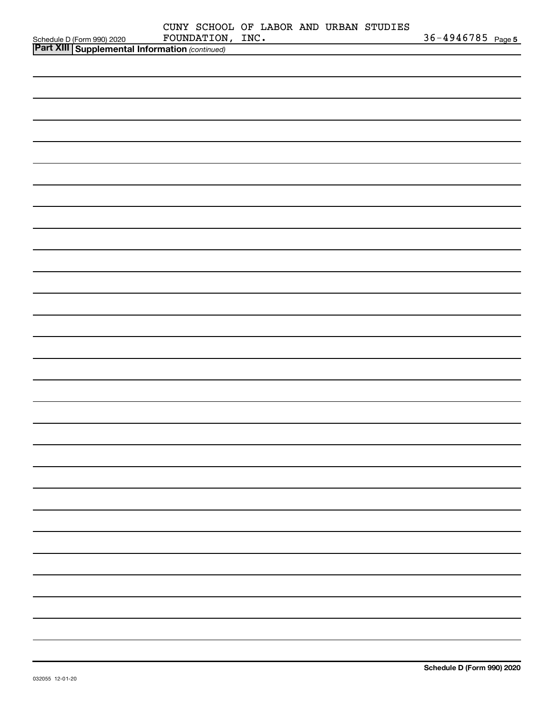| Schedule D (Form 990) 2020 FOUNDATION<br><b>Part XIII Supplemental Information</b> (continued) | CUNY SCHOOL OF LABOR AND URBAN STUDIES<br>FOUNDATION, INC. |  | 36-4946785 Page 5 |
|------------------------------------------------------------------------------------------------|------------------------------------------------------------|--|-------------------|
|                                                                                                |                                                            |  |                   |
|                                                                                                |                                                            |  |                   |
|                                                                                                |                                                            |  |                   |
|                                                                                                |                                                            |  |                   |
|                                                                                                |                                                            |  |                   |
|                                                                                                |                                                            |  |                   |
|                                                                                                |                                                            |  |                   |
|                                                                                                |                                                            |  |                   |
|                                                                                                |                                                            |  |                   |
|                                                                                                |                                                            |  |                   |
|                                                                                                |                                                            |  |                   |
|                                                                                                |                                                            |  |                   |
|                                                                                                |                                                            |  |                   |
|                                                                                                |                                                            |  |                   |
|                                                                                                |                                                            |  |                   |
|                                                                                                |                                                            |  |                   |
|                                                                                                |                                                            |  |                   |
|                                                                                                |                                                            |  |                   |
|                                                                                                |                                                            |  |                   |
|                                                                                                |                                                            |  |                   |
|                                                                                                |                                                            |  |                   |
|                                                                                                |                                                            |  |                   |
|                                                                                                |                                                            |  |                   |
|                                                                                                |                                                            |  |                   |
|                                                                                                |                                                            |  |                   |
|                                                                                                |                                                            |  |                   |
|                                                                                                |                                                            |  |                   |
|                                                                                                |                                                            |  |                   |
|                                                                                                |                                                            |  |                   |
|                                                                                                |                                                            |  |                   |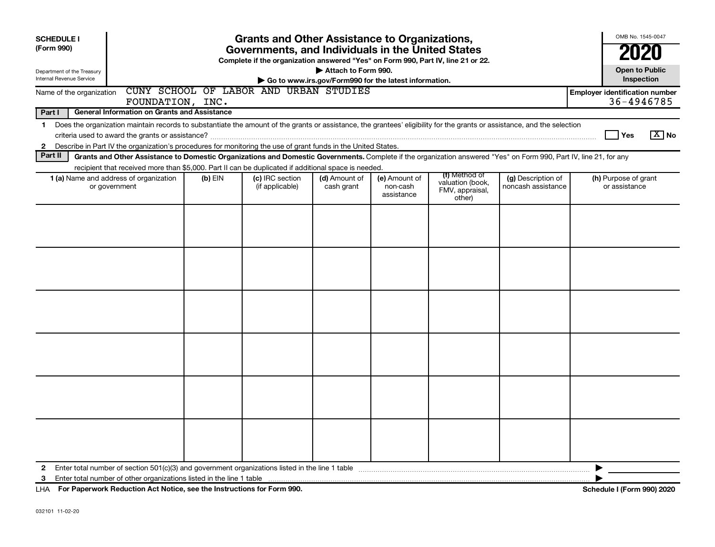| <b>Open to Public</b><br>Attach to Form 990.<br>Department of the Treasury<br>Internal Revenue Service<br>Inspection<br>Go to www.irs.gov/Form990 for the latest information.<br>CUNY SCHOOL OF LABOR AND URBAN STUDIES<br><b>Employer identification number</b><br>Name of the organization<br>36-4946785<br>FOUNDATION, INC.<br>Part I<br><b>General Information on Grants and Assistance</b><br>Does the organization maintain records to substantiate the amount of the grants or assistance, the grantees' eligibility for the grants or assistance, and the selection<br>$\mathbf 1$<br>Yes<br>Describe in Part IV the organization's procedures for monitoring the use of grant funds in the United States.<br>$\mathbf{2}$<br>Part II<br>Grants and Other Assistance to Domestic Organizations and Domestic Governments. Complete if the organization answered "Yes" on Form 990, Part IV, line 21, for any<br>recipient that received more than \$5,000. Part II can be duplicated if additional space is needed.<br>(f) Method of<br>(c) IRC section<br>(e) Amount of<br><b>1 (a)</b> Name and address of organization<br>$(b)$ EIN<br>(d) Amount of<br>(g) Description of<br>(h) Purpose of grant<br>valuation (book,<br>or government<br>(if applicable)<br>cash grant<br>non-cash<br>noncash assistance<br>or assistance<br>FMV, appraisal,<br>assistance<br>other) | OMB No. 1545-0047<br>2020 |
|----------------------------------------------------------------------------------------------------------------------------------------------------------------------------------------------------------------------------------------------------------------------------------------------------------------------------------------------------------------------------------------------------------------------------------------------------------------------------------------------------------------------------------------------------------------------------------------------------------------------------------------------------------------------------------------------------------------------------------------------------------------------------------------------------------------------------------------------------------------------------------------------------------------------------------------------------------------------------------------------------------------------------------------------------------------------------------------------------------------------------------------------------------------------------------------------------------------------------------------------------------------------------------------------------------------------------------------------------------------------------------|---------------------------|
|                                                                                                                                                                                                                                                                                                                                                                                                                                                                                                                                                                                                                                                                                                                                                                                                                                                                                                                                                                                                                                                                                                                                                                                                                                                                                                                                                                                  |                           |
|                                                                                                                                                                                                                                                                                                                                                                                                                                                                                                                                                                                                                                                                                                                                                                                                                                                                                                                                                                                                                                                                                                                                                                                                                                                                                                                                                                                  |                           |
|                                                                                                                                                                                                                                                                                                                                                                                                                                                                                                                                                                                                                                                                                                                                                                                                                                                                                                                                                                                                                                                                                                                                                                                                                                                                                                                                                                                  |                           |
|                                                                                                                                                                                                                                                                                                                                                                                                                                                                                                                                                                                                                                                                                                                                                                                                                                                                                                                                                                                                                                                                                                                                                                                                                                                                                                                                                                                  | $X$ No                    |
|                                                                                                                                                                                                                                                                                                                                                                                                                                                                                                                                                                                                                                                                                                                                                                                                                                                                                                                                                                                                                                                                                                                                                                                                                                                                                                                                                                                  |                           |
|                                                                                                                                                                                                                                                                                                                                                                                                                                                                                                                                                                                                                                                                                                                                                                                                                                                                                                                                                                                                                                                                                                                                                                                                                                                                                                                                                                                  |                           |
|                                                                                                                                                                                                                                                                                                                                                                                                                                                                                                                                                                                                                                                                                                                                                                                                                                                                                                                                                                                                                                                                                                                                                                                                                                                                                                                                                                                  |                           |
|                                                                                                                                                                                                                                                                                                                                                                                                                                                                                                                                                                                                                                                                                                                                                                                                                                                                                                                                                                                                                                                                                                                                                                                                                                                                                                                                                                                  |                           |
|                                                                                                                                                                                                                                                                                                                                                                                                                                                                                                                                                                                                                                                                                                                                                                                                                                                                                                                                                                                                                                                                                                                                                                                                                                                                                                                                                                                  |                           |
|                                                                                                                                                                                                                                                                                                                                                                                                                                                                                                                                                                                                                                                                                                                                                                                                                                                                                                                                                                                                                                                                                                                                                                                                                                                                                                                                                                                  |                           |
|                                                                                                                                                                                                                                                                                                                                                                                                                                                                                                                                                                                                                                                                                                                                                                                                                                                                                                                                                                                                                                                                                                                                                                                                                                                                                                                                                                                  |                           |
|                                                                                                                                                                                                                                                                                                                                                                                                                                                                                                                                                                                                                                                                                                                                                                                                                                                                                                                                                                                                                                                                                                                                                                                                                                                                                                                                                                                  |                           |
|                                                                                                                                                                                                                                                                                                                                                                                                                                                                                                                                                                                                                                                                                                                                                                                                                                                                                                                                                                                                                                                                                                                                                                                                                                                                                                                                                                                  |                           |
| $\mathbf{2}$<br>3                                                                                                                                                                                                                                                                                                                                                                                                                                                                                                                                                                                                                                                                                                                                                                                                                                                                                                                                                                                                                                                                                                                                                                                                                                                                                                                                                                |                           |

**For Paperwork Reduction Act Notice, see the Instructions for Form 990. Schedule I (Form 990) 2020** LHA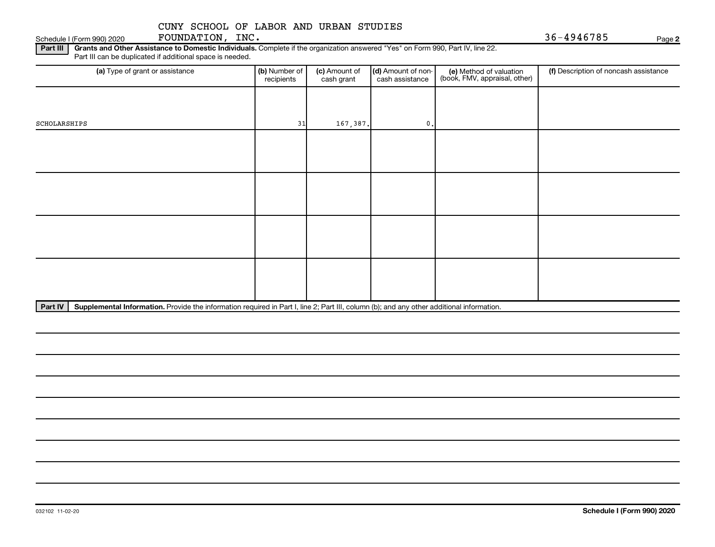Schedule I (Form 990) 2020 **FOUNDATION, INC.** 36-4946785 Page

**2**

Part III | Grants and Other Assistance to Domestic Individuals. Complete if the organization answered "Yes" on Form 990, Part IV, line 22. Part III can be duplicated if additional space is needed.

| (a) Type of grant or assistance | (b) Number of<br>recipients | (c) Amount of<br>cash grant | (d) Amount of non-<br>cash assistance | (e) Method of valuation<br>(book, FMV, appraisal, other) | (f) Description of noncash assistance |
|---------------------------------|-----------------------------|-----------------------------|---------------------------------------|----------------------------------------------------------|---------------------------------------|
|                                 |                             |                             |                                       |                                                          |                                       |
| SCHOLARSHIPS                    | 31                          | 167,387.                    | $\mathbf{0}$ .                        |                                                          |                                       |
|                                 |                             |                             |                                       |                                                          |                                       |
|                                 |                             |                             |                                       |                                                          |                                       |
|                                 |                             |                             |                                       |                                                          |                                       |
|                                 |                             |                             |                                       |                                                          |                                       |
|                                 |                             |                             |                                       |                                                          |                                       |
|                                 |                             |                             |                                       |                                                          |                                       |
|                                 |                             |                             |                                       |                                                          |                                       |
|                                 |                             |                             |                                       |                                                          |                                       |
|                                 |                             |                             |                                       |                                                          |                                       |

Part IV | Supplemental Information. Provide the information required in Part I, line 2; Part III, column (b); and any other additional information.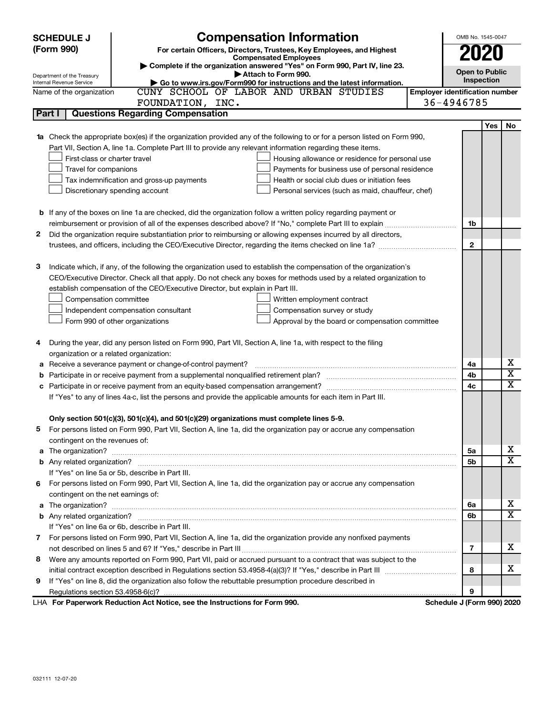|   | <b>Compensation Information</b><br><b>SCHEDULE J</b>                                                                             | OMB No. 1545-0047                     |                                     |                         |  |  |  |  |  |
|---|----------------------------------------------------------------------------------------------------------------------------------|---------------------------------------|-------------------------------------|-------------------------|--|--|--|--|--|
|   | (Form 990)<br>For certain Officers, Directors, Trustees, Key Employees, and Highest                                              |                                       | 2020                                |                         |  |  |  |  |  |
|   | <b>Compensated Employees</b><br>Complete if the organization answered "Yes" on Form 990, Part IV, line 23.                       |                                       |                                     |                         |  |  |  |  |  |
|   | Attach to Form 990.<br>Department of the Treasury                                                                                |                                       | <b>Open to Public</b><br>Inspection |                         |  |  |  |  |  |
|   | Go to www.irs.gov/Form990 for instructions and the latest information.<br>Internal Revenue Service                               |                                       |                                     |                         |  |  |  |  |  |
|   | CUNY SCHOOL OF LABOR AND URBAN STUDIES<br>Name of the organization                                                               | <b>Employer identification number</b> |                                     |                         |  |  |  |  |  |
|   | FOUNDATION, INC.                                                                                                                 | 36-4946785                            |                                     |                         |  |  |  |  |  |
|   | <b>Questions Regarding Compensation</b><br>Part I                                                                                |                                       |                                     |                         |  |  |  |  |  |
|   |                                                                                                                                  |                                       | Yes                                 | No                      |  |  |  |  |  |
|   | <b>1a</b> Check the appropriate box(es) if the organization provided any of the following to or for a person listed on Form 990, |                                       |                                     |                         |  |  |  |  |  |
|   | Part VII, Section A, line 1a. Complete Part III to provide any relevant information regarding these items.                       |                                       |                                     |                         |  |  |  |  |  |
|   | First-class or charter travel<br>Housing allowance or residence for personal use                                                 |                                       |                                     |                         |  |  |  |  |  |
|   | Travel for companions<br>Payments for business use of personal residence<br>Health or social club dues or initiation fees        |                                       |                                     |                         |  |  |  |  |  |
|   | Tax indemnification and gross-up payments                                                                                        |                                       |                                     |                         |  |  |  |  |  |
|   | Discretionary spending account<br>Personal services (such as maid, chauffeur, chef)                                              |                                       |                                     |                         |  |  |  |  |  |
|   | <b>b</b> If any of the boxes on line 1a are checked, did the organization follow a written policy regarding payment or           |                                       |                                     |                         |  |  |  |  |  |
|   |                                                                                                                                  | 1b                                    |                                     |                         |  |  |  |  |  |
| 2 | Did the organization require substantiation prior to reimbursing or allowing expenses incurred by all directors,                 |                                       |                                     |                         |  |  |  |  |  |
|   |                                                                                                                                  | $\mathbf{2}$                          |                                     |                         |  |  |  |  |  |
|   |                                                                                                                                  |                                       |                                     |                         |  |  |  |  |  |
| 3 | Indicate which, if any, of the following the organization used to establish the compensation of the organization's               |                                       |                                     |                         |  |  |  |  |  |
|   | CEO/Executive Director. Check all that apply. Do not check any boxes for methods used by a related organization to               |                                       |                                     |                         |  |  |  |  |  |
|   | establish compensation of the CEO/Executive Director, but explain in Part III.                                                   |                                       |                                     |                         |  |  |  |  |  |
|   | Compensation committee<br>Written employment contract                                                                            |                                       |                                     |                         |  |  |  |  |  |
|   | Independent compensation consultant<br>Compensation survey or study                                                              |                                       |                                     |                         |  |  |  |  |  |
|   | Form 990 of other organizations<br>Approval by the board or compensation committee                                               |                                       |                                     |                         |  |  |  |  |  |
|   |                                                                                                                                  |                                       |                                     |                         |  |  |  |  |  |
| 4 | During the year, did any person listed on Form 990, Part VII, Section A, line 1a, with respect to the filing                     |                                       |                                     |                         |  |  |  |  |  |
|   | organization or a related organization:                                                                                          |                                       |                                     |                         |  |  |  |  |  |
| а | Receive a severance payment or change-of-control payment?                                                                        | 4a                                    |                                     | х                       |  |  |  |  |  |
| b |                                                                                                                                  | 4b                                    |                                     | $\overline{\texttt{x}}$ |  |  |  |  |  |
|   |                                                                                                                                  | 4c                                    |                                     | X                       |  |  |  |  |  |
|   | If "Yes" to any of lines 4a-c, list the persons and provide the applicable amounts for each item in Part III.                    |                                       |                                     |                         |  |  |  |  |  |
|   |                                                                                                                                  |                                       |                                     |                         |  |  |  |  |  |
|   | Only section 501(c)(3), 501(c)(4), and 501(c)(29) organizations must complete lines 5-9.                                         |                                       |                                     |                         |  |  |  |  |  |
|   | For persons listed on Form 990, Part VII, Section A, line 1a, did the organization pay or accrue any compensation                |                                       |                                     |                         |  |  |  |  |  |
|   | contingent on the revenues of:                                                                                                   |                                       |                                     |                         |  |  |  |  |  |
|   |                                                                                                                                  | 5a                                    |                                     | x                       |  |  |  |  |  |
|   |                                                                                                                                  | 5b                                    |                                     | $\overline{\textbf{X}}$ |  |  |  |  |  |
|   | If "Yes" on line 5a or 5b, describe in Part III.                                                                                 |                                       |                                     |                         |  |  |  |  |  |
|   | 6 For persons listed on Form 990, Part VII, Section A, line 1a, did the organization pay or accrue any compensation              |                                       |                                     |                         |  |  |  |  |  |
|   | contingent on the net earnings of:                                                                                               |                                       |                                     |                         |  |  |  |  |  |
|   |                                                                                                                                  | 6а                                    |                                     | х                       |  |  |  |  |  |
|   |                                                                                                                                  | 6b                                    |                                     | $\overline{\textbf{X}}$ |  |  |  |  |  |
|   | If "Yes" on line 6a or 6b, describe in Part III.                                                                                 |                                       |                                     |                         |  |  |  |  |  |
|   | 7 For persons listed on Form 990, Part VII, Section A, line 1a, did the organization provide any nonfixed payments               |                                       |                                     |                         |  |  |  |  |  |
|   |                                                                                                                                  | 7                                     |                                     | х                       |  |  |  |  |  |
| 8 | Were any amounts reported on Form 990, Part VII, paid or accrued pursuant to a contract that was subject to the                  |                                       |                                     |                         |  |  |  |  |  |
|   |                                                                                                                                  | 8                                     |                                     | х                       |  |  |  |  |  |
| 9 | If "Yes" on line 8, did the organization also follow the rebuttable presumption procedure described in                           |                                       |                                     |                         |  |  |  |  |  |
|   |                                                                                                                                  | 9                                     |                                     |                         |  |  |  |  |  |
|   | LHA For Paperwork Reduction Act Notice, see the Instructions for Form 990.                                                       | Schedule J (Form 990) 2020            |                                     |                         |  |  |  |  |  |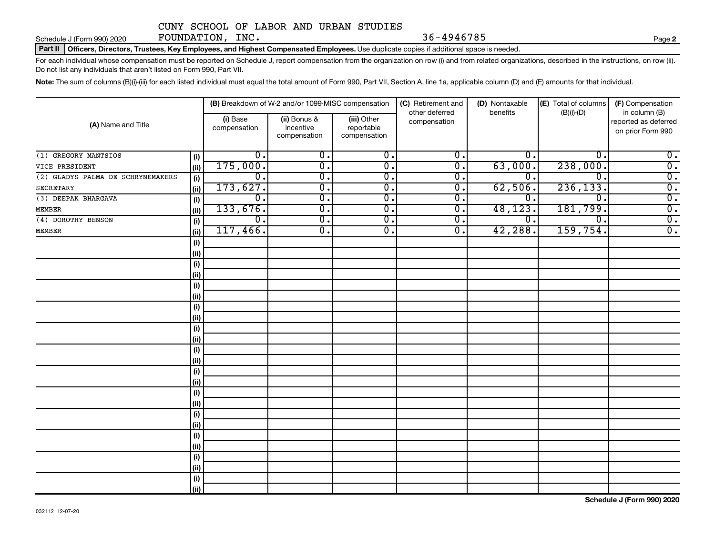Schedule J (Form 990) 2020 Page FOUNDATION, INC. 36-4946785

**2**

Part II | Officers, Directors, Trustees, Key Employees, and Highest Compensated Employees. Use duplicate copies if additional space is needed.

For each individual whose compensation must be reported on Schedule J, report compensation from the organization on row (i) and from related organizations, described in the instructions, on row (ii). Do not list any individuals that aren't listed on Form 990, Part VII.

Note: The sum of columns (B)(i)-(iii) for each listed individual must equal the total amount of Form 990, Part VII, Section A, line 1a, applicable column (D) and (E) amounts for that individual.

| (A) Name and Title                |                              |                          | (B) Breakdown of W-2 and/or 1099-MISC compensation |                                           | (C) Retirement and<br>other deferred | (D) Nontaxable<br>benefits | (E) Total of columns<br>$(B)(i)-(D)$ | (F) Compensation<br>in column (B)         |
|-----------------------------------|------------------------------|--------------------------|----------------------------------------------------|-------------------------------------------|--------------------------------------|----------------------------|--------------------------------------|-------------------------------------------|
|                                   |                              | (i) Base<br>compensation | (ii) Bonus &<br>incentive<br>compensation          | (iii) Other<br>reportable<br>compensation | compensation                         |                            |                                      | reported as deferred<br>on prior Form 990 |
| (1) GREGORY MANTSIOS              | (i)                          | $\overline{0}$ .         | $\overline{0}$ .                                   | $\overline{0}$ .                          | $\overline{0}$ .                     | 0.                         | 0.                                   | $\overline{0}$ .                          |
| VICE PRESIDENT                    | (ii)                         | 175,000.                 | $\overline{0}$ .                                   | $\overline{0}$ .                          | σ.                                   | 63,000.                    | 238,000.                             | $\overline{0}$ .                          |
| (2) GLADYS PALMA DE SCHRYNEMAKERS | $\qquad \qquad \textbf{(i)}$ | $\overline{0}$ .         | $\overline{0}$ .                                   | $\overline{0}$ .                          | $\overline{0}$ .                     | 0.                         | $\mathbf{0}$ .                       | $\overline{0}$ .                          |
| <b>SECRETARY</b>                  | (ii)                         | 173,627.                 | $\overline{0}$ .                                   | $\overline{0}$ .                          | σ.                                   | 62,506                     | 236, 133.                            | $\overline{0}$ .                          |
| (3) DEEPAK BHARGAVA               | (i)                          | $\overline{0}$ .         | $\overline{\mathfrak{o}}$ .                        | $\overline{\mathfrak{o}}$ .               | σ.                                   | $\mathbf{0}$ .             | $\overline{0}$ .                     | $\overline{0}$ .                          |
| <b>MEMBER</b>                     | (i)                          | 133,676.                 | $\overline{\mathfrak{o}}$ .                        | $\overline{0}$ .                          | σ.                                   | 48,123                     | 181,799.                             | $\overline{0}$ .                          |
| (4) DOROTHY BENSON                | (i)                          | $\overline{0}$ .         | $\overline{\mathfrak{o}}$ .                        | $\overline{0}$ .                          | σ.                                   | σ.                         | $\overline{0}$ .                     | $\overline{0}$ .                          |
| <b>MEMBER</b>                     | (i)                          | 117,466.                 | σ.                                                 | $\overline{0}$ .                          | σ.                                   | 42, 288.                   | 159,754.                             | $\overline{0}$ .                          |
|                                   | (i)                          |                          |                                                    |                                           |                                      |                            |                                      |                                           |
|                                   | (i)                          |                          |                                                    |                                           |                                      |                            |                                      |                                           |
|                                   | (i)                          |                          |                                                    |                                           |                                      |                            |                                      |                                           |
|                                   | (i)                          |                          |                                                    |                                           |                                      |                            |                                      |                                           |
|                                   | $(\sf{i})$                   |                          |                                                    |                                           |                                      |                            |                                      |                                           |
|                                   | (ii)                         |                          |                                                    |                                           |                                      |                            |                                      |                                           |
|                                   | (i)                          |                          |                                                    |                                           |                                      |                            |                                      |                                           |
|                                   | (i)                          |                          |                                                    |                                           |                                      |                            |                                      |                                           |
|                                   | $(\sf{i})$                   |                          |                                                    |                                           |                                      |                            |                                      |                                           |
|                                   | (ii)                         |                          |                                                    |                                           |                                      |                            |                                      |                                           |
|                                   | $(\sf{i})$                   |                          |                                                    |                                           |                                      |                            |                                      |                                           |
|                                   | (i)                          |                          |                                                    |                                           |                                      |                            |                                      |                                           |
|                                   | $(\sf{i})$                   |                          |                                                    |                                           |                                      |                            |                                      |                                           |
|                                   | (ii)                         |                          |                                                    |                                           |                                      |                            |                                      |                                           |
|                                   | (i)                          |                          |                                                    |                                           |                                      |                            |                                      |                                           |
|                                   | (ii)                         |                          |                                                    |                                           |                                      |                            |                                      |                                           |
|                                   | (i)<br>(ii)                  |                          |                                                    |                                           |                                      |                            |                                      |                                           |
|                                   | (i)                          |                          |                                                    |                                           |                                      |                            |                                      |                                           |
|                                   | (ii)                         |                          |                                                    |                                           |                                      |                            |                                      |                                           |
|                                   | $(\sf{i})$                   |                          |                                                    |                                           |                                      |                            |                                      |                                           |
|                                   | (ii)                         |                          |                                                    |                                           |                                      |                            |                                      |                                           |
|                                   | (i)                          |                          |                                                    |                                           |                                      |                            |                                      |                                           |
|                                   | (ii)                         |                          |                                                    |                                           |                                      |                            |                                      |                                           |
|                                   |                              |                          |                                                    |                                           |                                      |                            |                                      |                                           |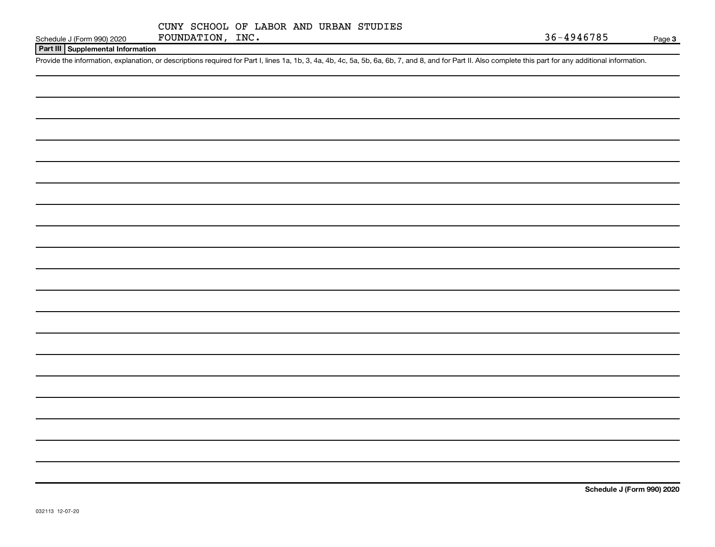#### **Part III Supplemental Information**

Provide the information, explanation, or descriptions required for Part I, lines 1a, 1b, 3, 4a, 4b, 4c, 5a, 5b, 6a, 6b, 7, and 8, and for Part II. Also complete this part for any additional information.

**Schedule J (Form 990) 2020**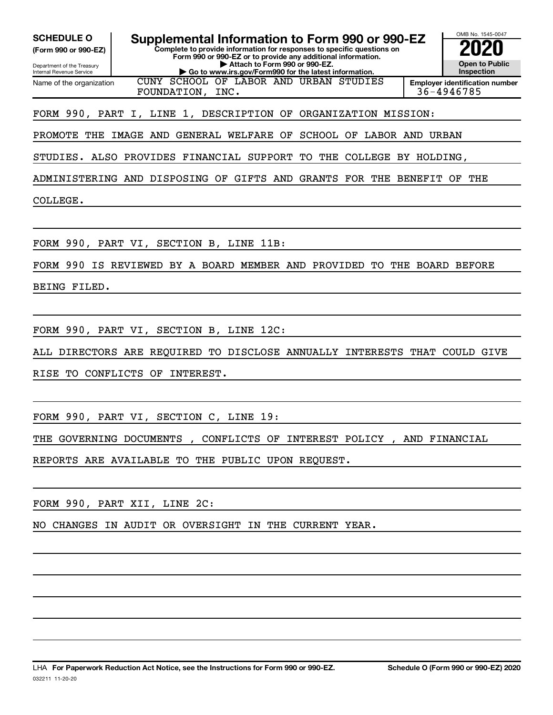**(Form 990 or 990-EZ)**

Department of the Treasury Internal Revenue Service Name of the organization

**Complete to provide information for responses to specific questions on Form 990 or 990-EZ or to provide any additional information. | Attach to Form 990 or 990-EZ. | Go to www.irs.gov/Form990 for the latest information. SCHEDULE O** Supplemental Information to Form 990 or 990-EZ 2020<br>(Form 990 or 990-EZ) Complete to provide information for responses to specific questions on CUNY SCHOOL OF LABOR AND URBAN STUDIES

OMB No. 1545-0047 **Open to Public Inspection Employer identification number** FOUNDATION, INC. 36-4946785

FORM 990, PART I, LINE 1, DESCRIPTION OF ORGANIZATION MISSION:

PROMOTE THE IMAGE AND GENERAL WELFARE OF SCHOOL OF LABOR AND URBAN

STUDIES. ALSO PROVIDES FINANCIAL SUPPORT TO THE COLLEGE BY HOLDING,

ADMINISTERING AND DISPOSING OF GIFTS AND GRANTS FOR THE BENEFIT OF THE

COLLEGE.

FORM 990, PART VI, SECTION B, LINE 11B:

FORM 990 IS REVIEWED BY A BOARD MEMBER AND PROVIDED TO THE BOARD BEFORE

BEING FILED.

FORM 990, PART VI, SECTION B, LINE 12C:

ALL DIRECTORS ARE REQUIRED TO DISCLOSE ANNUALLY INTERESTS THAT COULD GIVE

RISE TO CONFLICTS OF INTEREST.

FORM 990, PART VI, SECTION C, LINE 19:

THE GOVERNING DOCUMENTS , CONFLICTS OF INTEREST POLICY , AND FINANCIAL

REPORTS ARE AVAILABLE TO THE PUBLIC UPON REQUEST.

FORM 990, PART XII, LINE 2C:

NO CHANGES IN AUDIT OR OVERSIGHT IN THE CURRENT YEAR.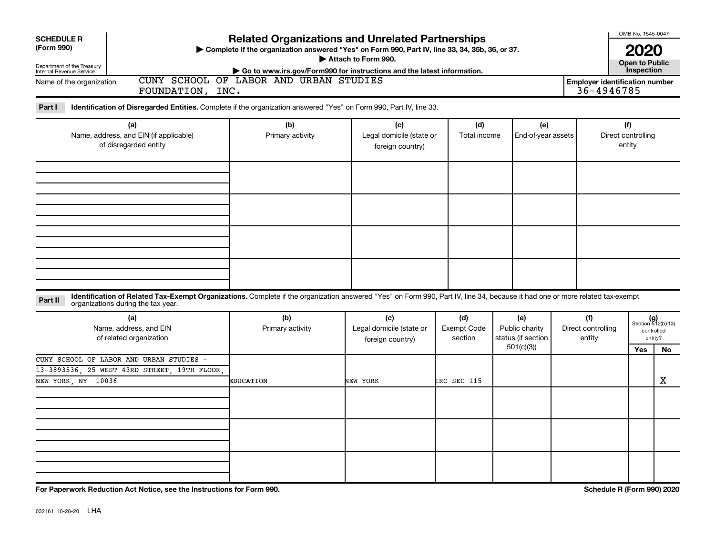| <b>Related Organizations and Unrelated Partnerships</b><br><b>SCHEDULE R</b><br>(Form 990)<br>> Complete if the organization answered "Yes" on Form 990, Part IV, line 33, 34, 35b, 36, or 37.<br>Department of the Treasury<br>Internal Revenue Service<br>CUNY SCHOOL OF LABOR AND URBAN STUDIES<br>Name of the organization<br>FOUNDATION, INC. |                         | OMB No. 1545-0047<br><b>2020</b><br><b>Open to Public</b><br>Inspection<br><b>Employer identification number</b><br>$36 - 4946785$ |                                      |                                                          |  |                                     |  |                                                            |
|----------------------------------------------------------------------------------------------------------------------------------------------------------------------------------------------------------------------------------------------------------------------------------------------------------------------------------------------------|-------------------------|------------------------------------------------------------------------------------------------------------------------------------|--------------------------------------|----------------------------------------------------------|--|-------------------------------------|--|------------------------------------------------------------|
| Part I<br>Identification of Disregarded Entities. Complete if the organization answered "Yes" on Form 990, Part IV, line 33.<br>(a)<br>Name, address, and EIN (if applicable)<br>of disregarded entity                                                                                                                                             | (b)<br>Primary activity | (c)<br>Legal domicile (state or<br>foreign country)                                                                                | (d)<br>Total income                  | (e)<br>End-of-year assets                                |  | (f)<br>Direct controlling<br>entity |  |                                                            |
|                                                                                                                                                                                                                                                                                                                                                    |                         |                                                                                                                                    |                                      |                                                          |  |                                     |  |                                                            |
| Identification of Related Tax-Exempt Organizations. Complete if the organization answered "Yes" on Form 990, Part IV, line 34, because it had one or more related tax-exempt<br>Part II<br>organizations during the tax year.<br>(a)<br>Name, address, and EIN<br>of related organization                                                          | (b)<br>Primary activity | (c)<br>Legal domicile (state or<br>foreign country)                                                                                | (d)<br><b>Exempt Code</b><br>section | (e)<br>Public charity<br>status (if section<br>501(c)(3) |  | (f)<br>Direct controlling<br>entity |  | $(g)$<br>Section 512(b)(13)<br>controlled<br>entity?<br>No |
| CUNY SCHOOL OF LABOR AND URBAN STUDIES -<br>13-3893536, 25 WEST 43RD STREET, 19TH FLOOR,<br>NEW YORK, NY 10036                                                                                                                                                                                                                                     | <b>EDUCATION</b>        | NEW YORK                                                                                                                           | IRC SEC 115                          |                                                          |  |                                     |  | X                                                          |
|                                                                                                                                                                                                                                                                                                                                                    |                         |                                                                                                                                    |                                      |                                                          |  |                                     |  |                                                            |

**For Paperwork Reduction Act Notice, see the Instructions for Form 990. Schedule R (Form 990) 2020**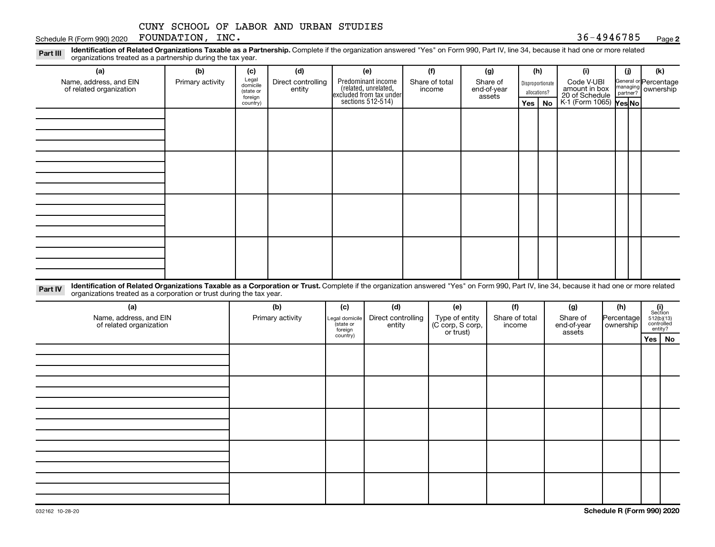Schedule R (Form 990) 2020 Page FOUNDATION, INC. 36-4946785

**2**

Disproportionate allocations? Legal domicile (state or foreign country) General or Percentage managing partner? Part III Identification of Related Organizations Taxable as a Partnership. Complete if the organization answered "Yes" on Form 990, Part IV, line 34, because it had one or more related<br>Read to the organizations tracted as **(a) (b) (c) (d) (e) (f) (g) (h) (i) (j) (k) Yes No Yes No** K-1 (Form 1065) Predominant income (related, unrelated, excluded from tax under sections 512-514) organizations treated as a partnership during the tax year. Name, address, and EIN of related organization Primary activity  $\left| \begin{array}{c} \text{Legal} \\ \text{diamial} \end{array} \right|$  Direct controlling entity Share of total income Share of end-of-year assets Code V-UBI<br>amount in box 20 of Schedule ownership

Part IV Identification of Related Organizations Taxable as a Corporation or Trust. Complete if the organization answered "Yes" on Form 990, Part IV, line 34, because it had one or more related organizations treated as a corporation or trust during the tax year.

| (a)<br>Name, address, and EIN<br>of related organization | (b)<br>Primary activity | (c)<br>Legal domicile<br>(state or<br>foreign | (d)<br>Direct controlling<br>entity | (e)<br>Type of entity<br>(C corp, S corp,<br>or trust) | (f)<br>Share of total<br>income | (g)<br>Share of<br>end-of-year<br>assets | (h)<br>Percentage<br>  ownership | $\begin{array}{c} \textbf{(i)}\\ \text{Section}\\ 5\,12 \text{(b)} \text{(13)}\\ \text{controlled} \\ \text{entity?} \end{array}$ |
|----------------------------------------------------------|-------------------------|-----------------------------------------------|-------------------------------------|--------------------------------------------------------|---------------------------------|------------------------------------------|----------------------------------|-----------------------------------------------------------------------------------------------------------------------------------|
|                                                          |                         | country)                                      |                                     |                                                        |                                 |                                          |                                  | Yes   No                                                                                                                          |
|                                                          |                         |                                               |                                     |                                                        |                                 |                                          |                                  |                                                                                                                                   |
|                                                          |                         |                                               |                                     |                                                        |                                 |                                          |                                  |                                                                                                                                   |
|                                                          |                         |                                               |                                     |                                                        |                                 |                                          |                                  |                                                                                                                                   |
|                                                          |                         |                                               |                                     |                                                        |                                 |                                          |                                  |                                                                                                                                   |
|                                                          |                         |                                               |                                     |                                                        |                                 |                                          |                                  |                                                                                                                                   |
|                                                          |                         |                                               |                                     |                                                        |                                 |                                          |                                  |                                                                                                                                   |
|                                                          |                         |                                               |                                     |                                                        |                                 |                                          |                                  |                                                                                                                                   |
|                                                          |                         |                                               |                                     |                                                        |                                 |                                          |                                  |                                                                                                                                   |
|                                                          |                         |                                               |                                     |                                                        |                                 |                                          |                                  |                                                                                                                                   |
|                                                          |                         |                                               |                                     |                                                        |                                 |                                          |                                  |                                                                                                                                   |
|                                                          |                         |                                               |                                     |                                                        |                                 |                                          |                                  |                                                                                                                                   |
|                                                          |                         |                                               |                                     |                                                        |                                 |                                          |                                  |                                                                                                                                   |
|                                                          |                         |                                               |                                     |                                                        |                                 |                                          |                                  |                                                                                                                                   |
|                                                          |                         |                                               |                                     |                                                        |                                 |                                          |                                  |                                                                                                                                   |
|                                                          |                         |                                               |                                     |                                                        |                                 |                                          |                                  |                                                                                                                                   |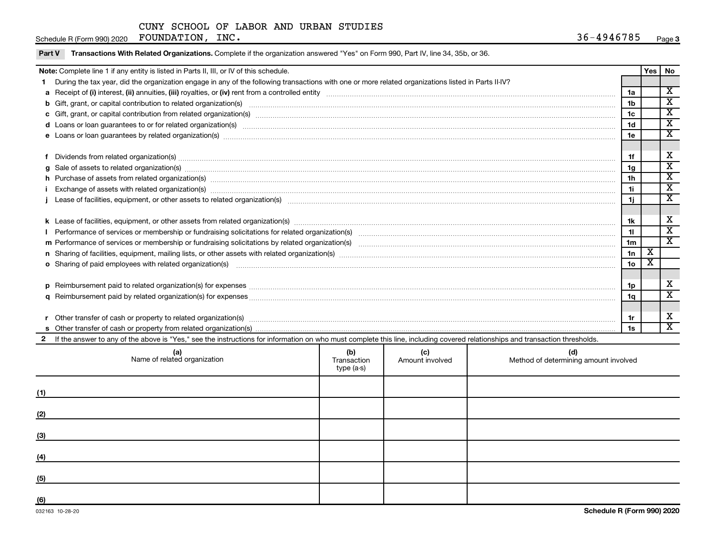|--|

Part V Transactions With Related Organizations. Complete if the organization answered "Yes" on Form 990, Part IV, line 34, 35b, or 36.

|   | Note: Complete line 1 if any entity is listed in Parts II, III, or IV of this schedule.                                                                                                                                                          |     |     |     |                | Yes   No |                                                    |  |  |
|---|--------------------------------------------------------------------------------------------------------------------------------------------------------------------------------------------------------------------------------------------------|-----|-----|-----|----------------|----------|----------------------------------------------------|--|--|
|   | During the tax year, did the organization engage in any of the following transactions with one or more related organizations listed in Parts II-IV?                                                                                              |     |     |     |                |          |                                                    |  |  |
|   |                                                                                                                                                                                                                                                  |     |     |     |                |          |                                                    |  |  |
|   |                                                                                                                                                                                                                                                  |     |     |     |                |          |                                                    |  |  |
|   |                                                                                                                                                                                                                                                  |     |     |     |                |          |                                                    |  |  |
|   |                                                                                                                                                                                                                                                  |     |     |     | 1 <sub>d</sub> |          | $\overline{\mathbf{x}}$                            |  |  |
|   | e Loans or loan guarantees by related organization(s) manufaction content to consume the content of the content of the content of the content of the content of the content of the content of the content of the content of th                   |     |     |     | 1e             |          | $\overline{\texttt{x}}$                            |  |  |
|   |                                                                                                                                                                                                                                                  |     |     |     |                |          |                                                    |  |  |
|   | Dividends from related organization(s) manufacture content and content and content and content and content and content and content and content and content and content and content and content and content and content and con                   |     |     |     | 1f             |          | X                                                  |  |  |
| a | Sale of assets to related organization(s) www.assettion.com/www.assettion.com/www.assettion.com/www.assettion.com/www.assettion.com/www.assettion.com/www.assettion.com/www.assettion.com/www.assettion.com/www.assettion.com/                   |     |     |     | 1 <sub>g</sub> |          | $\overline{\texttt{x}}$<br>$\overline{\texttt{x}}$ |  |  |
|   | h Purchase of assets from related organization(s) www.assettion.com/www.assettion.com/www.assettion.com/www.assettion.com/www.assettion.com/www.assettion.com/www.assettion.com/www.assettion.com/www.assettion.com/www.assett                   |     |     |     |                |          |                                                    |  |  |
|   | Exchange of assets with related organization(s) manufactured content and content and content and content and content and content and content and content and content and content and content and content and content and conte                   |     |     |     |                |          |                                                    |  |  |
|   |                                                                                                                                                                                                                                                  |     |     |     |                |          |                                                    |  |  |
|   |                                                                                                                                                                                                                                                  |     |     |     |                |          |                                                    |  |  |
|   |                                                                                                                                                                                                                                                  |     |     |     |                |          |                                                    |  |  |
|   |                                                                                                                                                                                                                                                  |     |     |     |                |          | $\overline{\mathbf{x}}$                            |  |  |
|   |                                                                                                                                                                                                                                                  |     |     |     | 1 <sub>m</sub> |          | $\overline{\mathbf{X}}$                            |  |  |
|   |                                                                                                                                                                                                                                                  |     |     |     | 1n             | х<br>х   |                                                    |  |  |
|   | 1 <sub>o</sub><br>o Sharing of paid employees with related organization(s) manufactured content to the state of the state of the state organization(s) manufactured content of the state organization(s) manufactured content of the state of th |     |     |     |                |          |                                                    |  |  |
|   |                                                                                                                                                                                                                                                  |     |     |     |                |          | X                                                  |  |  |
|   | Reimbursement paid to related organization(s) for expenses [11111] Research Manuscript Reimbursement paid to related organization(s) for expenses [11111] [1111] Reimbursement manuscript Reimbursement paid to related organi                   |     |     |     |                |          |                                                    |  |  |
|   |                                                                                                                                                                                                                                                  |     |     |     |                |          | $\overline{\text{x}}$                              |  |  |
|   |                                                                                                                                                                                                                                                  |     |     |     |                |          |                                                    |  |  |
|   |                                                                                                                                                                                                                                                  |     |     |     |                |          | х                                                  |  |  |
|   |                                                                                                                                                                                                                                                  |     |     |     |                |          | $\overline{\mathbf{X}}$                            |  |  |
|   | If the answer to any of the above is "Yes," see the instructions for information on who must complete this line, including covered relationships and transaction thresholds.                                                                     |     |     |     |                |          |                                                    |  |  |
|   | (a)                                                                                                                                                                                                                                              | (b) | (c) | (d) |                |          |                                                    |  |  |

|     | (a)<br>Name of related organization | (b)<br>Transaction<br>type (a-s) | <b>c)</b><br>Amount involved | (d)<br>Method of determining amount involved |
|-----|-------------------------------------|----------------------------------|------------------------------|----------------------------------------------|
| (1) |                                     |                                  |                              |                                              |
| (2) |                                     |                                  |                              |                                              |
| (3) |                                     |                                  |                              |                                              |
| (4) |                                     |                                  |                              |                                              |
| (5) |                                     |                                  |                              |                                              |
| (6) |                                     |                                  |                              |                                              |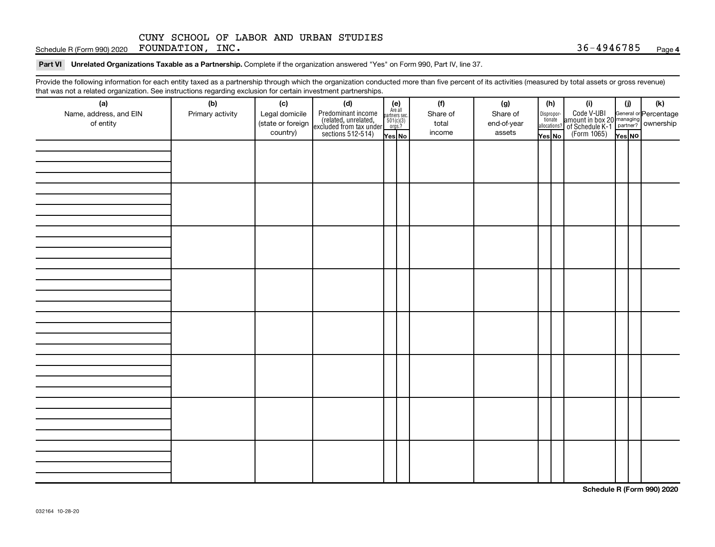Schedule R (Form 990) 2020 Page FOUNDATION, INC. 36-4946785

#### Part VI Unrelated Organizations Taxable as a Partnership. Complete if the organization answered "Yes" on Form 990, Part IV, line 37.

Provide the following information for each entity taxed as a partnership through which the organization conducted more than five percent of its activities (measured by total assets or gross revenue) that was not a related organization. See instructions regarding exclusion for certain investment partnerships.

| hat neo hot a rolatod organization. Ooo inotraotiono rogaranty oxolaolon for oortain invootmont partnorompo.<br>(a) | (b)              | (c)               | (d)                                                                                        | $(e)$<br>Are all                             |  | (f)      | (g)         | (h)                                                                                                                                       |  | (i)                                                                                                 | (i)    | (k) |
|---------------------------------------------------------------------------------------------------------------------|------------------|-------------------|--------------------------------------------------------------------------------------------|----------------------------------------------|--|----------|-------------|-------------------------------------------------------------------------------------------------------------------------------------------|--|-----------------------------------------------------------------------------------------------------|--------|-----|
| Name, address, and EIN                                                                                              | Primary activity | Legal domicile    |                                                                                            |                                              |  | Share of | Share of    |                                                                                                                                           |  |                                                                                                     |        |     |
| of entity                                                                                                           |                  | (state or foreign |                                                                                            | $\frac{\text{parameters}}{501(\text{c})(3)}$ |  | total    | end-of-year | $\fbox{\parbox{0.5cm}{\begin{tabular}{ l l } \hline Disproportion} \\ \hline \text{tion} \\ \hline allocations? \\ \hline \end{tabular}}$ |  | Code V-UBI<br>amount in box 20 managing<br>of Schedule K-1<br>(Form 1065)<br>$\sqrt{\text{res}}$ No |        |     |
|                                                                                                                     |                  | country)          | Predominant income<br>(related, unrelated,<br>excluded from tax under<br>sections 512-514) | Yes No                                       |  | income   | assets      | Yes No                                                                                                                                    |  |                                                                                                     | Yes NO |     |
|                                                                                                                     |                  |                   |                                                                                            |                                              |  |          |             |                                                                                                                                           |  |                                                                                                     |        |     |
|                                                                                                                     |                  |                   |                                                                                            |                                              |  |          |             |                                                                                                                                           |  |                                                                                                     |        |     |
|                                                                                                                     |                  |                   |                                                                                            |                                              |  |          |             |                                                                                                                                           |  |                                                                                                     |        |     |
|                                                                                                                     |                  |                   |                                                                                            |                                              |  |          |             |                                                                                                                                           |  |                                                                                                     |        |     |
|                                                                                                                     |                  |                   |                                                                                            |                                              |  |          |             |                                                                                                                                           |  |                                                                                                     |        |     |
|                                                                                                                     |                  |                   |                                                                                            |                                              |  |          |             |                                                                                                                                           |  |                                                                                                     |        |     |
|                                                                                                                     |                  |                   |                                                                                            |                                              |  |          |             |                                                                                                                                           |  |                                                                                                     |        |     |
|                                                                                                                     |                  |                   |                                                                                            |                                              |  |          |             |                                                                                                                                           |  |                                                                                                     |        |     |
|                                                                                                                     |                  |                   |                                                                                            |                                              |  |          |             |                                                                                                                                           |  |                                                                                                     |        |     |
|                                                                                                                     |                  |                   |                                                                                            |                                              |  |          |             |                                                                                                                                           |  |                                                                                                     |        |     |
|                                                                                                                     |                  |                   |                                                                                            |                                              |  |          |             |                                                                                                                                           |  |                                                                                                     |        |     |
|                                                                                                                     |                  |                   |                                                                                            |                                              |  |          |             |                                                                                                                                           |  |                                                                                                     |        |     |
|                                                                                                                     |                  |                   |                                                                                            |                                              |  |          |             |                                                                                                                                           |  |                                                                                                     |        |     |
|                                                                                                                     |                  |                   |                                                                                            |                                              |  |          |             |                                                                                                                                           |  |                                                                                                     |        |     |
|                                                                                                                     |                  |                   |                                                                                            |                                              |  |          |             |                                                                                                                                           |  |                                                                                                     |        |     |
|                                                                                                                     |                  |                   |                                                                                            |                                              |  |          |             |                                                                                                                                           |  |                                                                                                     |        |     |
|                                                                                                                     |                  |                   |                                                                                            |                                              |  |          |             |                                                                                                                                           |  |                                                                                                     |        |     |
|                                                                                                                     |                  |                   |                                                                                            |                                              |  |          |             |                                                                                                                                           |  |                                                                                                     |        |     |
|                                                                                                                     |                  |                   |                                                                                            |                                              |  |          |             |                                                                                                                                           |  |                                                                                                     |        |     |
|                                                                                                                     |                  |                   |                                                                                            |                                              |  |          |             |                                                                                                                                           |  |                                                                                                     |        |     |
|                                                                                                                     |                  |                   |                                                                                            |                                              |  |          |             |                                                                                                                                           |  |                                                                                                     |        |     |
|                                                                                                                     |                  |                   |                                                                                            |                                              |  |          |             |                                                                                                                                           |  |                                                                                                     |        |     |
|                                                                                                                     |                  |                   |                                                                                            |                                              |  |          |             |                                                                                                                                           |  |                                                                                                     |        |     |
|                                                                                                                     |                  |                   |                                                                                            |                                              |  |          |             |                                                                                                                                           |  |                                                                                                     |        |     |
|                                                                                                                     |                  |                   |                                                                                            |                                              |  |          |             |                                                                                                                                           |  |                                                                                                     |        |     |
|                                                                                                                     |                  |                   |                                                                                            |                                              |  |          |             |                                                                                                                                           |  |                                                                                                     |        |     |
|                                                                                                                     |                  |                   |                                                                                            |                                              |  |          |             |                                                                                                                                           |  |                                                                                                     |        |     |
|                                                                                                                     |                  |                   |                                                                                            |                                              |  |          |             |                                                                                                                                           |  |                                                                                                     |        |     |
|                                                                                                                     |                  |                   |                                                                                            |                                              |  |          |             |                                                                                                                                           |  |                                                                                                     |        |     |
|                                                                                                                     |                  |                   |                                                                                            |                                              |  |          |             |                                                                                                                                           |  |                                                                                                     |        |     |
|                                                                                                                     |                  |                   |                                                                                            |                                              |  |          |             |                                                                                                                                           |  |                                                                                                     |        |     |
|                                                                                                                     |                  |                   |                                                                                            |                                              |  |          |             |                                                                                                                                           |  |                                                                                                     |        |     |

**Schedule R (Form 990) 2020**